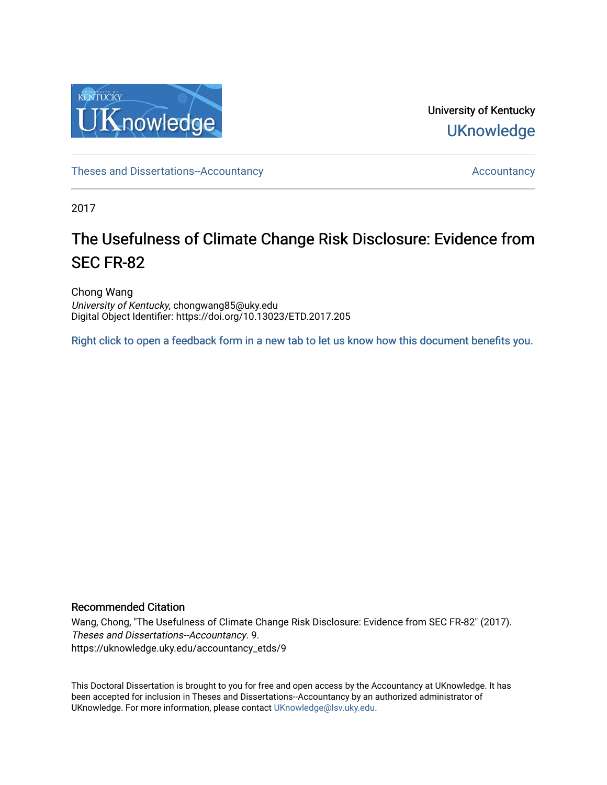

University of Kentucky **UKnowledge** 

[Theses and Dissertations--Accountancy](https://uknowledge.uky.edu/accountancy_etds) and  $\overline{a}$  [Accountancy](https://uknowledge.uky.edu/accountancy) Accountancy

2017

# The Usefulness of Climate Change Risk Disclosure: Evidence from SEC FR-82

Chong Wang University of Kentucky, chongwang85@uky.edu Digital Object Identifier: https://doi.org/10.13023/ETD.2017.205

[Right click to open a feedback form in a new tab to let us know how this document benefits you.](https://uky.az1.qualtrics.com/jfe/form/SV_9mq8fx2GnONRfz7)

#### Recommended Citation

Wang, Chong, "The Usefulness of Climate Change Risk Disclosure: Evidence from SEC FR-82" (2017). Theses and Dissertations--Accountancy. 9. https://uknowledge.uky.edu/accountancy\_etds/9

This Doctoral Dissertation is brought to you for free and open access by the Accountancy at UKnowledge. It has been accepted for inclusion in Theses and Dissertations--Accountancy by an authorized administrator of UKnowledge. For more information, please contact [UKnowledge@lsv.uky.edu](mailto:UKnowledge@lsv.uky.edu).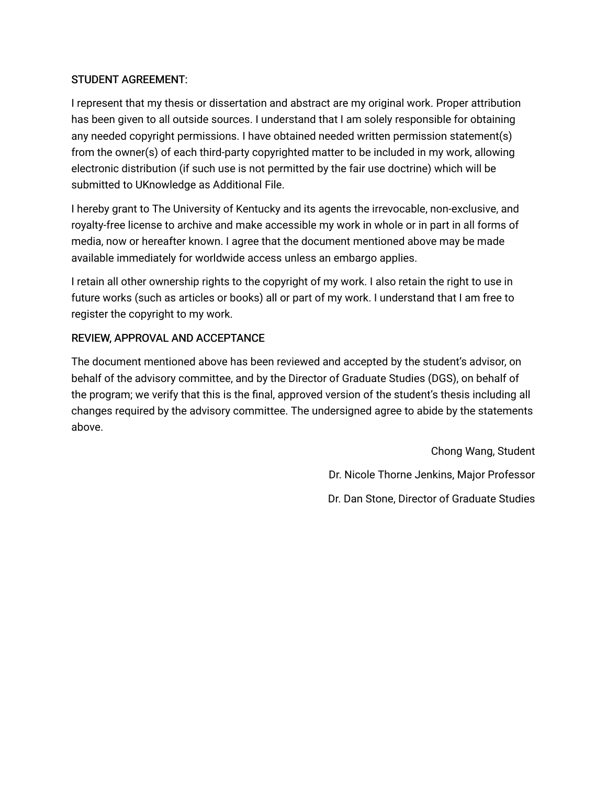# STUDENT AGREEMENT:

I represent that my thesis or dissertation and abstract are my original work. Proper attribution has been given to all outside sources. I understand that I am solely responsible for obtaining any needed copyright permissions. I have obtained needed written permission statement(s) from the owner(s) of each third-party copyrighted matter to be included in my work, allowing electronic distribution (if such use is not permitted by the fair use doctrine) which will be submitted to UKnowledge as Additional File.

I hereby grant to The University of Kentucky and its agents the irrevocable, non-exclusive, and royalty-free license to archive and make accessible my work in whole or in part in all forms of media, now or hereafter known. I agree that the document mentioned above may be made available immediately for worldwide access unless an embargo applies.

I retain all other ownership rights to the copyright of my work. I also retain the right to use in future works (such as articles or books) all or part of my work. I understand that I am free to register the copyright to my work.

# REVIEW, APPROVAL AND ACCEPTANCE

The document mentioned above has been reviewed and accepted by the student's advisor, on behalf of the advisory committee, and by the Director of Graduate Studies (DGS), on behalf of the program; we verify that this is the final, approved version of the student's thesis including all changes required by the advisory committee. The undersigned agree to abide by the statements above.

> Chong Wang, Student Dr. Nicole Thorne Jenkins, Major Professor Dr. Dan Stone, Director of Graduate Studies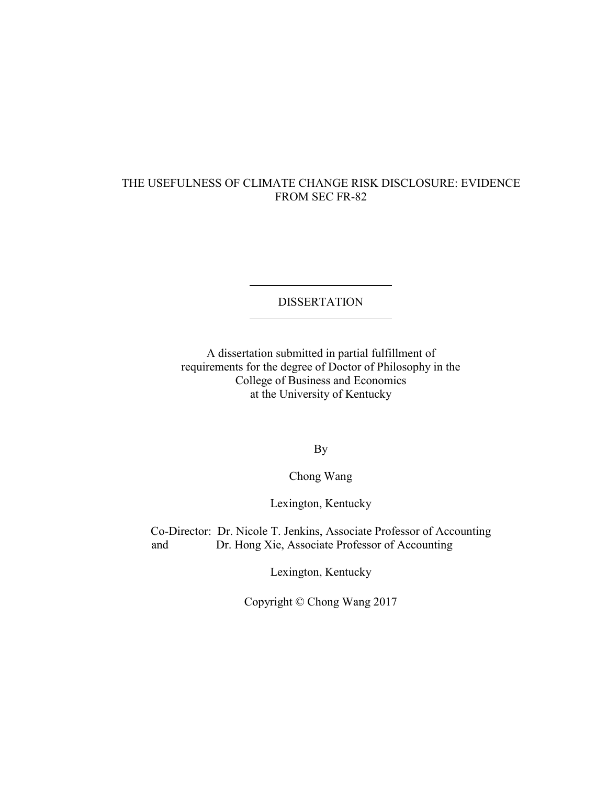### THE USEFULNESS OF CLIMATE CHANGE RISK DISCLOSURE: EVIDENCE FROM SEC FR-82

### DISSERTATION

A dissertation submitted in partial fulfillment of requirements for the degree of Doctor of Philosophy in the College of Business and Economics at the University of Kentucky

By

Chong Wang

Lexington, Kentucky

Co-Director: Dr. Nicole T. Jenkins, Associate Professor of Accounting and Dr. Hong Xie, Associate Professor of Accounting

Lexington, Kentucky

Copyright © Chong Wang 2017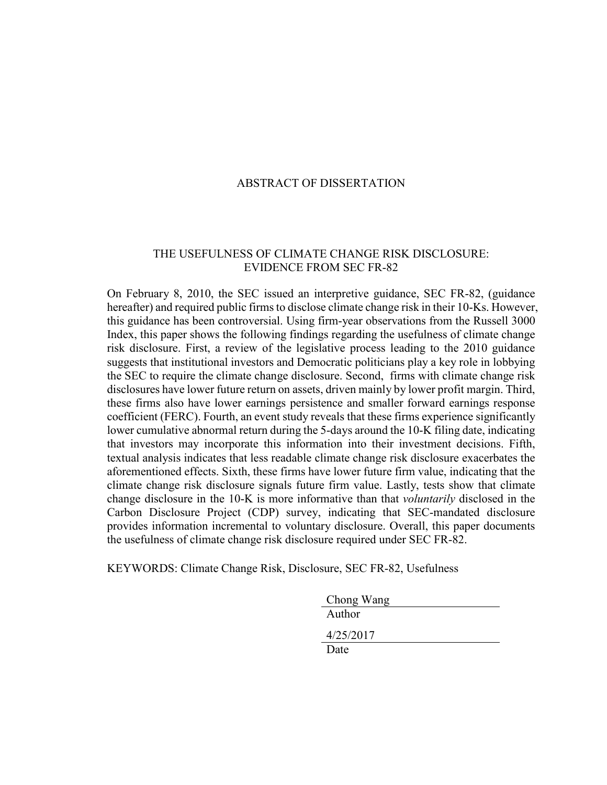#### ABSTRACT OF DISSERTATION

#### THE USEFULNESS OF CLIMATE CHANGE RISK DISCLOSURE: EVIDENCE FROM SEC FR-82

On February 8, 2010, the SEC issued an interpretive guidance, SEC FR-82, (guidance hereafter) and required public firms to disclose climate change risk in their 10-Ks. However, this guidance has been controversial. Using firm-year observations from the Russell 3000 Index, this paper shows the following findings regarding the usefulness of climate change risk disclosure. First, a review of the legislative process leading to the 2010 guidance suggests that institutional investors and Democratic politicians play a key role in lobbying the SEC to require the climate change disclosure. Second, firms with climate change risk disclosures have lower future return on assets, driven mainly by lower profit margin. Third, these firms also have lower earnings persistence and smaller forward earnings response coefficient (FERC). Fourth, an event study reveals that these firms experience significantly lower cumulative abnormal return during the 5-days around the 10-K filing date, indicating that investors may incorporate this information into their investment decisions. Fifth, textual analysis indicates that less readable climate change risk disclosure exacerbates the aforementioned effects. Sixth, these firms have lower future firm value, indicating that the climate change risk disclosure signals future firm value. Lastly, tests show that climate change disclosure in the 10-K is more informative than that *voluntarily* disclosed in the Carbon Disclosure Project (CDP) survey, indicating that SEC-mandated disclosure provides information incremental to voluntary disclosure. Overall, this paper documents the usefulness of climate change risk disclosure required under SEC FR-82.

KEYWORDS: Climate Change Risk, Disclosure, SEC FR-82, Usefulness

| Chong Wang |
|------------|
| Author     |
| 4/25/2017  |
| Date       |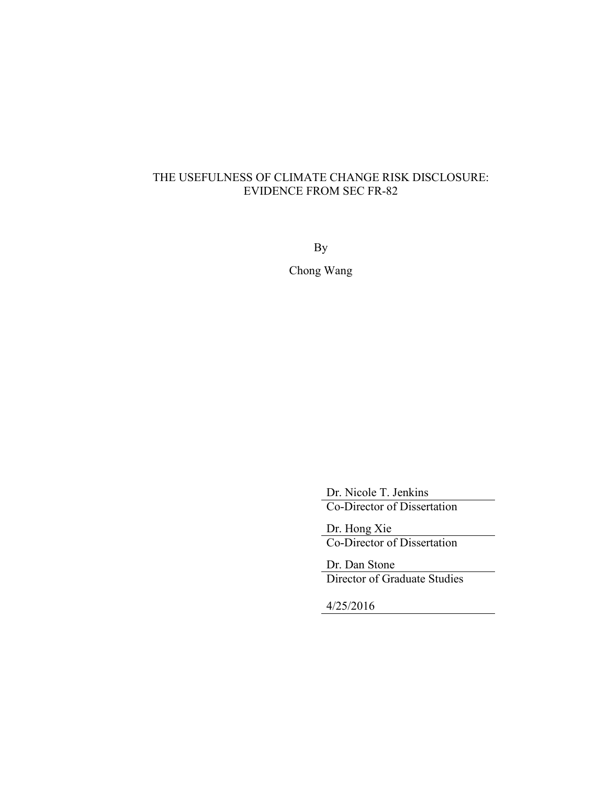# THE USEFULNESS OF CLIMATE CHANGE RISK DISCLOSURE: EVIDENCE FROM SEC FR-82

By

Chong Wang

Dr. Nicole T. Jenkins Co-Director of Dissertation

Dr. Hong Xie Co-Director of Dissertation

Dr. Dan Stone Director of Graduate Studies

4/25/2016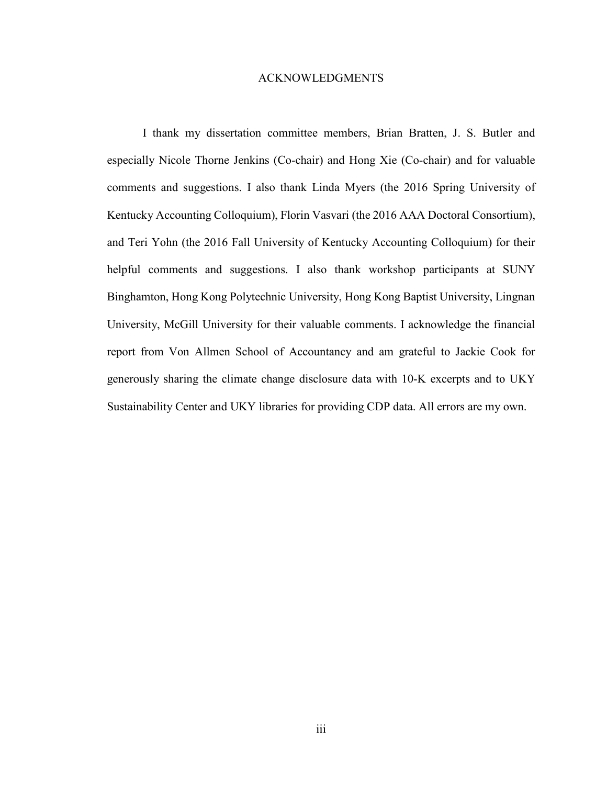#### ACKNOWLEDGMENTS

I thank my dissertation committee members, Brian Bratten, J. S. Butler and especially Nicole Thorne Jenkins (Co-chair) and Hong Xie (Co-chair) and for valuable comments and suggestions. I also thank Linda Myers (the 2016 Spring University of Kentucky Accounting Colloquium), Florin Vasvari (the 2016 AAA Doctoral Consortium), and Teri Yohn (the 2016 Fall University of Kentucky Accounting Colloquium) for their helpful comments and suggestions. I also thank workshop participants at SUNY Binghamton, Hong Kong Polytechnic University, Hong Kong Baptist University, Lingnan University, McGill University for their valuable comments. I acknowledge the financial report from Von Allmen School of Accountancy and am grateful to Jackie Cook for generously sharing the climate change disclosure data with 10-K excerpts and to UKY Sustainability Center and UKY libraries for providing CDP data. All errors are my own.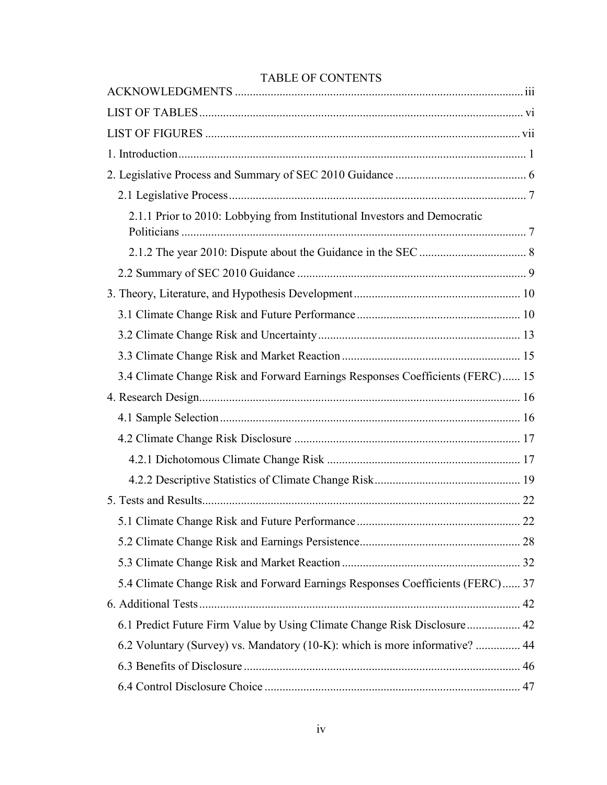# TABLE OF CONTENTS

| 2.1.1 Prior to 2010: Lobbying from Institutional Investors and Democratic     |
|-------------------------------------------------------------------------------|
|                                                                               |
|                                                                               |
|                                                                               |
|                                                                               |
|                                                                               |
|                                                                               |
| 3.4 Climate Change Risk and Forward Earnings Responses Coefficients (FERC) 15 |
|                                                                               |
|                                                                               |
|                                                                               |
|                                                                               |
|                                                                               |
|                                                                               |
|                                                                               |
|                                                                               |
|                                                                               |
| 5.4 Climate Change Risk and Forward Earnings Responses Coefficients (FERC) 37 |
|                                                                               |
| 6.1 Predict Future Firm Value by Using Climate Change Risk Disclosure 42      |
| 6.2 Voluntary (Survey) vs. Mandatory (10-K): which is more informative?  44   |
|                                                                               |
|                                                                               |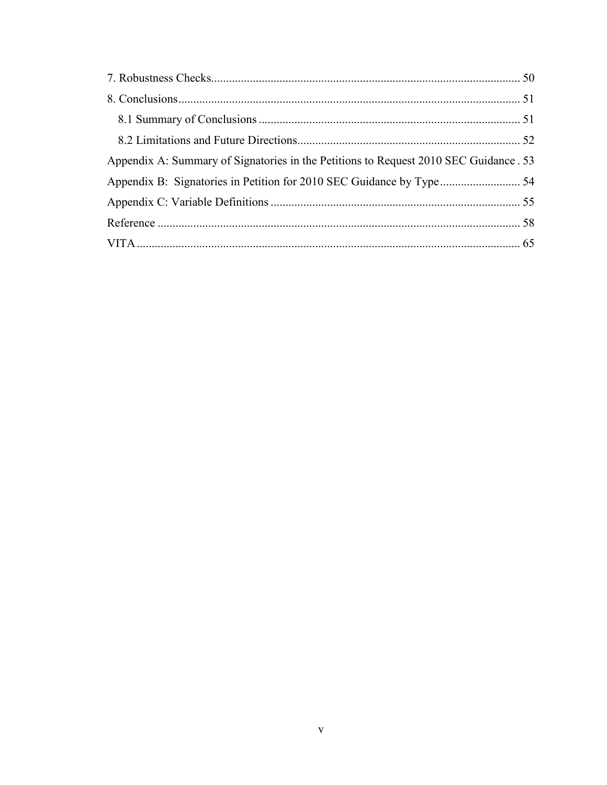| Appendix A: Summary of Signatories in the Petitions to Request 2010 SEC Guidance . 53 |  |
|---------------------------------------------------------------------------------------|--|
|                                                                                       |  |
|                                                                                       |  |
|                                                                                       |  |
|                                                                                       |  |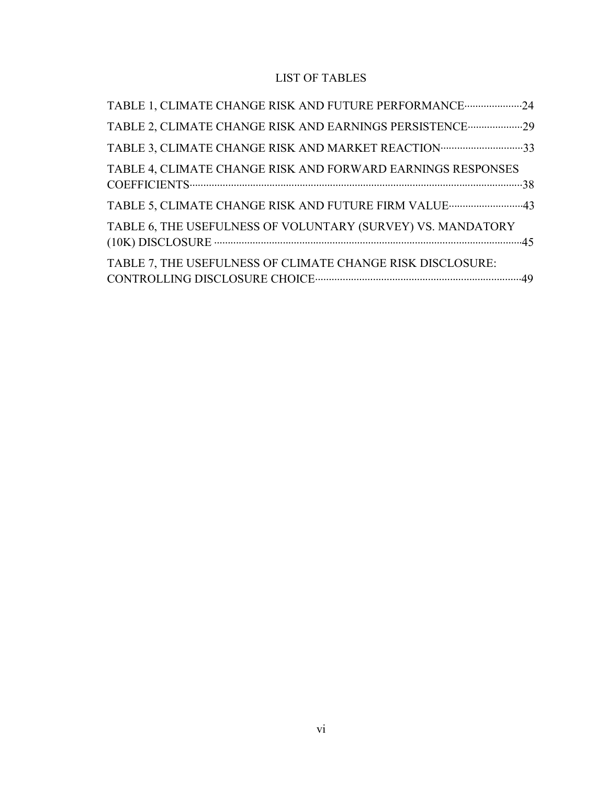# LIST OF TABLES

| TABLE 1, CLIMATE CHANGE RISK AND FUTURE PERFORMANCE 24      |
|-------------------------------------------------------------|
| TABLE 2, CLIMATE CHANGE RISK AND EARNINGS PERSISTENCE 29    |
| TABLE 3, CLIMATE CHANGE RISK AND MARKET REACTION 33         |
| TABLE 4, CLIMATE CHANGE RISK AND FORWARD EARNINGS RESPONSES |
|                                                             |
| TABLE 6, THE USEFULNESS OF VOLUNTARY (SURVEY) VS. MANDATORY |
| TABLE 7, THE USEFULNESS OF CLIMATE CHANGE RISK DISCLOSURE:  |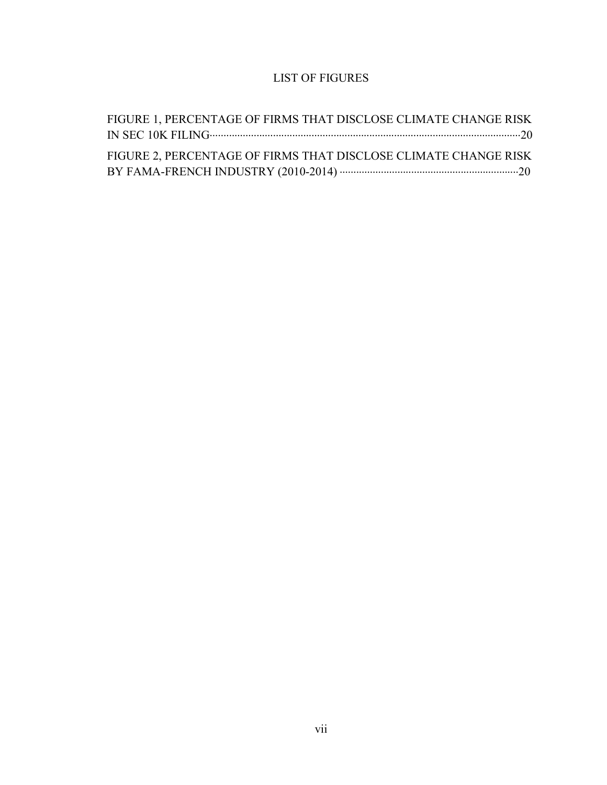# LIST OF FIGURES

| FIGURE 1, PERCENTAGE OF FIRMS THAT DISCLOSE CLIMATE CHANGE RISK |  |
|-----------------------------------------------------------------|--|
|                                                                 |  |
| FIGURE 2, PERCENTAGE OF FIRMS THAT DISCLOSE CLIMATE CHANGE RISK |  |
|                                                                 |  |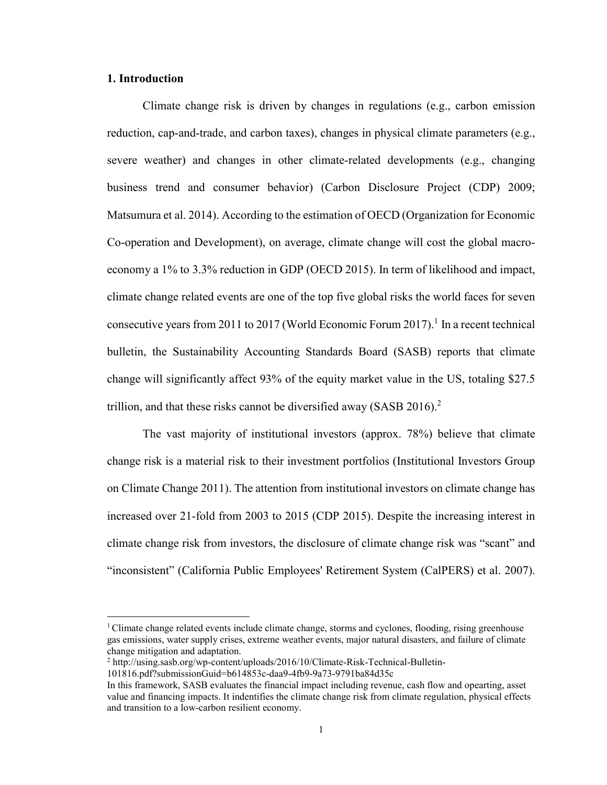#### **1. Introduction**

Climate change risk is driven by changes in regulations (e.g., carbon emission reduction, cap-and-trade, and carbon taxes), changes in physical climate parameters (e.g., severe weather) and changes in other climate-related developments (e.g., changing business trend and consumer behavior) (Carbon Disclosure Project (CDP) 2009; Matsumura et al. 2014). According to the estimation of OECD (Organization for Economic Co-operation and Development), on average, climate change will cost the global macroeconomy a 1% to 3.3% reduction in GDP (OECD 2015). In term of likelihood and impact, climate change related events are one of the top five global risks the world faces for seven consecutive years from 2011 to 2017 (World Economic Forum 2017).<sup>1</sup> In a recent technical bulletin, the Sustainability Accounting Standards Board (SASB) reports that climate change will significantly affect 93% of the equity market value in the US, totaling \$27.5 trillion, and that these risks cannot be diversified away (SASB 2016).<sup>2</sup>

The vast majority of institutional investors (approx. 78%) believe that climate change risk is a material risk to their investment portfolios (Institutional Investors Group on Climate Change 2011). The attention from institutional investors on climate change has increased over 21-fold from 2003 to 2015 (CDP 2015). Despite the increasing interest in climate change risk from investors, the disclosure of climate change risk was "scant" and "inconsistent" (California Public Employees' Retirement System (CalPERS) et al. 2007).

 $1$ Climate change related events include climate change, storms and cyclones, flooding, rising greenhouse gas emissions, water supply crises, extreme weather events, major natural disasters, and failure of climate change mitigation and adaptation.

<sup>&</sup>lt;sup>2</sup> http://using.sasb.org/wp-content/uploads/2016/10/Climate-Risk-Technical-Bulletin-

<sup>101816.</sup>pdf?submissionGuid=b614853c-daa9-4fb9-9a73-9791ba84d35c

In this framework, SASB evaluates the financial impact including revenue, cash flow and opearting, asset value and financing impacts. It indentifies the climate change risk from climate regulation, physical effects and transition to a low-carbon resilient economy.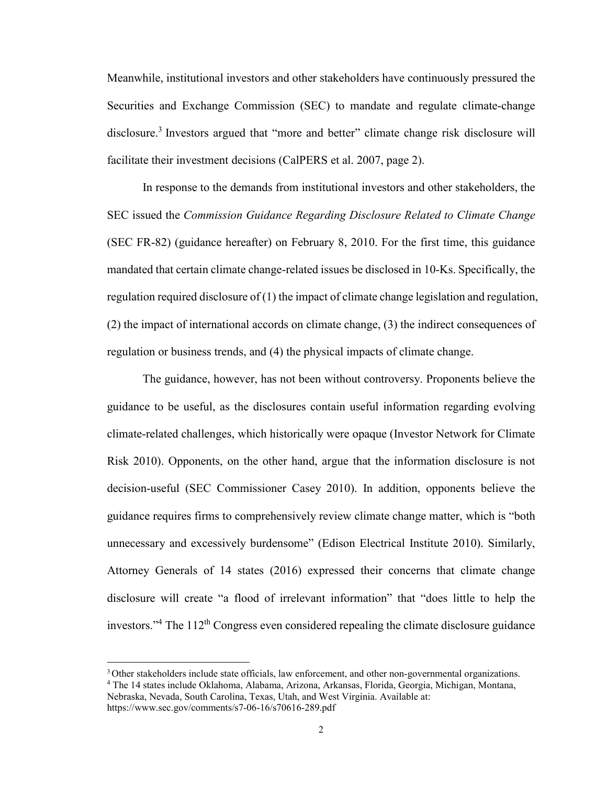Meanwhile, institutional investors and other stakeholders have continuously pressured the Securities and Exchange Commission (SEC) to mandate and regulate climate-change disclosure.<sup>3</sup> Investors argued that "more and better" climate change risk disclosure will facilitate their investment decisions (CalPERS et al. 2007, page 2).

In response to the demands from institutional investors and other stakeholders, the SEC issued the *Commission Guidance Regarding Disclosure Related to Climate Change*  (SEC FR-82) (guidance hereafter) on February 8, 2010. For the first time, this guidance mandated that certain climate change-related issues be disclosed in 10-Ks. Specifically, the regulation required disclosure of (1) the impact of climate change legislation and regulation, (2) the impact of international accords on climate change, (3) the indirect consequences of regulation or business trends, and (4) the physical impacts of climate change.

The guidance, however, has not been without controversy. Proponents believe the guidance to be useful, as the disclosures contain useful information regarding evolving climate-related challenges, which historically were opaque (Investor Network for Climate Risk 2010). Opponents, on the other hand, argue that the information disclosure is not decision-useful (SEC Commissioner Casey 2010). In addition, opponents believe the guidance requires firms to comprehensively review climate change matter, which is "both unnecessary and excessively burdensome" (Edison Electrical Institute 2010). Similarly, Attorney Generals of 14 states (2016) expressed their concerns that climate change disclosure will create "a flood of irrelevant information" that "does little to help the investors."<sup>4</sup> The  $112<sup>th</sup>$  Congress even considered repealing the climate disclosure guidance

 <sup>3</sup>Other stakeholders include state officials, law enforcement, and other non-governmental organizations. <sup>4</sup> The 14 states include Oklahoma, Alabama, Arizona, Arkansas, Florida, Georgia, Michigan, Montana,

Nebraska, Nevada, South Carolina, Texas, Utah, and West Virginia. Available at: https://www.sec.gov/comments/s7-06-16/s70616-289.pdf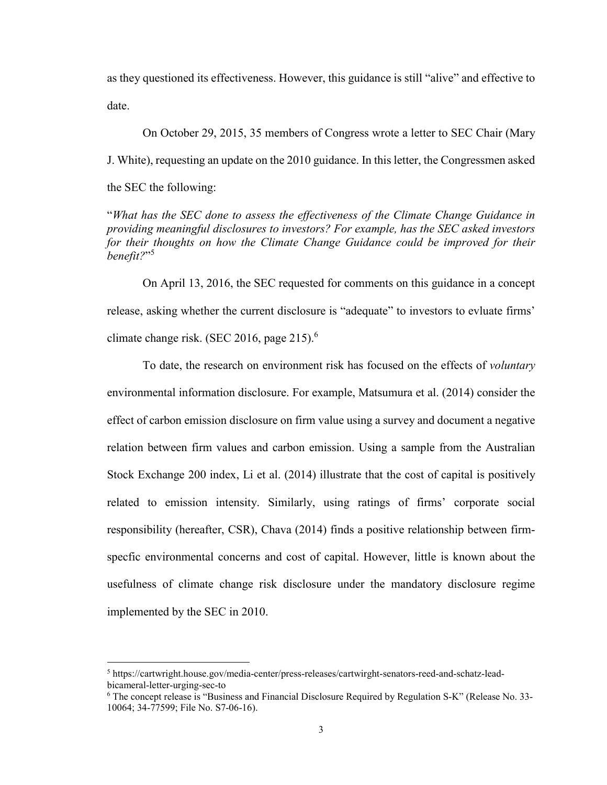as they questioned its effectiveness. However, this guidance is still "alive" and effective to date.

On October 29, 2015, 35 members of Congress wrote a letter to SEC Chair (Mary J. White), requesting an update on the 2010 guidance. In this letter, the Congressmen asked the SEC the following:

"*What has the SEC done to assess the effectiveness of the Climate Change Guidance in providing meaningful disclosures to investors? For example, has the SEC asked investors for their thoughts on how the Climate Change Guidance could be improved for their benefit?*"<sup>5</sup>

On April 13, 2016, the SEC requested for comments on this guidance in a concept release, asking whether the current disclosure is "adequate" to investors to evluate firms' climate change risk. (SEC 2016, page  $215$ ).<sup>6</sup>

To date, the research on environment risk has focused on the effects of *voluntary* environmental information disclosure. For example, Matsumura et al. (2014) consider the effect of carbon emission disclosure on firm value using a survey and document a negative relation between firm values and carbon emission. Using a sample from the Australian Stock Exchange 200 index, Li et al. (2014) illustrate that the cost of capital is positively related to emission intensity. Similarly, using ratings of firms' corporate social responsibility (hereafter, CSR), Chava (2014) finds a positive relationship between firmspecfic environmental concerns and cost of capital. However, little is known about the usefulness of climate change risk disclosure under the mandatory disclosure regime implemented by the SEC in 2010.

 <sup>5</sup> https://cartwright.house.gov/media-center/press-releases/cartwirght-senators-reed-and-schatz-leadbicameral-letter-urging-sec-to

 $6$  The concept release is "Business and Financial Disclosure Required by Regulation S-K" (Release No. 33-10064; 34-77599; File No. S7-06-16).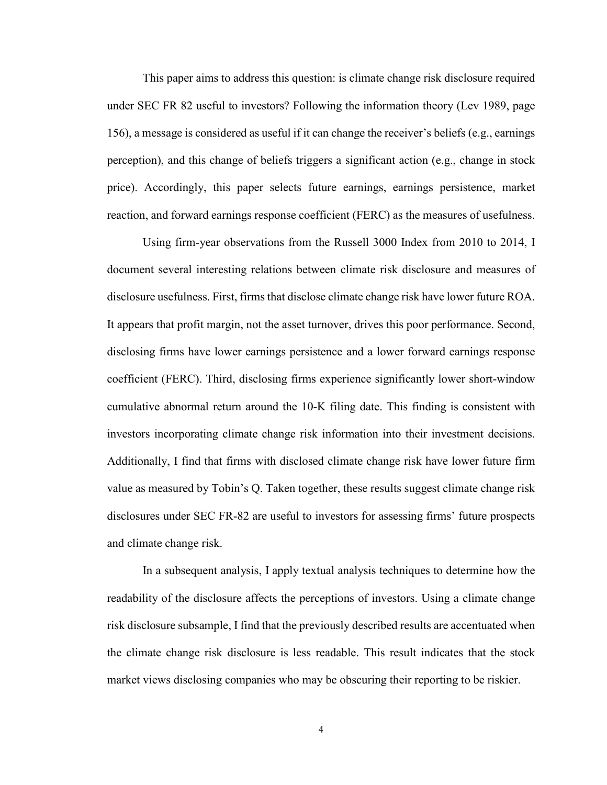This paper aims to address this question: is climate change risk disclosure required under SEC FR 82 useful to investors? Following the information theory (Lev 1989, page 156), a message is considered as useful if it can change the receiver's beliefs (e.g., earnings perception), and this change of beliefs triggers a significant action (e.g., change in stock price). Accordingly, this paper selects future earnings, earnings persistence, market reaction, and forward earnings response coefficient (FERC) as the measures of usefulness.

Using firm-year observations from the Russell 3000 Index from 2010 to 2014, I document several interesting relations between climate risk disclosure and measures of disclosure usefulness. First, firms that disclose climate change risk have lower future ROA. It appears that profit margin, not the asset turnover, drives this poor performance. Second, disclosing firms have lower earnings persistence and a lower forward earnings response coefficient (FERC). Third, disclosing firms experience significantly lower short-window cumulative abnormal return around the 10-K filing date. This finding is consistent with investors incorporating climate change risk information into their investment decisions. Additionally, I find that firms with disclosed climate change risk have lower future firm value as measured by Tobin's Q. Taken together, these results suggest climate change risk disclosures under SEC FR-82 are useful to investors for assessing firms' future prospects and climate change risk.

In a subsequent analysis, I apply textual analysis techniques to determine how the readability of the disclosure affects the perceptions of investors. Using a climate change risk disclosure subsample, I find that the previously described results are accentuated when the climate change risk disclosure is less readable. This result indicates that the stock market views disclosing companies who may be obscuring their reporting to be riskier.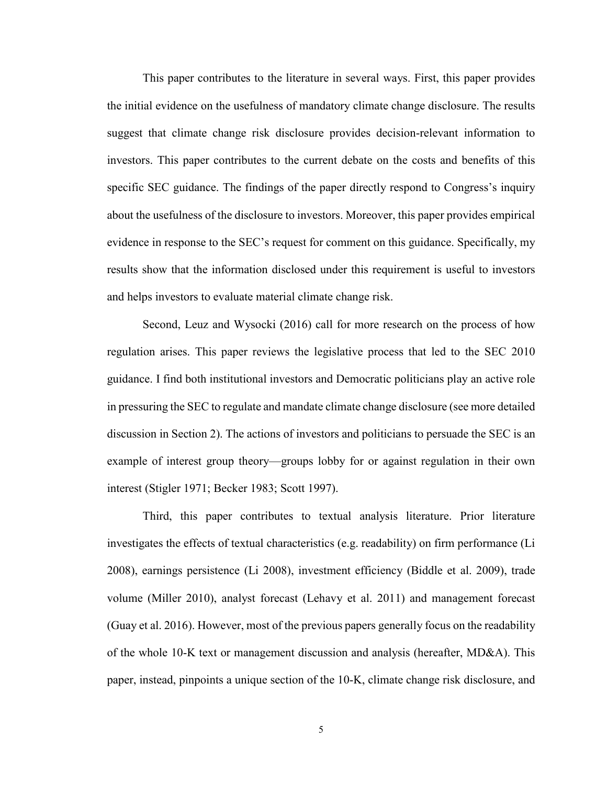This paper contributes to the literature in several ways. First, this paper provides the initial evidence on the usefulness of mandatory climate change disclosure. The results suggest that climate change risk disclosure provides decision-relevant information to investors. This paper contributes to the current debate on the costs and benefits of this specific SEC guidance. The findings of the paper directly respond to Congress's inquiry about the usefulness of the disclosure to investors. Moreover, this paper provides empirical evidence in response to the SEC's request for comment on this guidance. Specifically, my results show that the information disclosed under this requirement is useful to investors and helps investors to evaluate material climate change risk.

Second, Leuz and Wysocki (2016) call for more research on the process of how regulation arises. This paper reviews the legislative process that led to the SEC 2010 guidance. I find both institutional investors and Democratic politicians play an active role in pressuring the SEC to regulate and mandate climate change disclosure (see more detailed discussion in Section 2). The actions of investors and politicians to persuade the SEC is an example of interest group theory—groups lobby for or against regulation in their own interest (Stigler 1971; Becker 1983; Scott 1997).

Third, this paper contributes to textual analysis literature. Prior literature investigates the effects of textual characteristics (e.g. readability) on firm performance (Li 2008), earnings persistence (Li 2008), investment efficiency (Biddle et al. 2009), trade volume (Miller 2010), analyst forecast (Lehavy et al. 2011) and management forecast (Guay et al. 2016). However, most of the previous papers generally focus on the readability of the whole 10-K text or management discussion and analysis (hereafter, MD&A). This paper, instead, pinpoints a unique section of the 10-K, climate change risk disclosure, and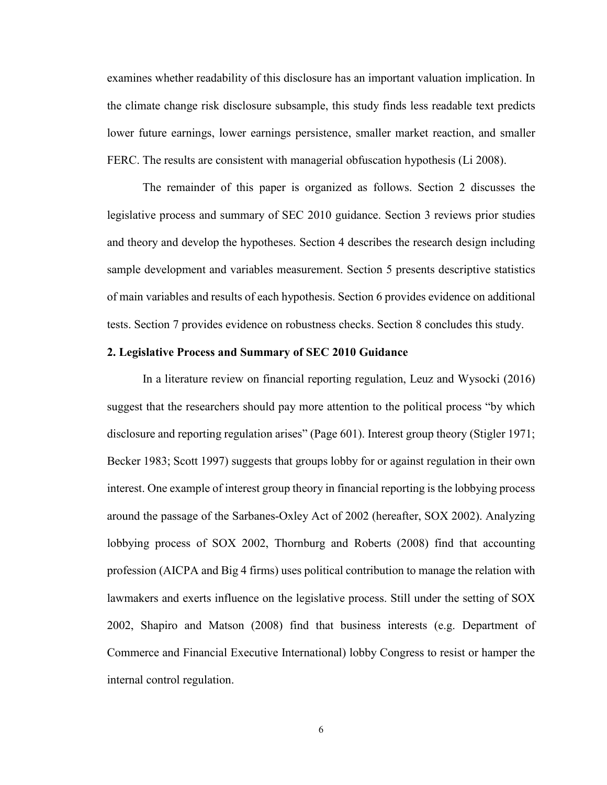examines whether readability of this disclosure has an important valuation implication. In the climate change risk disclosure subsample, this study finds less readable text predicts lower future earnings, lower earnings persistence, smaller market reaction, and smaller FERC. The results are consistent with managerial obfuscation hypothesis (Li 2008).

The remainder of this paper is organized as follows. Section 2 discusses the legislative process and summary of SEC 2010 guidance. Section 3 reviews prior studies and theory and develop the hypotheses. Section 4 describes the research design including sample development and variables measurement. Section 5 presents descriptive statistics of main variables and results of each hypothesis. Section 6 provides evidence on additional tests. Section 7 provides evidence on robustness checks. Section 8 concludes this study.

#### **2. Legislative Process and Summary of SEC 2010 Guidance**

In a literature review on financial reporting regulation, Leuz and Wysocki (2016) suggest that the researchers should pay more attention to the political process "by which disclosure and reporting regulation arises" (Page 601). Interest group theory (Stigler 1971; Becker 1983; Scott 1997) suggests that groups lobby for or against regulation in their own interest. One example of interest group theory in financial reporting is the lobbying process around the passage of the Sarbanes-Oxley Act of 2002 (hereafter, SOX 2002). Analyzing lobbying process of SOX 2002, Thornburg and Roberts (2008) find that accounting profession (AICPA and Big 4 firms) uses political contribution to manage the relation with lawmakers and exerts influence on the legislative process. Still under the setting of SOX 2002, Shapiro and Matson (2008) find that business interests (e.g. Department of Commerce and Financial Executive International) lobby Congress to resist or hamper the internal control regulation.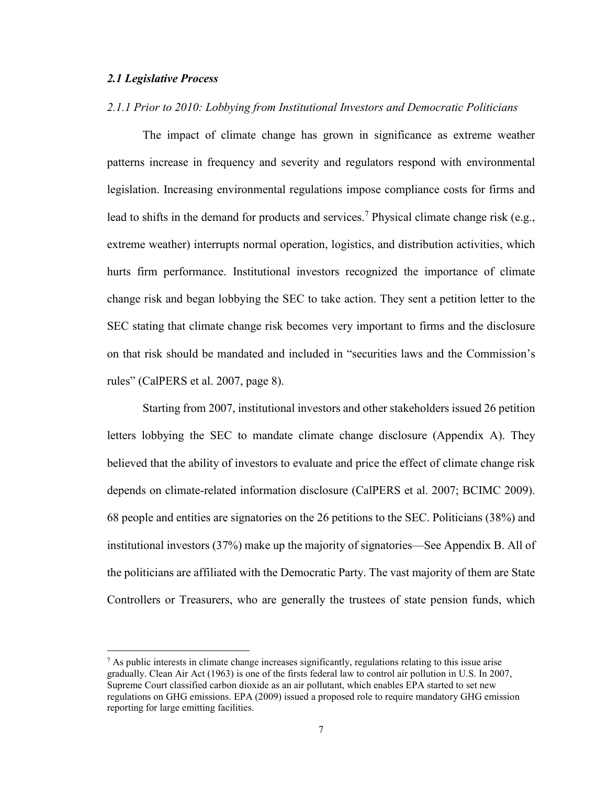#### *2.1 Legislative Process*

#### *2.1.1 Prior to 2010: Lobbying from Institutional Investors and Democratic Politicians*

The impact of climate change has grown in significance as extreme weather patterns increase in frequency and severity and regulators respond with environmental legislation. Increasing environmental regulations impose compliance costs for firms and lead to shifts in the demand for products and services.<sup>7</sup> Physical climate change risk (e.g., extreme weather) interrupts normal operation, logistics, and distribution activities, which hurts firm performance. Institutional investors recognized the importance of climate change risk and began lobbying the SEC to take action. They sent a petition letter to the SEC stating that climate change risk becomes very important to firms and the disclosure on that risk should be mandated and included in "securities laws and the Commission's rules" (CalPERS et al. 2007, page 8).

Starting from 2007, institutional investors and other stakeholders issued 26 petition letters lobbying the SEC to mandate climate change disclosure (Appendix A). They believed that the ability of investors to evaluate and price the effect of climate change risk depends on climate-related information disclosure (CalPERS et al. 2007; BCIMC 2009). 68 people and entities are signatories on the 26 petitions to the SEC. Politicians (38%) and institutional investors (37%) make up the majority of signatories—See Appendix B. All of the politicians are affiliated with the Democratic Party. The vast majority of them are State Controllers or Treasurers, who are generally the trustees of state pension funds, which

 $^7$  As public interests in climate change increases significantly, regulations relating to this issue arise gradually. Clean Air Act (1963) is one of the firsts federal law to control air pollution in U.S. In 2007, Supreme Court classified carbon dioxide as an air pollutant, which enables EPA started to set new regulations on GHG emissions. EPA (2009) issued a proposed role to require mandatory GHG emission reporting for large emitting facilities.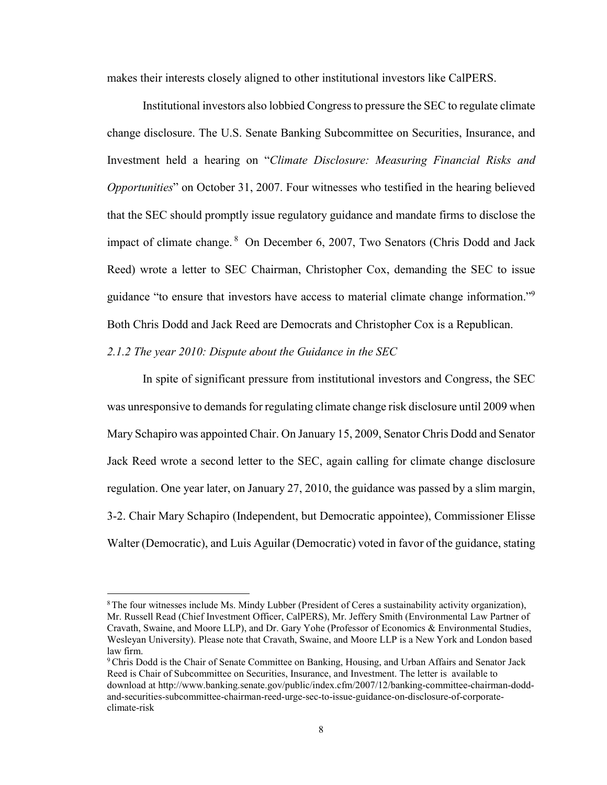makes their interests closely aligned to other institutional investors like CalPERS.

Institutional investors also lobbied Congress to pressure the SEC to regulate climate change disclosure. The U.S. Senate Banking Subcommittee on Securities, Insurance, and Investment held a hearing on "*Climate Disclosure: Measuring Financial Risks and Opportunities*" on October 31, 2007. Four witnesses who testified in the hearing believed that the SEC should promptly issue regulatory guidance and mandate firms to disclose the impact of climate change. <sup>8</sup> On December 6, 2007, Two Senators (Chris Dodd and Jack Reed) wrote a letter to SEC Chairman, Christopher Cox, demanding the SEC to issue guidance "to ensure that investors have access to material climate change information."<sup>9</sup> Both Chris Dodd and Jack Reed are Democrats and Christopher Cox is a Republican.

*2.1.2 The year 2010: Dispute about the Guidance in the SEC*

In spite of significant pressure from institutional investors and Congress, the SEC was unresponsive to demands for regulating climate change risk disclosure until 2009 when Mary Schapiro was appointed Chair. On January 15, 2009, Senator Chris Dodd and Senator Jack Reed wrote a second letter to the SEC, again calling for climate change disclosure regulation. One year later, on January 27, 2010, the guidance was passed by a slim margin, 3-2. Chair Mary Schapiro (Independent, but Democratic appointee), Commissioner Elisse Walter (Democratic), and Luis Aguilar (Democratic) voted in favor of the guidance, stating

 <sup>8</sup>The four witnesses include Ms. Mindy Lubber (President of Ceres a sustainability activity organization), Mr. Russell Read (Chief Investment Officer, CalPERS), Mr. Jeffery Smith (Environmental Law Partner of Cravath, Swaine, and Moore LLP), and Dr. Gary Yohe (Professor of Economics & Environmental Studies, Wesleyan University). Please note that Cravath, Swaine, and Moore LLP is a New York and London based law firm.

<sup>9</sup>Chris Dodd is the Chair of Senate Committee on Banking, Housing, and Urban Affairs and Senator Jack Reed is Chair of Subcommittee on Securities, Insurance, and Investment. The letter is available to download at http://www.banking.senate.gov/public/index.cfm/2007/12/banking-committee-chairman-doddand-securities-subcommittee-chairman-reed-urge-sec-to-issue-guidance-on-disclosure-of-corporateclimate-risk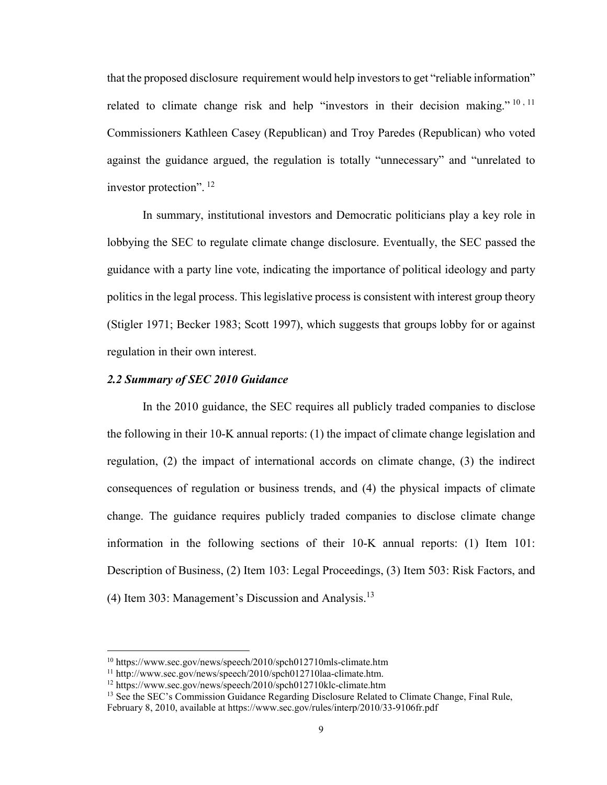that the proposed disclosure requirement would help investors to get "reliable information" related to climate change risk and help "investors in their decision making."  $10, 11$ Commissioners Kathleen Casey (Republican) and Troy Paredes (Republican) who voted against the guidance argued, the regulation is totally "unnecessary" and "unrelated to investor protection". <sup>12</sup>

In summary, institutional investors and Democratic politicians play a key role in lobbying the SEC to regulate climate change disclosure. Eventually, the SEC passed the guidance with a party line vote, indicating the importance of political ideology and party politics in the legal process. This legislative process is consistent with interest group theory (Stigler 1971; Becker 1983; Scott 1997), which suggests that groups lobby for or against regulation in their own interest.

#### *2.2 Summary of SEC 2010 Guidance*

In the 2010 guidance, the SEC requires all publicly traded companies to disclose the following in their 10-K annual reports: (1) the impact of climate change legislation and regulation, (2) the impact of international accords on climate change, (3) the indirect consequences of regulation or business trends, and (4) the physical impacts of climate change. The guidance requires publicly traded companies to disclose climate change information in the following sections of their 10-K annual reports: (1) Item 101: Description of Business, (2) Item 103: Legal Proceedings, (3) Item 503: Risk Factors, and (4) Item 303: Management's Discussion and Analysis.<sup>13</sup>

 <sup>10</sup> https://www.sec.gov/news/speech/2010/spch012710mls-climate.htm

<sup>11</sup> http://www.sec.gov/news/speech/2010/spch012710laa-climate.htm.

<sup>12</sup> https://www.sec.gov/news/speech/2010/spch012710klc-climate.htm

<sup>&</sup>lt;sup>13</sup> See the SEC's Commission Guidance Regarding Disclosure Related to Climate Change, Final Rule,

February 8, 2010, available at https://www.sec.gov/rules/interp/2010/33-9106fr.pdf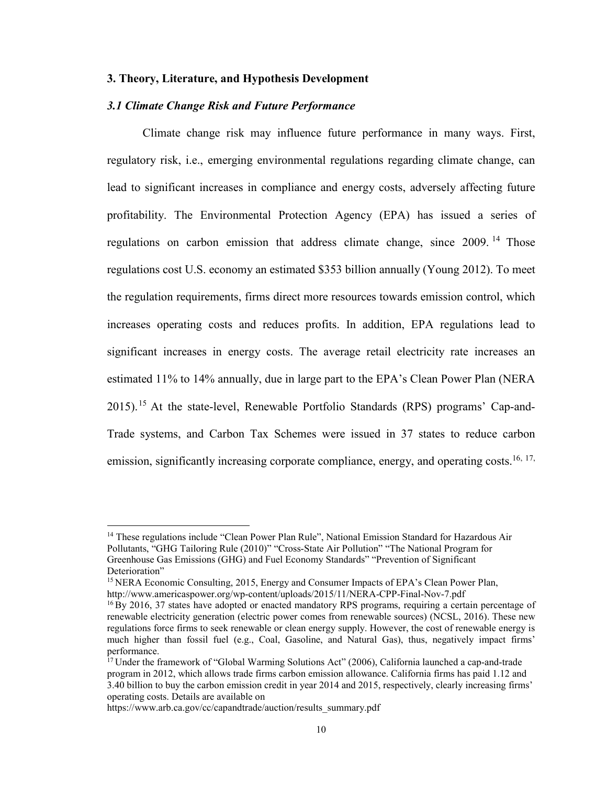#### **3. Theory, Literature, and Hypothesis Development**

#### *3.1 Climate Change Risk and Future Performance*

Climate change risk may influence future performance in many ways. First, regulatory risk, i.e., emerging environmental regulations regarding climate change, can lead to significant increases in compliance and energy costs, adversely affecting future profitability. The Environmental Protection Agency (EPA) has issued a series of regulations on carbon emission that address climate change, since 2009.<sup>14</sup> Those regulations cost U.S. economy an estimated \$353 billion annually (Young 2012). To meet the regulation requirements, firms direct more resources towards emission control, which increases operating costs and reduces profits. In addition, EPA regulations lead to significant increases in energy costs. The average retail electricity rate increases an estimated 11% to 14% annually, due in large part to the EPA's Clean Power Plan (NERA 2015).<sup>15</sup> At the state-level, Renewable Portfolio Standards (RPS) programs' Cap-and-Trade systems, and Carbon Tax Schemes were issued in 37 states to reduce carbon emission, significantly increasing corporate compliance, energy, and operating costs.<sup>16, 17,</sup>

<sup>&</sup>lt;sup>14</sup> These regulations include "Clean Power Plan Rule", National Emission Standard for Hazardous Air Pollutants, "GHG Tailoring Rule (2010)" "Cross-State Air Pollution" "The National Program for Greenhouse Gas Emissions (GHG) and Fuel Economy Standards" "Prevention of Significant Deterioration"

<sup>&</sup>lt;sup>15</sup> NERA Economic Consulting, 2015, Energy and Consumer Impacts of EPA's Clean Power Plan, http://www.americaspower.org/wp-content/uploads/2015/11/NERA-CPP-Final-Nov-7.pdf

<sup>&</sup>lt;sup>16</sup>By 2016, 37 states have adopted or enacted mandatory RPS programs, requiring a certain percentage of renewable electricity generation (electric power comes from renewable sources) (NCSL, 2016). These new regulations force firms to seek renewable or clean energy supply. However, the cost of renewable energy is much higher than fossil fuel (e.g., Coal, Gasoline, and Natural Gas), thus, negatively impact firms' performance.

 $17$  Under the framework of "Global Warming Solutions Act" (2006), California launched a cap-and-trade program in 2012, which allows trade firms carbon emission allowance. California firms has paid 1.12 and 3.40 billion to buy the carbon emission credit in year 2014 and 2015, respectively, clearly increasing firms' operating costs. Details are available on

https://www.arb.ca.gov/cc/capandtrade/auction/results\_summary.pdf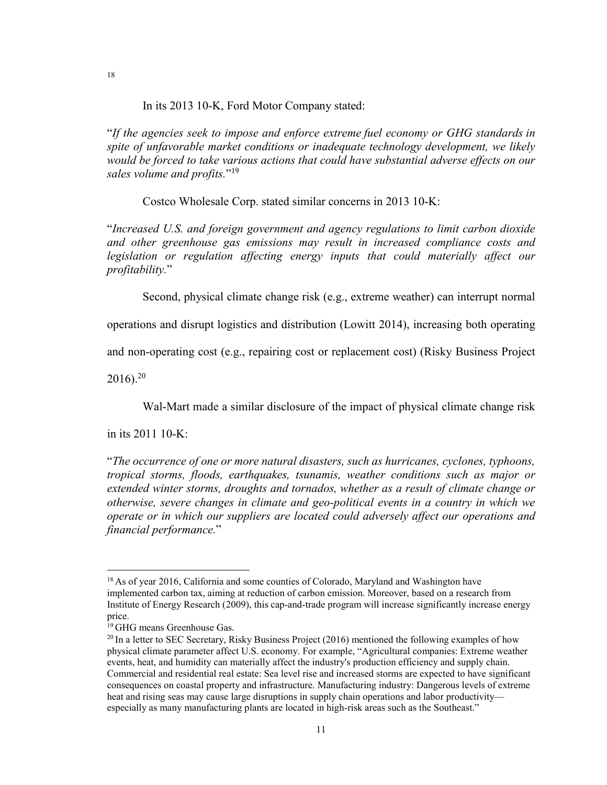In its 2013 10-K, Ford Motor Company stated:

"*If the agencies seek to impose and enforce extreme fuel economy or GHG standards in spite of unfavorable market conditions or inadequate technology development, we likely would be forced to take various actions that could have substantial adverse effects on our sales volume and profits.*"19

Costco Wholesale Corp. stated similar concerns in 2013 10-K:

"*Increased U.S. and foreign government and agency regulations to limit carbon dioxide and other greenhouse gas emissions may result in increased compliance costs and legislation or regulation affecting energy inputs that could materially affect our profitability.*"

Second, physical climate change risk (e.g., extreme weather) can interrupt normal

operations and disrupt logistics and distribution (Lowitt 2014), increasing both operating

and non-operating cost (e.g., repairing cost or replacement cost) (Risky Business Project

 $2016$ .<sup>20</sup>

Wal-Mart made a similar disclosure of the impact of physical climate change risk

in its 2011 10-K:

"*The occurrence of one or more natural disasters, such as hurricanes, cyclones, typhoons, tropical storms, floods, earthquakes, tsunamis, weather conditions such as major or extended winter storms, droughts and tornados, whether as a result of climate change or otherwise, severe changes in climate and geo-political events in a country in which we operate or in which our suppliers are located could adversely affect our operations and financial performance.*"

<sup>&</sup>lt;sup>18</sup> As of year 2016, California and some counties of Colorado, Maryland and Washington have implemented carbon tax, aiming at reduction of carbon emission. Moreover, based on a research from Institute of Energy Research (2009), this cap-and-trade program will increase significantly increase energy price.

<sup>&</sup>lt;sup>19</sup> GHG means Greenhouse Gas.

 $^{20}$  In a letter to SEC Secretary, Risky Business Project (2016) mentioned the following examples of how physical climate parameter affect U.S. economy. For example, "Agricultural companies: Extreme weather events, heat, and humidity can materially affect the industry's production efficiency and supply chain. Commercial and residential real estate: Sea level rise and increased storms are expected to have significant consequences on coastal property and infrastructure. Manufacturing industry: Dangerous levels of extreme heat and rising seas may cause large disruptions in supply chain operations and labor productivity especially as many manufacturing plants are located in high-risk areas such as the Southeast."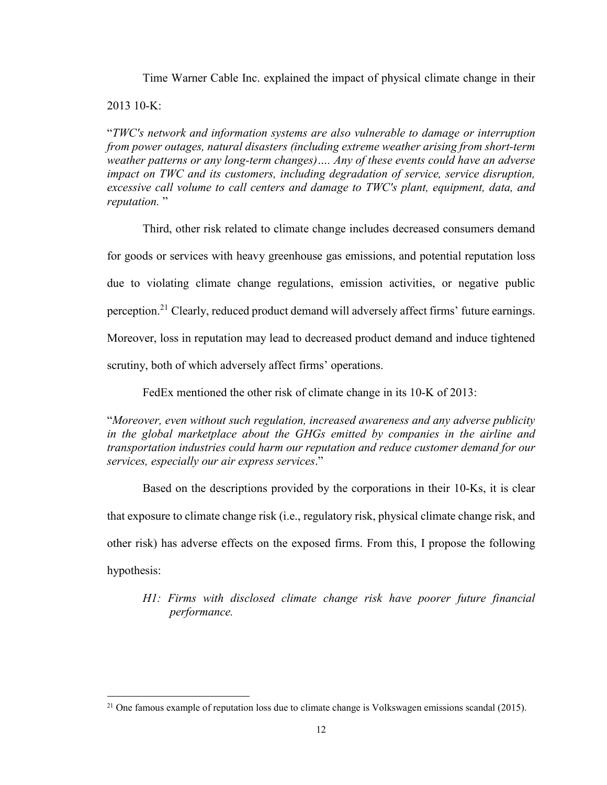Time Warner Cable Inc. explained the impact of physical climate change in their

 $2013$  10-K:

"*TWC's network and information systems are also vulnerable to damage or interruption from power outages, natural disasters (including extreme weather arising from short-term weather patterns or any long-term changes)…. Any of these events could have an adverse impact on TWC and its customers, including degradation of service, service disruption, excessive call volume to call centers and damage to TWC's plant, equipment, data, and reputation.* "

Third, other risk related to climate change includes decreased consumers demand for goods or services with heavy greenhouse gas emissions, and potential reputation loss due to violating climate change regulations, emission activities, or negative public perception.<sup>21</sup> Clearly, reduced product demand will adversely affect firms' future earnings. Moreover, loss in reputation may lead to decreased product demand and induce tightened scrutiny, both of which adversely affect firms' operations.

FedEx mentioned the other risk of climate change in its 10-K of 2013:

"*Moreover, even without such regulation, increased awareness and any adverse publicity in the global marketplace about the GHGs emitted by companies in the airline and transportation industries could harm our reputation and reduce customer demand for our services, especially our air express services*."

Based on the descriptions provided by the corporations in their 10-Ks, it is clear that exposure to climate change risk (i.e., regulatory risk, physical climate change risk, and other risk) has adverse effects on the exposed firms. From this, I propose the following hypothesis:

*H1: Firms with disclosed climate change risk have poorer future financial performance.*

<sup>&</sup>lt;sup>21</sup> One famous example of reputation loss due to climate change is Volkswagen emissions scandal (2015).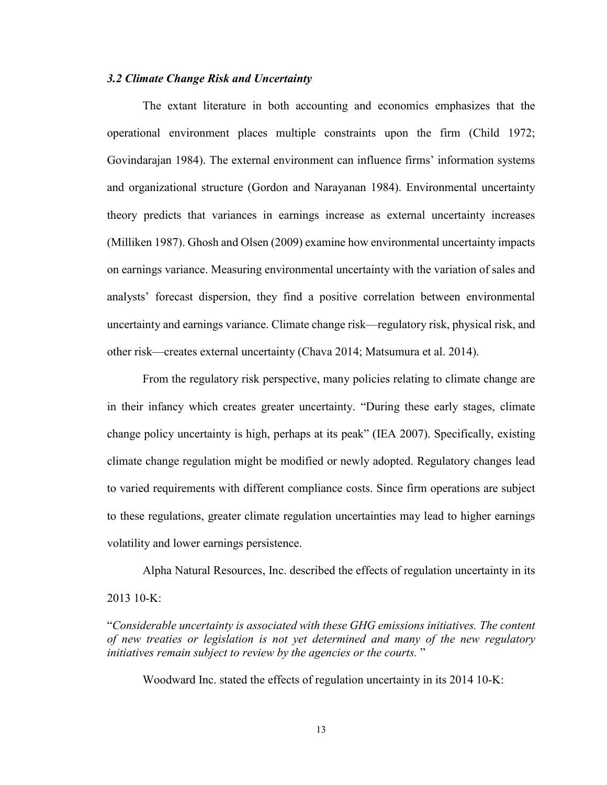#### *3.2 Climate Change Risk and Uncertainty*

The extant literature in both accounting and economics emphasizes that the operational environment places multiple constraints upon the firm (Child 1972; Govindarajan 1984). The external environment can influence firms' information systems and organizational structure (Gordon and Narayanan 1984). Environmental uncertainty theory predicts that variances in earnings increase as external uncertainty increases (Milliken 1987). Ghosh and Olsen (2009) examine how environmental uncertainty impacts on earnings variance. Measuring environmental uncertainty with the variation of sales and analysts' forecast dispersion, they find a positive correlation between environmental uncertainty and earnings variance. Climate change risk—regulatory risk, physical risk, and other risk—creates external uncertainty (Chava 2014; Matsumura et al. 2014).

From the regulatory risk perspective, many policies relating to climate change are in their infancy which creates greater uncertainty. "During these early stages, climate change policy uncertainty is high, perhaps at its peak" (IEA 2007). Specifically, existing climate change regulation might be modified or newly adopted. Regulatory changes lead to varied requirements with different compliance costs. Since firm operations are subject to these regulations, greater climate regulation uncertainties may lead to higher earnings volatility and lower earnings persistence.

Alpha Natural Resources, Inc. described the effects of regulation uncertainty in its 2013 10-K:

"*Considerable uncertainty is associated with these GHG emissions initiatives. The content of new treaties or legislation is not yet determined and many of the new regulatory initiatives remain subject to review by the agencies or the courts.* "

Woodward Inc. stated the effects of regulation uncertainty in its 2014 10-K: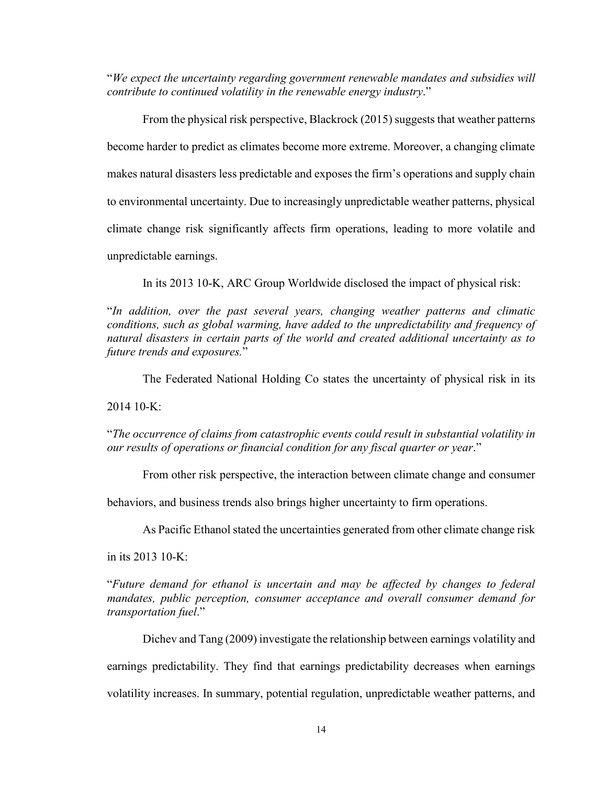"*We expect the uncertainty regarding government renewable mandates and subsidies will contribute to continued volatility in the renewable energy industry*."

From the physical risk perspective, Blackrock (2015) suggests that weather patterns become harder to predict as climates become more extreme. Moreover, a changing climate makes natural disasters less predictable and exposes the firm's operations and supply chain to environmental uncertainty. Due to increasingly unpredictable weather patterns, physical climate change risk significantly affects firm operations, leading to more volatile and unpredictable earnings.

In its 2013 10-K, ARC Group Worldwide disclosed the impact of physical risk:

"*In addition, over the past several years, changing weather patterns and climatic conditions, such as global warming, have added to the unpredictability and frequency of natural disasters in certain parts of the world and created additional uncertainty as to future trends and exposures.*"

The Federated National Holding Co states the uncertainty of physical risk in its

 $201410-K:$ 

"*The occurrence of claims from catastrophic events could result in substantial volatility in our results of operations or financial condition for any fiscal quarter or year*."

From other risk perspective, the interaction between climate change and consumer

behaviors, and business trends also brings higher uncertainty to firm operations.

As Pacific Ethanol stated the uncertainties generated from other climate change risk

in its 2013 10-K:

"*Future demand for ethanol is uncertain and may be affected by changes to federal mandates, public perception, consumer acceptance and overall consumer demand for transportation fuel*."

Dichev and Tang (2009) investigate the relationship between earnings volatility and earnings predictability. They find that earnings predictability decreases when earnings volatility increases. In summary, potential regulation, unpredictable weather patterns, and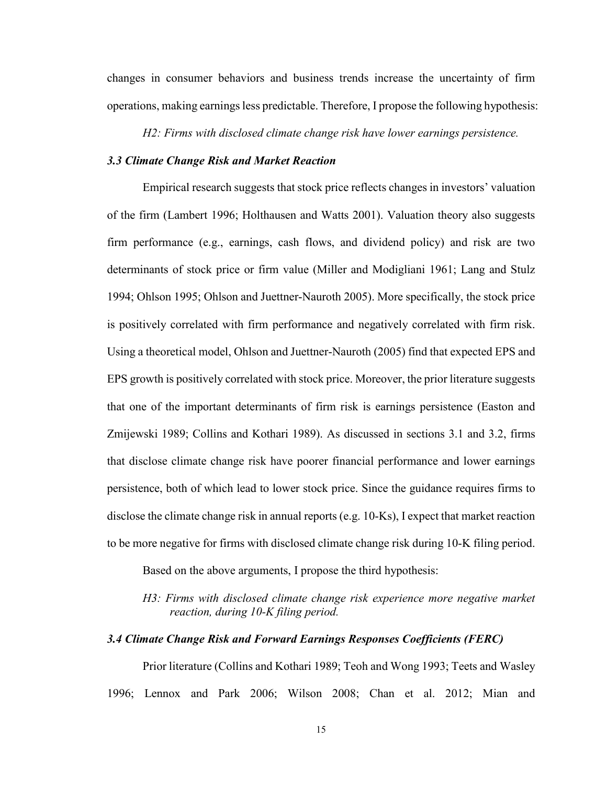changes in consumer behaviors and business trends increase the uncertainty of firm operations, making earnings less predictable. Therefore, I propose the following hypothesis:

*H2: Firms with disclosed climate change risk have lower earnings persistence.*

#### *3.3 Climate Change Risk and Market Reaction*

Empirical research suggests that stock price reflects changes in investors' valuation of the firm (Lambert 1996; Holthausen and Watts 2001). Valuation theory also suggests firm performance (e.g., earnings, cash flows, and dividend policy) and risk are two determinants of stock price or firm value (Miller and Modigliani 1961; Lang and Stulz 1994; Ohlson 1995; Ohlson and Juettner-Nauroth 2005). More specifically, the stock price is positively correlated with firm performance and negatively correlated with firm risk. Using a theoretical model, Ohlson and Juettner-Nauroth (2005) find that expected EPS and EPS growth is positively correlated with stock price. Moreover, the prior literature suggests that one of the important determinants of firm risk is earnings persistence (Easton and Zmijewski 1989; Collins and Kothari 1989). As discussed in sections 3.1 and 3.2, firms that disclose climate change risk have poorer financial performance and lower earnings persistence, both of which lead to lower stock price. Since the guidance requires firms to disclose the climate change risk in annual reports (e.g. 10-Ks), I expect that market reaction to be more negative for firms with disclosed climate change risk during 10-K filing period.

Based on the above arguments, I propose the third hypothesis:

### *H3: Firms with disclosed climate change risk experience more negative market reaction, during 10-K filing period.*

#### *3.4 Climate Change Risk and Forward Earnings Responses Coefficients (FERC)*

Prior literature (Collins and Kothari 1989; Teoh and Wong 1993; Teets and Wasley 1996; Lennox and Park 2006; Wilson 2008; Chan et al. 2012; Mian and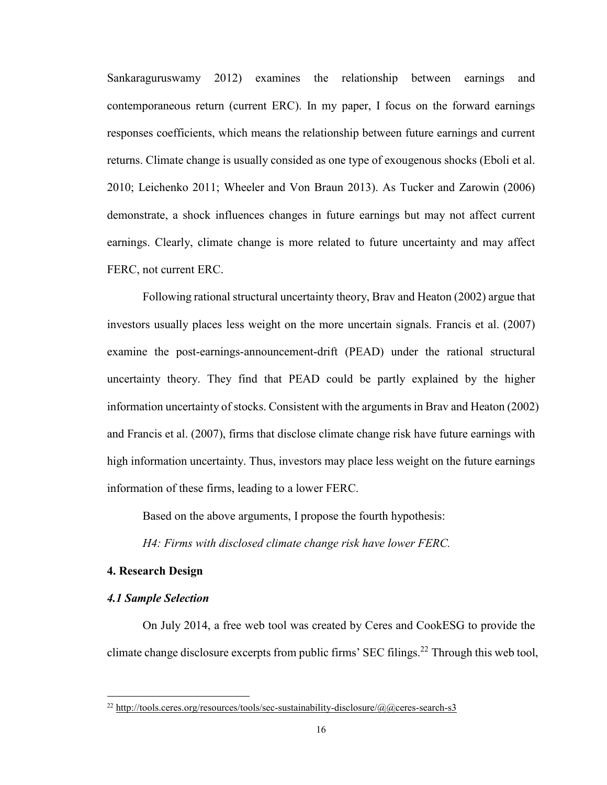Sankaraguruswamy 2012) examines the relationship between earnings and contemporaneous return (current ERC). In my paper, I focus on the forward earnings responses coefficients, which means the relationship between future earnings and current returns. Climate change is usually consided as one type of exougenous shocks (Eboli et al. 2010; Leichenko 2011; Wheeler and Von Braun 2013). As Tucker and Zarowin (2006) demonstrate, a shock influences changes in future earnings but may not affect current earnings. Clearly, climate change is more related to future uncertainty and may affect FERC, not current ERC.

Following rational structural uncertainty theory, Brav and Heaton (2002) argue that investors usually places less weight on the more uncertain signals. Francis et al. (2007) examine the post-earnings-announcement-drift (PEAD) under the rational structural uncertainty theory. They find that PEAD could be partly explained by the higher information uncertainty of stocks. Consistent with the arguments in Brav and Heaton (2002) and Francis et al. (2007), firms that disclose climate change risk have future earnings with high information uncertainty. Thus, investors may place less weight on the future earnings information of these firms, leading to a lower FERC.

Based on the above arguments, I propose the fourth hypothesis:

*H4: Firms with disclosed climate change risk have lower FERC.*

#### **4. Research Design**

#### *4.1 Sample Selection*

On July 2014, a free web tool was created by Ceres and CookESG to provide the climate change disclosure excerpts from public firms' SEC filings.22 Through this web tool,

 $^{22}$  http://tools.ceres.org/resources/tools/sec-sustainability-disclosure/@@ceres-search-s3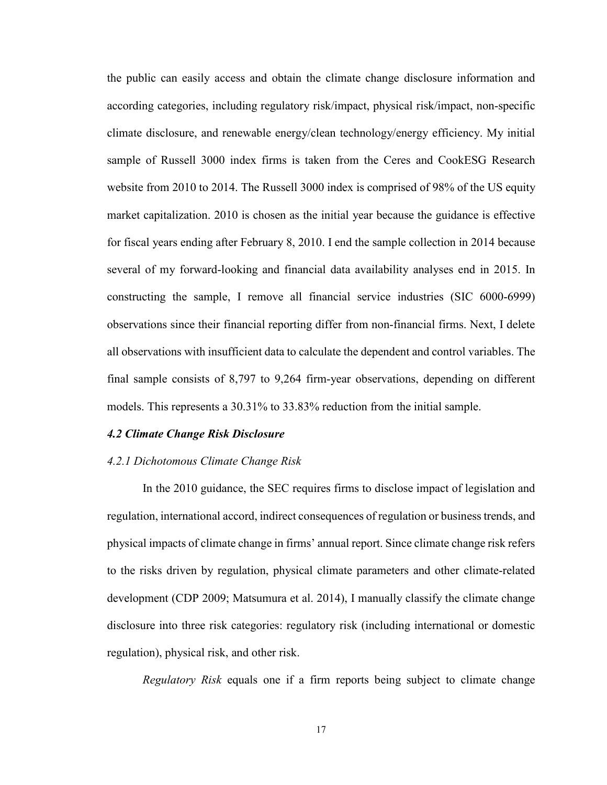the public can easily access and obtain the climate change disclosure information and according categories, including regulatory risk/impact, physical risk/impact, non-specific climate disclosure, and renewable energy/clean technology/energy efficiency. My initial sample of Russell 3000 index firms is taken from the Ceres and CookESG Research website from 2010 to 2014. The Russell 3000 index is comprised of 98% of the US equity market capitalization. 2010 is chosen as the initial year because the guidance is effective for fiscal years ending after February 8, 2010. I end the sample collection in 2014 because several of my forward-looking and financial data availability analyses end in 2015. In constructing the sample, I remove all financial service industries (SIC 6000-6999) observations since their financial reporting differ from non-financial firms. Next, I delete all observations with insufficient data to calculate the dependent and control variables. The final sample consists of 8,797 to 9,264 firm-year observations, depending on different models. This represents a 30.31% to 33.83% reduction from the initial sample.

#### *4.2 Climate Change Risk Disclosure*

#### *4.2.1 Dichotomous Climate Change Risk*

In the 2010 guidance, the SEC requires firms to disclose impact of legislation and regulation, international accord, indirect consequences of regulation or business trends, and physical impacts of climate change in firms' annual report. Since climate change risk refers to the risks driven by regulation, physical climate parameters and other climate-related development (CDP 2009; Matsumura et al. 2014), I manually classify the climate change disclosure into three risk categories: regulatory risk (including international or domestic regulation), physical risk, and other risk.

*Regulatory Risk* equals one if a firm reports being subject to climate change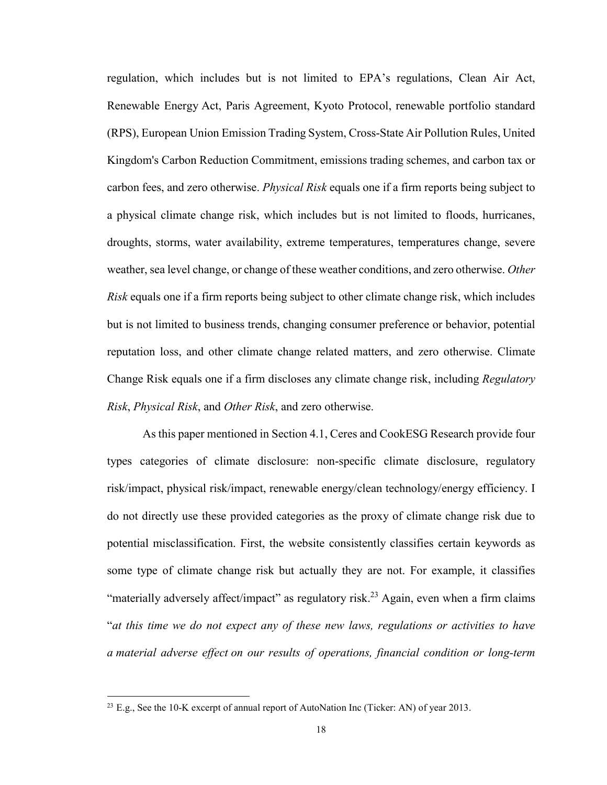regulation, which includes but is not limited to EPA's regulations, Clean Air Act, Renewable Energy Act, Paris Agreement, Kyoto Protocol, renewable portfolio standard (RPS), European Union Emission Trading System, Cross-State Air Pollution Rules, United Kingdom's Carbon Reduction Commitment, emissions trading schemes, and carbon tax or carbon fees, and zero otherwise. *Physical Risk* equals one if a firm reports being subject to a physical climate change risk, which includes but is not limited to floods, hurricanes, droughts, storms, water availability, extreme temperatures, temperatures change, severe weather, sea level change, or change of these weather conditions, and zero otherwise. *Other Risk* equals one if a firm reports being subject to other climate change risk, which includes but is not limited to business trends, changing consumer preference or behavior, potential reputation loss, and other climate change related matters, and zero otherwise. Climate Change Risk equals one if a firm discloses any climate change risk, including *Regulatory Risk*, *Physical Risk*, and *Other Risk*, and zero otherwise.

As this paper mentioned in Section 4.1, Ceres and CookESG Research provide four types categories of climate disclosure: non-specific climate disclosure, regulatory risk/impact, physical risk/impact, renewable energy/clean technology/energy efficiency. I do not directly use these provided categories as the proxy of climate change risk due to potential misclassification. First, the website consistently classifies certain keywords as some type of climate change risk but actually they are not. For example, it classifies "materially adversely affect/impact" as regulatory risk.<sup>23</sup> Again, even when a firm claims "*at this time we do not expect any of these new laws, regulations or activities to have a material adverse effect on our results of operations, financial condition or long-term* 

<sup>&</sup>lt;sup>23</sup> E.g., See the 10-K excerpt of annual report of AutoNation Inc (Ticker: AN) of year 2013.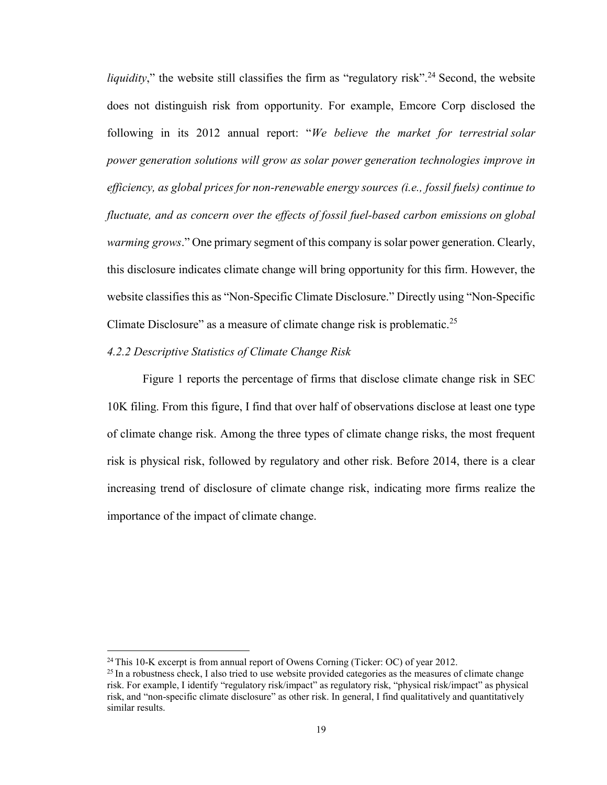*liquidity*," the website still classifies the firm as "regulatory risk".<sup>24</sup> Second, the website does not distinguish risk from opportunity. For example, Emcore Corp disclosed the following in its 2012 annual report: "*We believe the market for terrestrial solar power generation solutions will grow as solar power generation technologies improve in efficiency, as global prices for non-renewable energy sources (i.e., fossil fuels) continue to fluctuate, and as concern over the effects of fossil fuel-based carbon emissions on global warming grows*." One primary segment of this company is solar power generation. Clearly, this disclosure indicates climate change will bring opportunity for this firm. However, the website classifies this as "Non-Specific Climate Disclosure." Directly using "Non-Specific Climate Disclosure" as a measure of climate change risk is problematic.<sup>25</sup>

#### *4.2.2 Descriptive Statistics of Climate Change Risk*

Figure 1 reports the percentage of firms that disclose climate change risk in SEC 10K filing. From this figure, I find that over half of observations disclose at least one type of climate change risk. Among the three types of climate change risks, the most frequent risk is physical risk, followed by regulatory and other risk. Before 2014, there is a clear increasing trend of disclosure of climate change risk, indicating more firms realize the importance of the impact of climate change.

 $24$  This 10-K excerpt is from annual report of Owens Corning (Ticker: OC) of year 2012.

<sup>&</sup>lt;sup>25</sup> In a robustness check, I also tried to use website provided categories as the measures of climate change risk. For example, I identify "regulatory risk/impact" as regulatory risk, "physical risk/impact" as physical risk, and "non-specific climate disclosure" as other risk. In general, I find qualitatively and quantitatively similar results.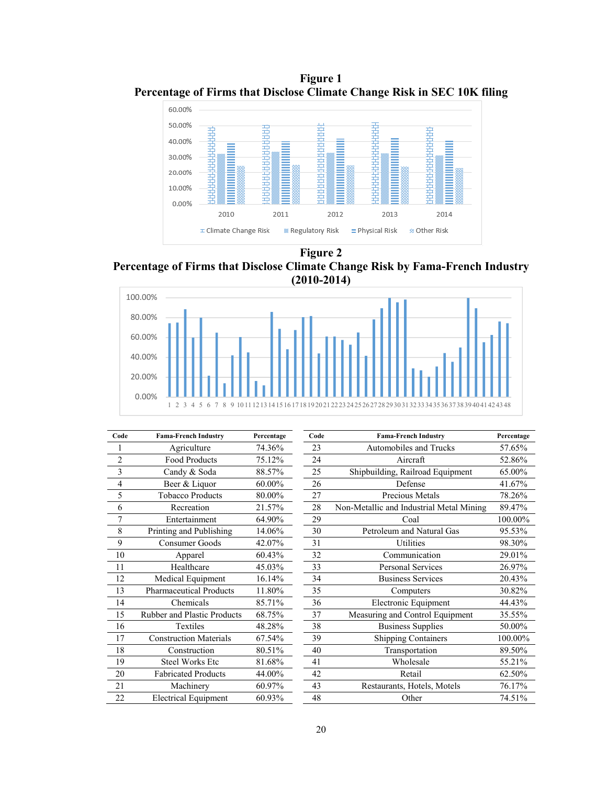**Figure 1 Percentage of Firms that Disclose Climate Change Risk in SEC 10K filing**



**Figure 2** 

**Percentage of Firms that Disclose Climate Change Risk by Fama-French Industry (2010-2014)**



| Code           | <b>Fama-French Industry</b>        | Percentage | Code | <b>Fama-French Industry</b>              |         |
|----------------|------------------------------------|------------|------|------------------------------------------|---------|
|                | Agriculture                        | 74.36%     | 23   | Automobiles and Trucks                   | 57.65%  |
| $\overline{2}$ | <b>Food Products</b>               | 75.12%     | 24   | Aircraft                                 | 52.86%  |
| 3              | Candy & Soda                       | 88.57%     | 25   | Shipbuilding, Railroad Equipment         | 65.00%  |
| 4              | Beer & Liquor                      | 60.00%     | 26   | Defense                                  | 41.67%  |
| 5              | <b>Tobacco Products</b>            | 80.00%     | 27   | Precious Metals                          | 78.26%  |
| 6              | Recreation                         | 21.57%     | 28   | Non-Metallic and Industrial Metal Mining | 89.47%  |
| 7              | Entertainment                      | 64.90%     | 29   | Coal                                     | 100.00% |
| 8              | Printing and Publishing            | 14.06%     | 30   | Petroleum and Natural Gas                | 95.53%  |
| 9              | Consumer Goods                     | 42.07%     | 31   | Utilities                                | 98.30%  |
| 10             | Apparel                            | 60.43%     | 32   | Communication                            | 29.01%  |
| 11             | Healthcare                         | 45.03%     | 33   | <b>Personal Services</b>                 | 26.97%  |
| 12             | Medical Equipment                  | 16.14%     | 34   | <b>Business Services</b>                 |         |
| 13             | <b>Pharmaceutical Products</b>     | 11.80%     | 35   | Computers                                |         |
| 14             | Chemicals                          | 85.71%     | 36   | Electronic Equipment                     |         |
| 15             | <b>Rubber and Plastic Products</b> | 68.75%     | 37   | Measuring and Control Equipment          | 35.55%  |
| 16             | <b>Textiles</b>                    | 48.28%     | 38   | <b>Business Supplies</b>                 | 50.00%  |
| 17             | <b>Construction Materials</b>      | 67.54%     | 39   | <b>Shipping Containers</b>               | 100.00% |
| 18             | Construction                       | 80.51%     | 40   | Transportation                           | 89.50%  |
| 19             | <b>Steel Works Etc</b>             | 81.68%     | 41   | Wholesale                                | 55.21%  |
| 20             | <b>Fabricated Products</b>         | 44.00%     | 42   | Retail                                   | 62.50%  |
| 21             | Machinery                          | 60.97%     | 43   | Restaurants, Hotels, Motels              | 76.17%  |
| 22             | <b>Electrical Equipment</b>        | 60.93%     | 48   | Other                                    | 74.51%  |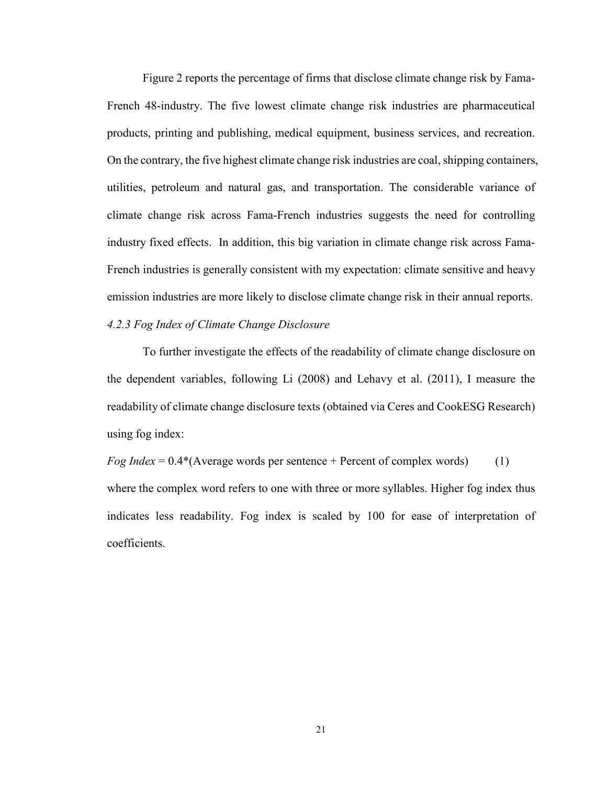Figure 2 reports the percentage of firms that disclose climate change risk by Fama-French 48-industry. The five lowest climate change risk industries are pharmaceutical products, printing and publishing, medical equipment, business services, and recreation. On the contrary, the five highest climate change risk industries are coal, shipping containers, utilities, petroleum and natural gas, and transportation. The considerable variance of climate change risk across Fama-French industries suggests the need for controlling industry fixed effects. In addition, this big variation in climate change risk across Fama-French industries is generally consistent with my expectation: climate sensitive and heavy emission industries are more likely to disclose climate change risk in their annual reports.

#### *4.2.3 Fog Index of Climate Change Disclosure*

To further investigate the effects of the readability of climate change disclosure on the dependent variables, following Li (2008) and Lehavy et al. (2011), I measure the readability of climate change disclosure texts (obtained via Ceres and CookESG Research) using fog index:

*Fog Index* = 0.4\*(Average words per sentence + Percent of complex words) (1) where the complex word refers to one with three or more syllables. Higher fog index thus indicates less readability. Fog index is scaled by 100 for ease of interpretation of coefficients.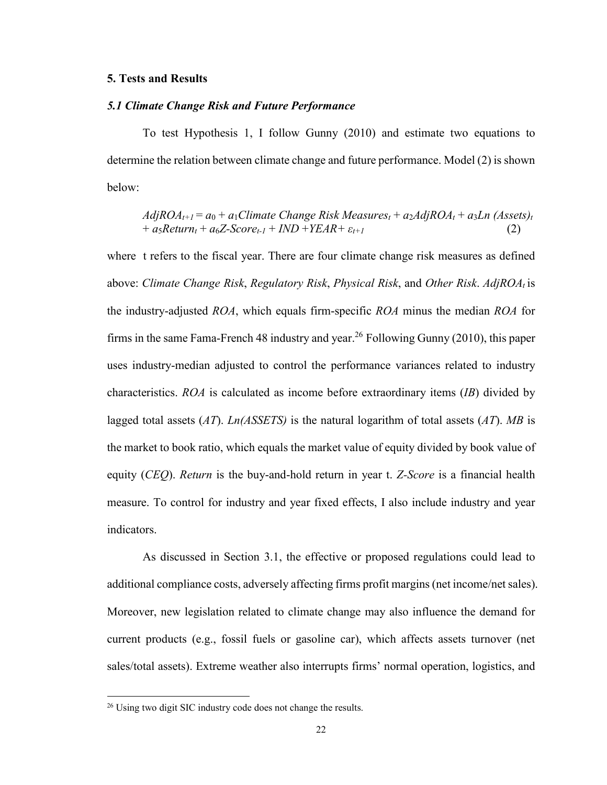#### *5.1 Climate Change Risk and Future Performance*

To test Hypothesis 1, I follow Gunny (2010) and estimate two equations to determine the relation between climate change and future performance. Model (2) is shown below:

 $AdjROA_{t+1} = a_0 + a_1$ Climate Change Risk Measures<sub>t</sub> +  $a_2AdjROA_t + a_3Ln (Assets)_t$  $+ a_5$ *Return<sub>t</sub>* +  $a_6$ *Z*-*Score<sub>t-1</sub>* + *IND* +*YEAR* +  $\varepsilon_{t+1}$  (2)

where t refers to the fiscal year. There are four climate change risk measures as defined above: *Climate Change Risk*, *Regulatory Risk*, *Physical Risk*, and *Other Risk*. *AdjROAt* is the industry-adjusted *ROA*, which equals firm-specific *ROA* minus the median *ROA* for firms in the same Fama-French 48 industry and year.<sup>26</sup> Following Gunny (2010), this paper uses industry-median adjusted to control the performance variances related to industry characteristics. *ROA* is calculated as income before extraordinary items (*IB*) divided by lagged total assets (*AT*). *Ln(ASSETS)* is the natural logarithm of total assets (*AT*). *MB* is the market to book ratio, which equals the market value of equity divided by book value of equity (*CEQ*). *Return* is the buy-and-hold return in year t. *Z-Score* is a financial health measure. To control for industry and year fixed effects, I also include industry and year indicators.

As discussed in Section 3.1, the effective or proposed regulations could lead to additional compliance costs, adversely affecting firms profit margins (net income/net sales). Moreover, new legislation related to climate change may also influence the demand for current products (e.g., fossil fuels or gasoline car), which affects assets turnover (net sales/total assets). Extreme weather also interrupts firms' normal operation, logistics, and

<sup>&</sup>lt;sup>26</sup> Using two digit SIC industry code does not change the results.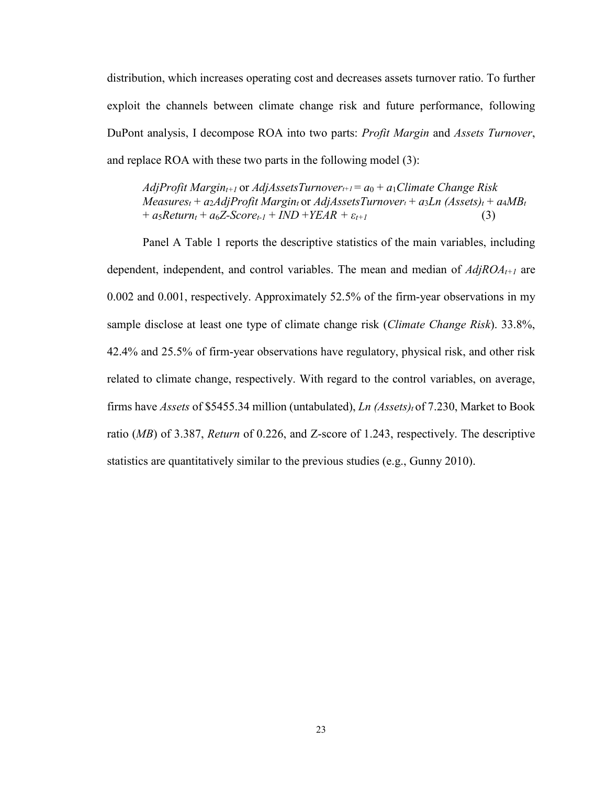distribution, which increases operating cost and decreases assets turnover ratio. To further exploit the channels between climate change risk and future performance, following DuPont analysis, I decompose ROA into two parts: *Profit Margin* and *Assets Turnover*, and replace ROA with these two parts in the following model (3):

*AdjProfit Margin<sub>t+1</sub>* or *AdjAssetsTurnover<sub>t+1</sub> =*  $a_0 + a_1$ *Climate Change Risk*  $Measures_t + a_2AdjProfit Margin_1$  or  $AdjAssetsTurnover_t + a_3Ln (Assets)_t + a_4MB_t$  $+ a_5$ *Return<sub>t</sub>* +  $a_6$ *Z*-*Score<sub>t-1</sub>* + *IND* +*YEAR* +  $\varepsilon_{t+1}$  (3)

Panel A Table 1 reports the descriptive statistics of the main variables, including dependent, independent, and control variables. The mean and median of  $AdjROA_{t+1}$  are 0.002 and 0.001, respectively. Approximately 52.5% of the firm-year observations in my sample disclose at least one type of climate change risk (*Climate Change Risk*). 33.8%, 42.4% and 25.5% of firm-year observations have regulatory, physical risk, and other risk related to climate change, respectively. With regard to the control variables, on average, firms have *Assets* of \$5455.34 million (untabulated), *Ln (Assets)<sub>t</sub>* of 7.230, Market to Book ratio (*MB*) of 3.387, *Return* of 0.226, and Z-score of 1.243, respectively. The descriptive statistics are quantitatively similar to the previous studies (e.g., Gunny 2010).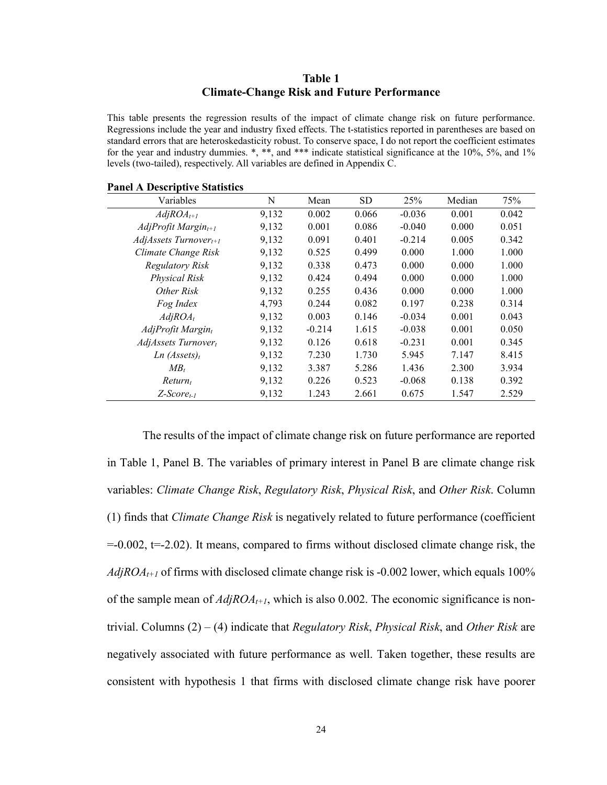#### **Table 1 Climate-Change Risk and Future Performance**

This table presents the regression results of the impact of climate change risk on future performance. Regressions include the year and industry fixed effects. The t-statistics reported in parentheses are based on standard errors that are heteroskedasticity robust. To conserve space, I do not report the coefficient estimates for the year and industry dummies. \*, \*\*, and \*\*\* indicate statistical significance at the 10%, 5%, and 1% levels (two-tailed), respectively. All variables are defined in Appendix C.

| Variables                       | N     | Mean     | <b>SD</b> | 25%      | Median | 75%   |
|---------------------------------|-------|----------|-----------|----------|--------|-------|
| $AdjROA_{t+1}$                  | 9,132 | 0.002    | 0.066     | $-0.036$ | 0.001  | 0.042 |
| $AdjProfit$ Margin $_{t+1}$     | 9,132 | 0.001    | 0.086     | $-0.040$ | 0.000  | 0.051 |
| $AdjAssets Turnover_{t+1}$      | 9,132 | 0.091    | 0.401     | $-0.214$ | 0.005  | 0.342 |
| Climate Change Risk             | 9,132 | 0.525    | 0.499     | 0.000    | 1.000  | 1.000 |
| <b>Regulatory Risk</b>          | 9,132 | 0.338    | 0.473     | 0.000    | 0.000  | 1.000 |
| <b>Physical Risk</b>            | 9,132 | 0.424    | 0.494     | 0.000    | 0.000  | 1.000 |
| Other Risk                      | 9,132 | 0.255    | 0.436     | 0.000    | 0.000  | 1.000 |
| Fog Index                       | 4,793 | 0.244    | 0.082     | 0.197    | 0.238  | 0.314 |
| $AdjROA_t$                      | 9,132 | 0.003    | 0.146     | $-0.034$ | 0.001  | 0.043 |
| $AdjProfit$ Margin <sub>t</sub> | 9,132 | $-0.214$ | 1.615     | $-0.038$ | 0.001  | 0.050 |
| $AdjAssets$ Turnover            | 9,132 | 0.126    | 0.618     | $-0.231$ | 0.001  | 0.345 |
| Ln (Assets) <sub>t</sub>        | 9,132 | 7.230    | 1.730     | 5.945    | 7.147  | 8.415 |
| $MB_t$                          | 9,132 | 3.387    | 5.286     | 1.436    | 2.300  | 3.934 |
| $Return_t$                      | 9,132 | 0.226    | 0.523     | $-0.068$ | 0.138  | 0.392 |
| Z-Score <sub>t-1</sub>          | 9,132 | 1.243    | 2.661     | 0.675    | 1.547  | 2.529 |

**Panel A Descriptive Statistics**

The results of the impact of climate change risk on future performance are reported in Table 1, Panel B. The variables of primary interest in Panel B are climate change risk variables: *Climate Change Risk*, *Regulatory Risk*, *Physical Risk*, and *Other Risk*. Column (1) finds that *Climate Change Risk* is negatively related to future performance (coefficient  $=0.002$ ,  $=2.02$ ). It means, compared to firms without disclosed climate change risk, the *AdjROA<sub>t+1</sub>* of firms with disclosed climate change risk is -0.002 lower, which equals 100% of the sample mean of  $AdjROA_{t+1}$ , which is also 0.002. The economic significance is nontrivial. Columns (2) – (4) indicate that *Regulatory Risk*, *Physical Risk*, and *Other Risk* are negatively associated with future performance as well. Taken together, these results are consistent with hypothesis 1 that firms with disclosed climate change risk have poorer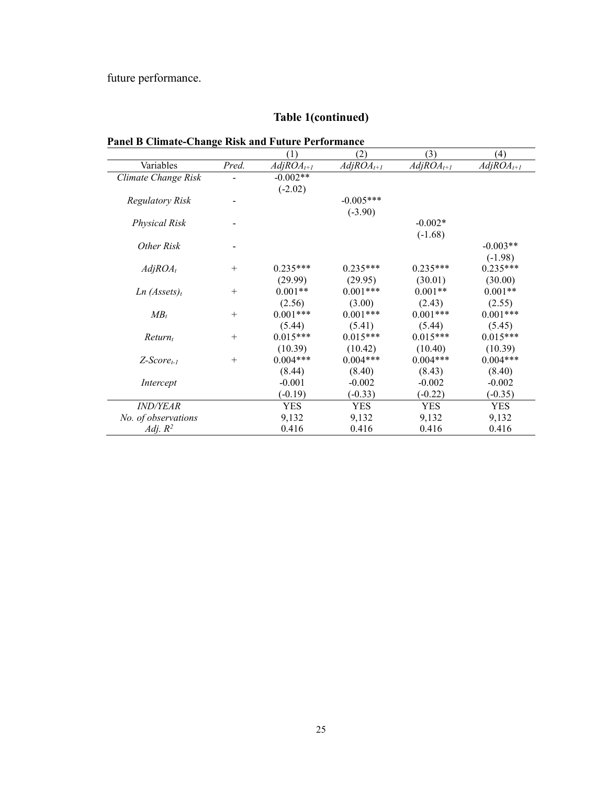future performance.

# **Table 1(continued)**

# **Panel B Climate-Change Risk and Future Performance**

|                          |        | $\left(1\right)$ | (2)            | (3)            | (4)            |
|--------------------------|--------|------------------|----------------|----------------|----------------|
| Variables                | Pred.  | $AdjROA_{t+1}$   | $AdjROA_{t+1}$ | $AdjROA_{t+1}$ | $AdjROA_{t+1}$ |
| Climate Change Risk      |        | $-0.002**$       |                |                |                |
|                          |        | $(-2.02)$        |                |                |                |
| <b>Regulatory Risk</b>   |        |                  | $-0.005***$    |                |                |
|                          |        |                  | $(-3.90)$      |                |                |
| <b>Physical Risk</b>     |        |                  |                | $-0.002*$      |                |
|                          |        |                  |                | $(-1.68)$      |                |
| Other Risk               |        |                  |                |                | $-0.003**$     |
|                          |        |                  |                |                | $(-1.98)$      |
| $AdjROA_t$               | $^{+}$ | $0.235***$       | $0.235***$     | $0.235***$     | $0.235***$     |
|                          |        | (29.99)          | (29.95)        | (30.01)        | (30.00)        |
| Ln (Assets) <sub>t</sub> | $^{+}$ | $0.001**$        | $0.001***$     | $0.001**$      | $0.001**$      |
|                          |        | (2.56)           | (3.00)         | (2.43)         | (2.55)         |
| $MB_t$                   | $^{+}$ | $0.001***$       | $0.001***$     | $0.001***$     | $0.001***$     |
|                          |        | (5.44)           | (5.41)         | (5.44)         | (5.45)         |
| $Return_t$               | $^{+}$ | $0.015***$       | $0.015***$     | $0.015***$     | $0.015***$     |
|                          |        | (10.39)          | (10.42)        | (10.40)        | (10.39)        |
| $Z-Score_{t-1}$          | $^{+}$ | $0.004***$       | $0.004***$     | $0.004***$     | $0.004***$     |
|                          |        | (8.44)           | (8.40)         | (8.43)         | (8.40)         |
| Intercept                |        | $-0.001$         | $-0.002$       | $-0.002$       | $-0.002$       |
|                          |        | $(-0.19)$        | $(-0.33)$      | $(-0.22)$      | $(-0.35)$      |
| <i><b>IND/YEAR</b></i>   |        | <b>YES</b>       | <b>YES</b>     | <b>YES</b>     | <b>YES</b>     |
| No. of observations      |        | 9,132            | 9,132          | 9,132          | 9,132          |
| Adj. $R^2$               |        | 0.416            | 0.416          | 0.416          | 0.416          |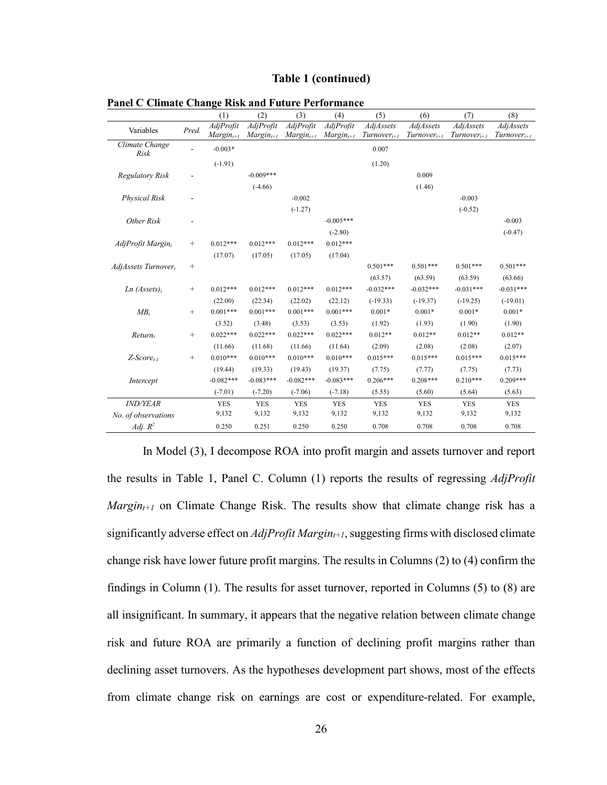#### **Table 1 (continued)**

|                               |                 | (1)                         | (2)                         | (3)                         | (4)                         | (5)                           | (6)                                  | (7)                           | (8)                                  |
|-------------------------------|-----------------|-----------------------------|-----------------------------|-----------------------------|-----------------------------|-------------------------------|--------------------------------------|-------------------------------|--------------------------------------|
| Variables                     | Pred.           | AdjProfit<br>$Margin_{t+1}$ | AdjProfit<br>$Margin_{t+1}$ | AdjProfit<br>$Margin_{t+1}$ | AdjProfit<br>$Margin_{t+1}$ | AdjAssets<br>$Turnover_{t+1}$ | <b>AdjAssets</b><br>$Turnover_{t+1}$ | AdjAssets<br>$Turnover_{t+1}$ | <b>AdjAssets</b><br>$Turnover_{t+1}$ |
| Climate Change<br>Risk        |                 | $-0.003*$                   |                             |                             |                             | 0.007                         |                                      |                               |                                      |
|                               |                 | $(-1.91)$                   |                             |                             |                             | (1.20)                        |                                      |                               |                                      |
| <b>Regulatory Risk</b>        |                 |                             | $-0.009***$                 |                             |                             |                               | 0.009                                |                               |                                      |
|                               |                 |                             | $(-4.66)$                   |                             |                             |                               | (1.46)                               |                               |                                      |
| Physical Risk                 |                 |                             |                             | $-0.002$                    |                             |                               |                                      | $-0.003$                      |                                      |
|                               |                 |                             |                             | $(-1.27)$                   |                             |                               |                                      | $(-0.52)$                     |                                      |
| Other Risk                    |                 |                             |                             |                             | $-0.005***$                 |                               |                                      |                               | $-0.003$                             |
|                               |                 |                             |                             |                             | $(-2.80)$                   |                               |                                      |                               | $(-0.47)$                            |
| AdjProfit Margin <sub>t</sub> | $^{+}$          | $0.012***$                  | $0.012***$                  | $0.012***$                  | $0.012***$                  |                               |                                      |                               |                                      |
|                               |                 | (17.07)                     | (17.05)                     | (17.05)                     | (17.04)                     |                               |                                      |                               |                                      |
| $AdjAssets$ Turnover,         | $\! + \!\!\!\!$ |                             |                             |                             |                             | $0.501***$                    | $0.501***$                           | $0.501***$                    | $0.501***$                           |
|                               |                 |                             |                             |                             |                             | (63.57)                       | (63.59)                              | (63.59)                       | (63.66)                              |
| Ln (Assets) <sub>t</sub>      | $\! +$          | $0.012***$                  | $0.012***$                  | $0.012***$                  | $0.012***$                  | $-0.032***$                   | $-0.032***$                          | $-0.031***$                   | $-0.031***$                          |
|                               |                 | (22.00)                     | (22.34)                     | (22.02)                     | (22.12)                     | $(-19.33)$                    | $(-19.37)$                           | $(-19.25)$                    | $(-19.01)$                           |
| $MB_t$                        |                 | $0.001***$                  | $0.001***$                  | $0.001***$                  | $0.001***$                  | $0.001*$                      | $0.001*$                             | $0.001*$                      | $0.001*$                             |
|                               |                 | (3.52)                      | (3.48)                      | (3.53)                      | (3.53)                      | (1.92)                        | (1.93)                               | (1.90)                        | (1.90)                               |
| $Return_t$                    | $\! + \!\!\!\!$ | $0.022***$                  | $0.022***$                  | $0.022***$                  | $0.022***$                  | $0.012**$                     | $0.012**$                            | $0.012**$                     | $0.012**$                            |
|                               |                 | (11.66)                     | (11.68)                     | (11.66)                     | (11.64)                     | (2.09)                        | (2.08)                               | (2.08)                        | (2.07)                               |
| $Z$ -Score $_{t-1}$           | $^{+}$          | $0.010***$                  | $0.010***$                  | $0.010***$                  | $0.010***$                  | $0.015***$                    | $0.015***$                           | $0.015***$                    | $0.015***$                           |
|                               |                 | (19.44)                     | (19.33)                     | (19.43)                     | (19.37)                     | (7.75)                        | (7.77)                               | (7.75)                        | (7.73)                               |
| Intercept                     |                 | $-0.082***$                 | $-0.083***$                 | $-0.082***$                 | $-0.083***$                 | $0.206***$                    | $0.208***$                           | $0.210***$                    | $0.209***$                           |
|                               |                 | $(-7.01)$                   | $(-7.20)$                   | $(-7.06)$                   | $(-7.18)$                   | (5.55)                        | (5.60)                               | (5.64)                        | (5.63)                               |
| <b>IND/YEAR</b>               |                 | <b>YES</b>                  | <b>YES</b>                  | <b>YES</b>                  | <b>YES</b>                  | <b>YES</b>                    | <b>YES</b>                           | <b>YES</b>                    | <b>YES</b>                           |
| No. of observations           |                 | 9,132                       | 9,132                       | 9,132                       | 9,132                       | 9,132                         | 9,132                                | 9,132                         | 9,132                                |
| Adj. $R^2$                    |                 | 0.250                       | 0.251                       | 0.250                       | 0.250                       | 0.708                         | 0.708                                | 0.708                         | 0.708                                |

| <b>Panel C Climate Change Risk and Future Performance</b> |  |  |  |  |
|-----------------------------------------------------------|--|--|--|--|
|-----------------------------------------------------------|--|--|--|--|

 In Model (3), I decompose ROA into profit margin and assets turnover and report the results in Table 1, Panel C. Column (1) reports the results of regressing *AdjProfit Margin<sub>t+1</sub>* on Climate Change Risk. The results show that climate change risk has a significantly adverse effect on *AdjProfit Margin<sub>t+1</sub>*, suggesting firms with disclosed climate change risk have lower future profit margins. The results in Columns (2) to (4) confirm the findings in Column (1). The results for asset turnover, reported in Columns (5) to (8) are all insignificant. In summary, it appears that the negative relation between climate change risk and future ROA are primarily a function of declining profit margins rather than declining asset turnovers. As the hypotheses development part shows, most of the effects from climate change risk on earnings are cost or expenditure-related. For example,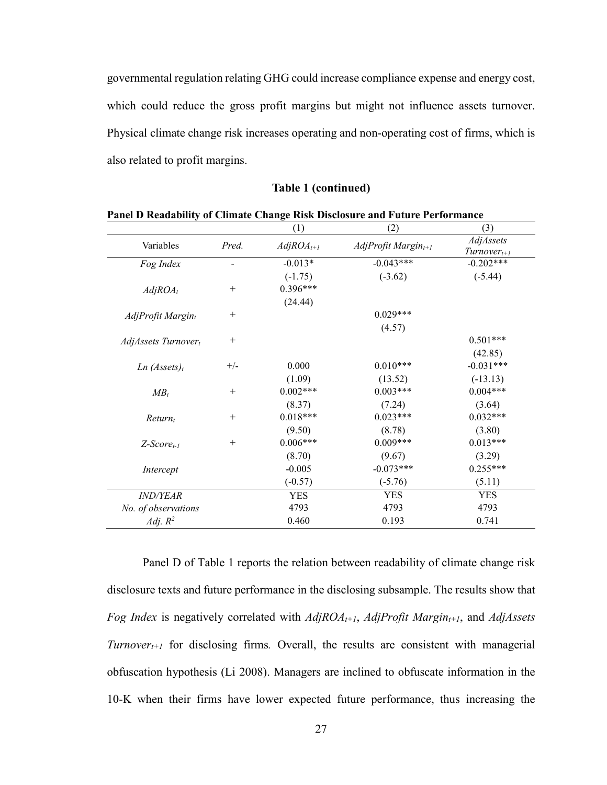governmental regulation relating GHG could increase compliance expense and energy cost, which could reduce the gross profit margins but might not influence assets turnover. Physical climate change risk increases operating and non-operating cost of firms, which is also related to profit margins.

#### **Table 1 (continued)**

|                          |                 | (1)            | (2)                         | (3)                           |
|--------------------------|-----------------|----------------|-----------------------------|-------------------------------|
| Variables                | Pred.           | $AdjROA_{t+1}$ | $AdjProfit$ Margin $_{t+1}$ | AdjAssets<br>$Turnover_{t+1}$ |
| Fog Index                |                 | $-0.013*$      | $-0.043***$                 | $-0.202***$                   |
|                          |                 | $(-1.75)$      | $(-3.62)$                   | $(-5.44)$                     |
| $AdjROA_t$               | $^{+}$          | $0.396***$     |                             |                               |
|                          |                 | (24.44)        |                             |                               |
| AdjProfit Margint        | $^{+}$          |                | $0.029***$                  |                               |
|                          |                 |                | (4.57)                      |                               |
| AdjAssets Turnovert      | $\! + \!\!\!\!$ |                |                             | $0.501***$                    |
|                          |                 |                |                             | (42.85)                       |
| Ln (Assets) <sub>t</sub> | $+/-$           | 0.000          | $0.010***$                  | $-0.031***$                   |
|                          |                 | (1.09)         | (13.52)                     | $(-13.13)$                    |
| $MB_t$                   | $^{+}$          | $0.002***$     | $0.003***$                  | $0.004***$                    |
|                          |                 | (8.37)         | (7.24)                      | (3.64)                        |
| $Return_t$               | $^{+}$          | $0.018***$     | $0.023***$                  | $0.032***$                    |
|                          |                 | (9.50)         | (8.78)                      | (3.80)                        |
| $Z$ -Score $_{t-1}$      | $+$             | $0.006***$     | $0.009***$                  | $0.013***$                    |
|                          |                 | (8.70)         | (9.67)                      | (3.29)                        |
| Intercept                |                 | $-0.005$       | $-0.073***$                 | $0.255***$                    |
|                          |                 | $(-0.57)$      | $(-5.76)$                   | (5.11)                        |
| <i>IND/YEAR</i>          |                 | <b>YES</b>     | <b>YES</b>                  | <b>YES</b>                    |
| No. of observations      |                 | 4793           | 4793                        | 4793                          |
| Adj. $R^2$               |                 | 0.460          | 0.193                       | 0.741                         |

**Panel D Readability of Climate Change Risk Disclosure and Future Performance**

Panel D of Table 1 reports the relation between readability of climate change risk disclosure texts and future performance in the disclosing subsample. The results show that *Fog Index* is negatively correlated with *AdjROA<sub>t+1</sub>*, *AdjProfit Margin<sub>t+1</sub>*, and *AdjAssets Turnover<sub>t+1</sub>* for disclosing firms. Overall, the results are consistent with managerial obfuscation hypothesis (Li 2008). Managers are inclined to obfuscate information in the 10-K when their firms have lower expected future performance, thus increasing the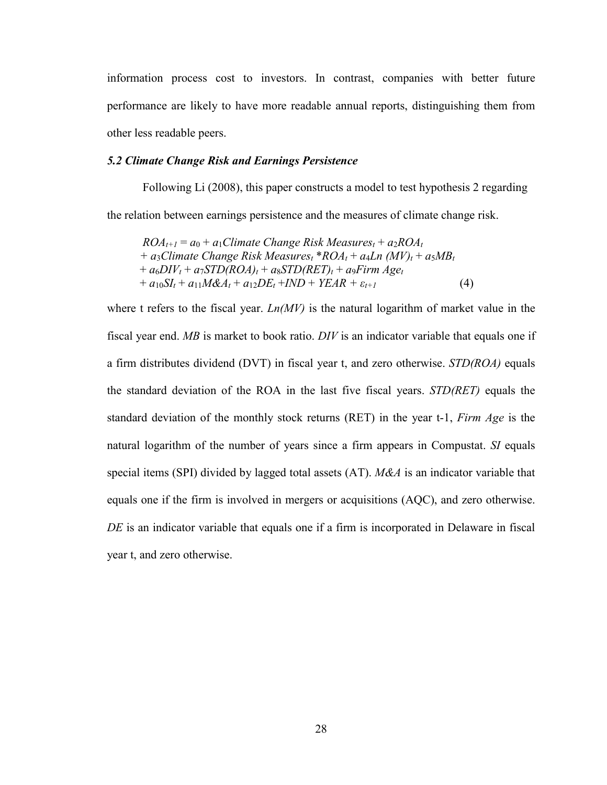information process cost to investors. In contrast, companies with better future performance are likely to have more readable annual reports, distinguishing them from other less readable peers.

#### *5.2 Climate Change Risk and Earnings Persistence*

Following Li (2008), this paper constructs a model to test hypothesis 2 regarding the relation between earnings persistence and the measures of climate change risk.

 $ROA_{t+1} = a_0 + a_1$ Climate Change Risk Measures<sub>t</sub> +  $a_2ROA_t$  $+$  *a*<sub>3</sub>*Climate Change Risk Measures<sub>t</sub></sub> \** $ROA_t + a_4Ln (MV)_t + a_5MB_t$  $+a_6DIV_t + a_7STD(ROA)_t + a_8STD(RET)_t + a_9Firm Age_t$  $+ a_{10}SI_t + a_{11}M\&A_t + a_{12}DE_t + IND + YEAR + \varepsilon_{t+1}$  (4)

where t refers to the fiscal year. *Ln(MV)* is the natural logarithm of market value in the fiscal year end. *MB* is market to book ratio. *DIV* is an indicator variable that equals one if a firm distributes dividend (DVT) in fiscal year t, and zero otherwise. *STD(ROA)* equals the standard deviation of the ROA in the last five fiscal years. *STD(RET)* equals the standard deviation of the monthly stock returns (RET) in the year t-1, *Firm Age* is the natural logarithm of the number of years since a firm appears in Compustat. *SI* equals special items (SPI) divided by lagged total assets (AT). *M&A* is an indicator variable that equals one if the firm is involved in mergers or acquisitions (AQC), and zero otherwise. *DE* is an indicator variable that equals one if a firm is incorporated in Delaware in fiscal year t, and zero otherwise.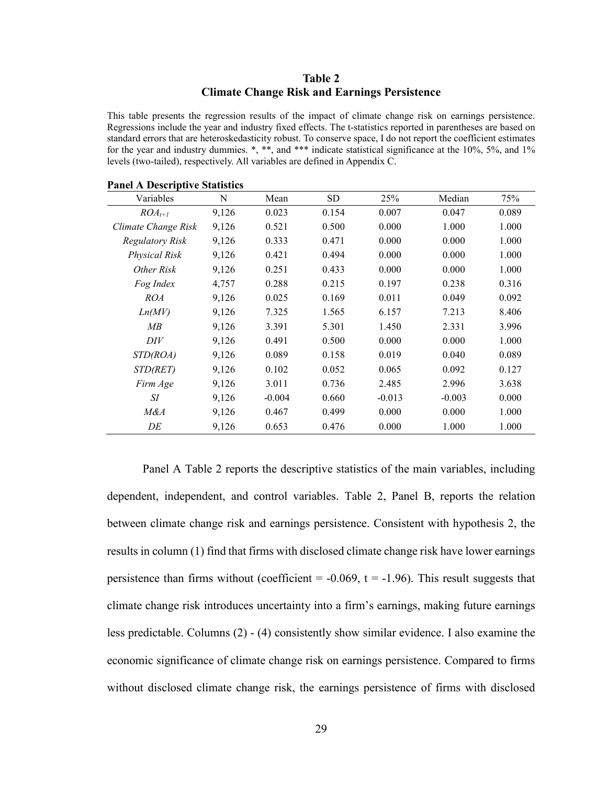### **Table 2 Climate Change Risk and Earnings Persistence**

This table presents the regression results of the impact of climate change risk on earnings persistence. Regressions include the year and industry fixed effects. The t-statistics reported in parentheses are based on standard errors that are heteroskedasticity robust. To conserve space, I do not report the coefficient estimates for the year and industry dummies. \*, \*\*, and \*\*\* indicate statistical significance at the 10%, 5%, and 1% levels (two-tailed), respectively. All variables are defined in Appendix C.

| Panel A Descriptive Statistics |       |          |       |          |          |       |
|--------------------------------|-------|----------|-------|----------|----------|-------|
| Variables                      | N     | Mean     | SD.   | 25%      | Median   | 75%   |
| $ROA_{t+1}$                    | 9,126 | 0.023    | 0.154 | 0.007    | 0.047    | 0.089 |
| Climate Change Risk            | 9,126 | 0.521    | 0.500 | 0.000    | 1.000    | 1.000 |
| Regulatory Risk                | 9,126 | 0.333    | 0.471 | 0.000    | 0.000    | 1.000 |
| Physical Risk                  | 9,126 | 0.421    | 0.494 | 0.000    | 0.000    | 1.000 |
| Other Risk                     | 9,126 | 0.251    | 0.433 | 0.000    | 0.000    | 1.000 |
| Fog Index                      | 4,757 | 0.288    | 0.215 | 0.197    | 0.238    | 0.316 |
| <i>ROA</i>                     | 9,126 | 0.025    | 0.169 | 0.011    | 0.049    | 0.092 |
| Ln(MV)                         | 9,126 | 7.325    | 1.565 | 6.157    | 7.213    | 8.406 |
| MB                             | 9,126 | 3.391    | 5.301 | 1.450    | 2.331    | 3.996 |
| DIV                            | 9,126 | 0.491    | 0.500 | 0.000    | 0.000    | 1.000 |
| STD(ROA)                       | 9,126 | 0.089    | 0.158 | 0.019    | 0.040    | 0.089 |
| <i>STD(RET)</i>                | 9,126 | 0.102    | 0.052 | 0.065    | 0.092    | 0.127 |
| Firm Age                       | 9,126 | 3.011    | 0.736 | 2.485    | 2.996    | 3.638 |
| SI                             | 9,126 | $-0.004$ | 0.660 | $-0.013$ | $-0.003$ | 0.000 |
| M&A                            | 9,126 | 0.467    | 0.499 | 0.000    | 0.000    | 1.000 |
| DE                             | 9,126 | 0.653    | 0.476 | 0.000    | 1.000    | 1.000 |

**Panel A Descriptive Statistics**

Panel A Table 2 reports the descriptive statistics of the main variables, including dependent, independent, and control variables. Table 2, Panel B, reports the relation between climate change risk and earnings persistence. Consistent with hypothesis 2, the results in column (1) find that firms with disclosed climate change risk have lower earnings persistence than firms without (coefficient =  $-0.069$ , t =  $-1.96$ ). This result suggests that climate change risk introduces uncertainty into a firm's earnings, making future earnings less predictable. Columns (2) - (4) consistently show similar evidence. I also examine the economic significance of climate change risk on earnings persistence. Compared to firms without disclosed climate change risk, the earnings persistence of firms with disclosed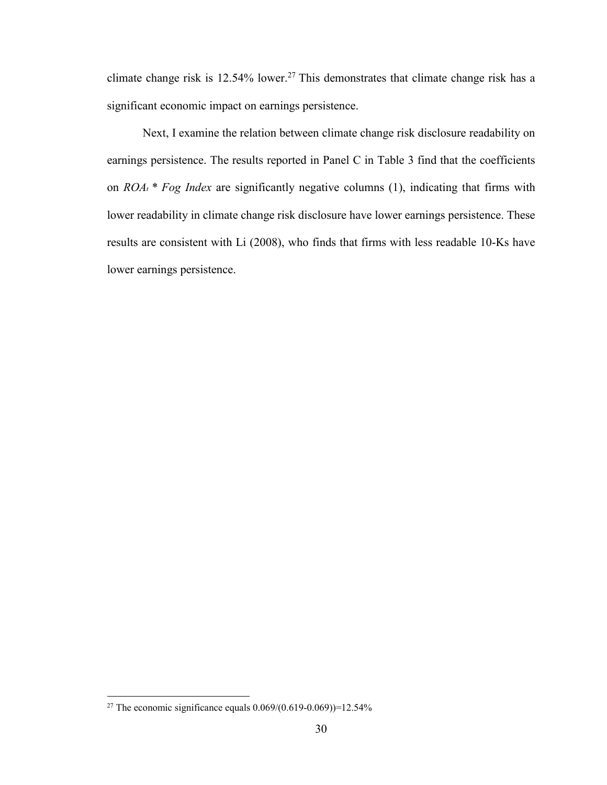climate change risk is 12.54% lower.<sup>27</sup> This demonstrates that climate change risk has a significant economic impact on earnings persistence.

Next, I examine the relation between climate change risk disclosure readability on earnings persistence. The results reported in Panel C in Table 3 find that the coefficients on *ROAt \* Fog Index* are significantly negative columns (1), indicating that firms with lower readability in climate change risk disclosure have lower earnings persistence. These results are consistent with Li (2008), who finds that firms with less readable 10-Ks have lower earnings persistence.

<sup>&</sup>lt;sup>27</sup> The economic significance equals  $0.069/(0.619 - 0.069)) = 12.54\%$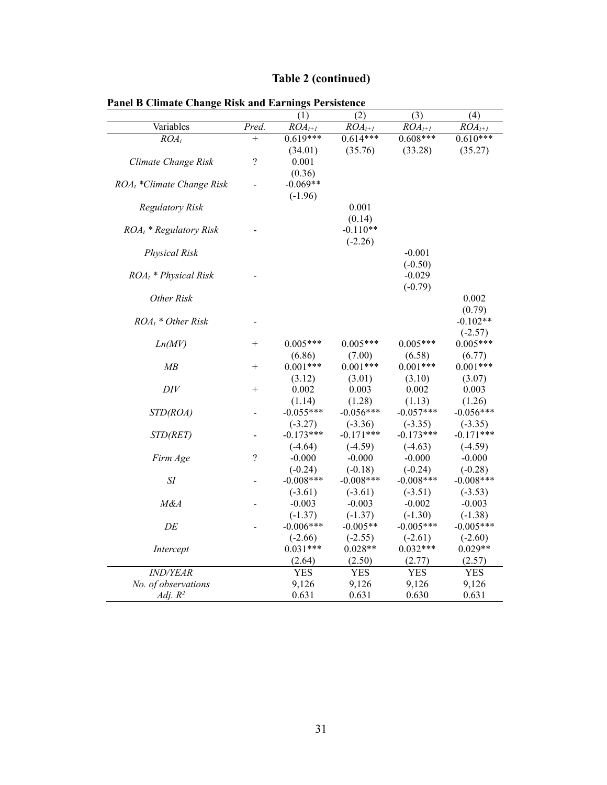|  | Table 2 (continued) |  |
|--|---------------------|--|
|  |                     |  |

|                              |                    | (1)         | $\overline{(2)}$ | (3)         | (4)                    |
|------------------------------|--------------------|-------------|------------------|-------------|------------------------|
| Variables                    | Pred.              | $ROA_{t+1}$ | $ROA_{t+1}$      | $ROA_{t+1}$ | $\overline{ROA}_{t+1}$ |
| $ROA_t$                      | $\ddot{}$          | $0.619***$  | $0.614***$       | $0.608***$  | $0.610***$             |
|                              |                    | (34.01)     | (35.76)          | (33.28)     | (35.27)                |
| Climate Change Risk          | $\overline{\cdot}$ | 0.001       |                  |             |                        |
|                              |                    | (0.36)      |                  |             |                        |
| $ROA_t$ *Climate Change Risk |                    | $-0.069**$  |                  |             |                        |
|                              |                    | $(-1.96)$   |                  |             |                        |
| <b>Regulatory Risk</b>       |                    |             | 0.001            |             |                        |
|                              |                    |             | (0.14)           |             |                        |
| $ROA_t * Regularory Risk$    |                    |             | $-0.110**$       |             |                        |
|                              |                    |             | $(-2.26)$        |             |                        |
| <b>Physical Risk</b>         |                    |             |                  | $-0.001$    |                        |
|                              |                    |             |                  | $(-0.50)$   |                        |
| $ROA_t * Physical Risk$      |                    |             |                  | $-0.029$    |                        |
|                              |                    |             |                  | $(-0.79)$   |                        |
| Other Risk                   |                    |             |                  |             | 0.002                  |
|                              |                    |             |                  |             | (0.79)                 |
| $ROA_t * Other Risk$         |                    |             |                  |             | $-0.102**$             |
|                              |                    |             |                  |             | $(-2.57)$              |
| Ln(MV)                       | $^{+}$             | $0.005***$  | $0.005***$       | $0.005***$  | $0.005***$             |
|                              |                    | (6.86)      | (7.00)           | (6.58)      | (6.77)                 |
| MB                           | $^{+}$             | $0.001***$  | $0.001***$       | $0.001***$  | $0.001***$             |
|                              |                    | (3.12)      | (3.01)           | (3.10)      | (3.07)                 |
| DIV                          | $^{+}$             | 0.002       | 0.003            | 0.002       | 0.003                  |
|                              |                    | (1.14)      | (1.28)           | (1.13)      | (1.26)                 |
| STD(ROA)                     |                    | $-0.055***$ | $-0.056***$      | $-0.057***$ | $-0.056***$            |
|                              |                    | $(-3.27)$   | $(-3.36)$        | $(-3.35)$   | $(-3.35)$              |
| STD(RET)                     |                    | $-0.173***$ | $-0.171***$      | $-0.173***$ | $-0.171***$            |
|                              |                    | $(-4.64)$   | $(-4.59)$        | $(-4.63)$   | $(-4.59)$              |
| Firm Age                     | $\overline{\cdot}$ | $-0.000$    | $-0.000$         | $-0.000$    | $-0.000$               |
|                              |                    | $(-0.24)$   | $(-0.18)$        | $(-0.24)$   | $(-0.28)$              |
| SI                           |                    | $-0.008***$ | $-0.008***$      | $-0.008***$ | $-0.008***$            |
|                              |                    | $(-3.61)$   | $(-3.61)$        | $(-3.51)$   | $(-3.53)$              |
| M&A                          |                    | $-0.003$    | $-0.003$         | $-0.002$    | $-0.003$               |
|                              |                    | $(-1.37)$   | $(-1.37)$        | $(-1.30)$   | $(-1.38)$              |
| DE                           |                    | $-0.006***$ | $-0.005**$       | $-0.005***$ | $-0.005***$            |
|                              |                    | $(-2.66)$   | $(-2.55)$        | $(-2.61)$   | $(-2.60)$              |
| Intercept                    |                    | $0.031***$  | $0.028**$        | $0.032***$  | $0.029**$              |
|                              |                    | (2.64)      | (2.50)           | (2.77)      | (2.57)                 |
| <i>IND/YEAR</i>              |                    | <b>YES</b>  | <b>YES</b>       | <b>YES</b>  | <b>YES</b>             |
| No. of observations          |                    | 9,126       | 9,126            | 9,126       | 9,126                  |
| Adj. $R^2$                   |                    | 0.631       | 0.631            | 0.630       | 0.631                  |

**Panel B Climate Change Risk and Earnings Persistence**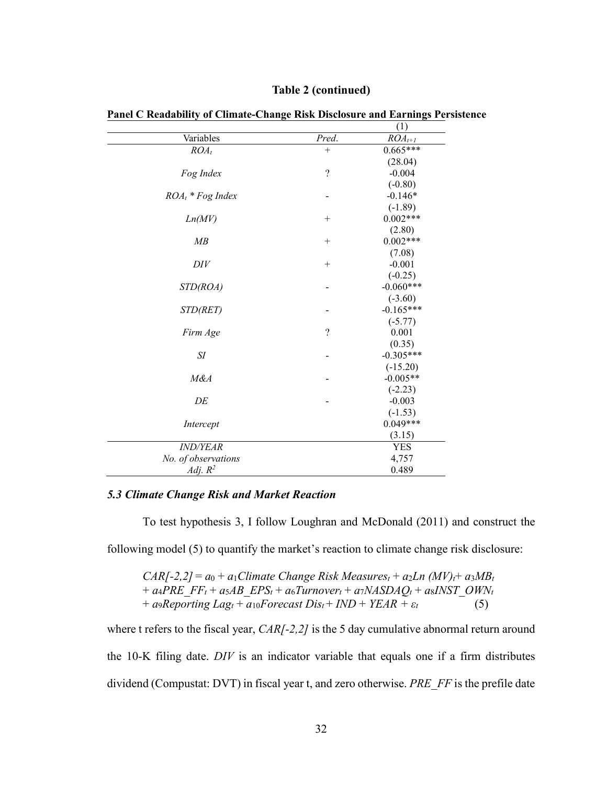|                     |                    | (1)         |
|---------------------|--------------------|-------------|
| Variables           | Pred.              | $ROA_{t+1}$ |
| $ROA_t$             | $^{+}$             | $0.665***$  |
|                     |                    | (28.04)     |
| Fog Index           | $\overline{\cdot}$ | $-0.004$    |
|                     |                    | $(-0.80)$   |
| $ROA_t * FogIndex$  |                    | $-0.146*$   |
|                     |                    | $(-1.89)$   |
| Ln(MV)              | $^{+}$             | $0.002***$  |
|                     |                    | (2.80)      |
| MB                  | $^{+}$             | $0.002***$  |
|                     |                    | (7.08)      |
| DIV                 | $^{+}$             | $-0.001$    |
|                     |                    | $(-0.25)$   |
| STD(ROA)            |                    | $-0.060***$ |
|                     |                    | $(-3.60)$   |
| STD(RET)            |                    | $-0.165***$ |
|                     |                    | $(-5.77)$   |
| Firm Age            | $\overline{\cdot}$ | 0.001       |
|                     |                    | (0.35)      |
| SI                  |                    | $-0.305***$ |
|                     |                    | $(-15.20)$  |
| M&A                 |                    | $-0.005**$  |
|                     |                    | $(-2.23)$   |
| DE                  |                    | $-0.003$    |
|                     |                    | $(-1.53)$   |
| Intercept           |                    | $0.049***$  |
|                     |                    | (3.15)      |
| <b>IND/YEAR</b>     |                    | YES         |
| No. of observations |                    | 4,757       |
| Adj. $R^2$          |                    | 0.489       |

#### **Table 2 (continued)**

**Panel C Readability of Climate-Change Risk Disclosure and Earnings Persistence**

#### *5.3 Climate Change Risk and Market Reaction*

To test hypothesis 3, I follow Loughran and McDonald (2011) and construct the

following model (5) to quantify the market's reaction to climate change risk disclosure:

 $CAR[-2,2] = a_0 + a_1$ Climate Change Risk Measures<sub>t</sub> +  $a_2Ln$  (MV)<sub>t</sub>+  $a_3MB_t$  $+ a_4 PRE$   $FF_t + a_5 AB$   $EPS_t + a_6 Turnover_t + a_7 NASDAQ_t + a_8INST$   $OWN_t$  $+$  *a*9*Reporting Lag<sub>t</sub></sub> +*  $a_{10}$ *Forecast Dis<sub>t</sub> + <i>IND* + *YEAR* +  $\varepsilon_t$  (5)

where t refers to the fiscal year, *CAR*<sup>[-2,2]</sup> is the 5 day cumulative abnormal return around the 10-K filing date. *DIV* is an indicator variable that equals one if a firm distributes dividend (Compustat: DVT) in fiscal year t, and zero otherwise. *PRE\_FF* is the prefile date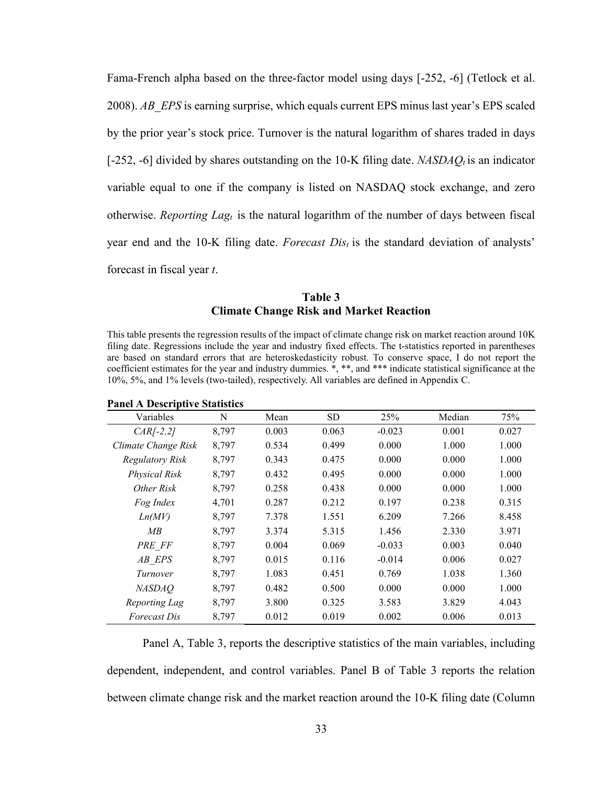Fama-French alpha based on the three-factor model using days [-252, -6] (Tetlock et al. 2008). *AB\_EPS* is earning surprise, which equals current EPS minus last year's EPS scaled by the prior year's stock price. Turnover is the natural logarithm of shares traded in days [-252, -6] divided by shares outstanding on the 10-K filing date. *NASDAQ<sub>t</sub>* is an indicator variable equal to one if the company is listed on NASDAQ stock exchange, and zero otherwise. *Reporting Lag<sub>t</sub>* is the natural logarithm of the number of days between fiscal year end and the 10-K filing date. *Forecast Dist* is the standard deviation of analysts' forecast in fiscal year *t*.

## **Table 3 Climate Change Risk and Market Reaction**

This table presents the regression results of the impact of climate change risk on market reaction around 10K filing date. Regressions include the year and industry fixed effects. The t-statistics reported in parentheses are based on standard errors that are heteroskedasticity robust. To conserve space, I do not report the coefficient estimates for the year and industry dummies. \*, \*\*, and \*\*\* indicate statistical significance at the 10%, 5%, and 1% levels (two-tailed), respectively. All variables are defined in Appendix C.

| Variables            | N     | Mean  | <b>SD</b> | 25%      | Median | 75%   |
|----------------------|-------|-------|-----------|----------|--------|-------|
| $CAR[-2,2]$          | 8,797 | 0.003 | 0.063     | $-0.023$ | 0.001  | 0.027 |
| Climate Change Risk  | 8.797 | 0.534 | 0.499     | 0.000    | 1.000  | 1.000 |
| Regulatory Risk      | 8,797 | 0.343 | 0.475     | 0.000    | 0.000  | 1.000 |
| <b>Physical Risk</b> | 8.797 | 0.432 | 0.495     | 0.000    | 0.000  | 1.000 |
| Other Risk           | 8,797 | 0.258 | 0.438     | 0.000    | 0.000  | 1.000 |
| Fog Index            | 4.701 | 0.287 | 0.212     | 0.197    | 0.238  | 0.315 |
| Ln(MV)               | 8,797 | 7.378 | 1.551     | 6.209    | 7.266  | 8.458 |
| MB                   | 8,797 | 3.374 | 5.315     | 1.456    | 2.330  | 3.971 |
| PRE FF               | 8,797 | 0.004 | 0.069     | $-0.033$ | 0.003  | 0.040 |
| AB EPS               | 8,797 | 0.015 | 0.116     | $-0.014$ | 0.006  | 0.027 |
| Turnover             | 8,797 | 1.083 | 0.451     | 0.769    | 1.038  | 1.360 |
| <i>NASDAO</i>        | 8.797 | 0.482 | 0.500     | 0.000    | 0.000  | 1.000 |
| Reporting Lag        | 8,797 | 3.800 | 0.325     | 3.583    | 3.829  | 4.043 |
| <i>Forecast Dis</i>  | 8,797 | 0.012 | 0.019     | 0.002    | 0.006  | 0.013 |

#### **Panel A Descriptive Statistics**

Panel A, Table 3, reports the descriptive statistics of the main variables, including dependent, independent, and control variables. Panel B of Table 3 reports the relation between climate change risk and the market reaction around the 10-K filing date (Column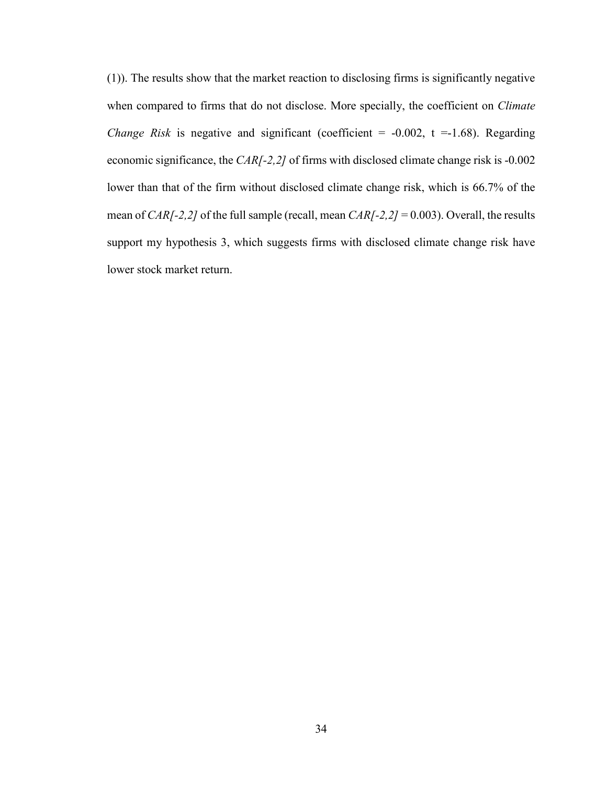(1)). The results show that the market reaction to disclosing firms is significantly negative when compared to firms that do not disclose. More specially, the coefficient on *Climate Change Risk* is negative and significant (coefficient =  $-0.002$ , t =  $-1.68$ ). Regarding economic significance, the *CAR[-2,2]* of firms with disclosed climate change risk is -0.002 lower than that of the firm without disclosed climate change risk, which is 66.7% of the mean of *CAR[-2,2]* of the full sample (recall, mean *CAR[-2,2]* = 0.003). Overall, the results support my hypothesis 3, which suggests firms with disclosed climate change risk have lower stock market return.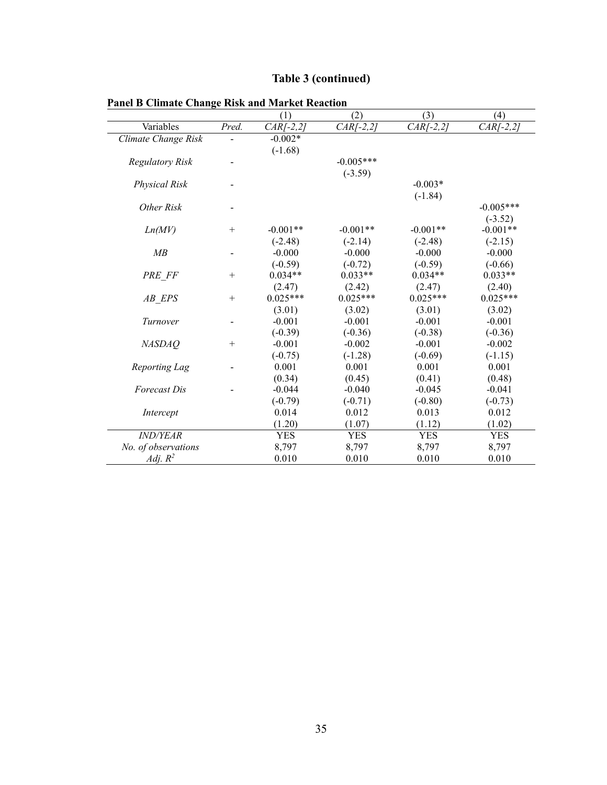|  | Table 3 (continued) |  |
|--|---------------------|--|
|  |                     |  |

|                         |        | (1)         | (2)         | (3)         | (4)         |
|-------------------------|--------|-------------|-------------|-------------|-------------|
| Variables               | Pred.  | $CAR[-2,2]$ | $CAR[-2,2]$ | $CAR[-2,2]$ | $CAR[-2,2]$ |
| Climate Change Risk     |        | $-0.002*$   |             |             |             |
|                         |        | $(-1.68)$   |             |             |             |
| <b>Regulatory Risk</b>  |        |             | $-0.005***$ |             |             |
|                         |        |             | $(-3.59)$   |             |             |
| <b>Physical Risk</b>    |        |             |             | $-0.003*$   |             |
|                         |        |             |             | $(-1.84)$   |             |
| Other Risk              |        |             |             |             | $-0.005***$ |
|                         |        |             |             |             | $(-3.52)$   |
| Ln(MV)                  | $^{+}$ | $-0.001**$  | $-0.001**$  | $-0.001**$  | $-0.001**$  |
|                         |        | $(-2.48)$   | $(-2.14)$   | $(-2.48)$   | $(-2.15)$   |
| MB                      |        | $-0.000$    | $-0.000$    | $-0.000$    | $-0.000$    |
|                         |        | $(-0.59)$   | $(-0.72)$   | $(-0.59)$   | $(-0.66)$   |
| PRE FF                  | $^{+}$ | $0.034**$   | $0.033**$   | $0.034**$   | $0.033**$   |
|                         |        | (2.47)      | (2.42)      | (2.47)      | (2.40)      |
| $AB$ <sub>_</sub> $EPS$ | $^{+}$ | $0.025***$  | $0.025***$  | $0.025***$  | $0.025***$  |
|                         |        | (3.01)      | (3.02)      | (3.01)      | (3.02)      |
| Turnover                |        | $-0.001$    | $-0.001$    | $-0.001$    | $-0.001$    |
|                         |        | $(-0.39)$   | $(-0.36)$   | $(-0.38)$   | $(-0.36)$   |
| <b>NASDAQ</b>           | $^{+}$ | $-0.001$    | $-0.002$    | $-0.001$    | $-0.002$    |
|                         |        | $(-0.75)$   | $(-1.28)$   | $(-0.69)$   | $(-1.15)$   |
| Reporting Lag           |        | 0.001       | 0.001       | 0.001       | 0.001       |
|                         |        | (0.34)      | (0.45)      | (0.41)      | (0.48)      |
| <b>Forecast Dis</b>     |        | $-0.044$    | $-0.040$    | $-0.045$    | $-0.041$    |
|                         |        | $(-0.79)$   | $(-0.71)$   | $(-0.80)$   | $(-0.73)$   |
| Intercept               |        | 0.014       | 0.012       | 0.013       | 0.012       |
|                         |        | (1.20)      | (1.07)      | (1.12)      | (1.02)      |
| <b>IND/YEAR</b>         |        | <b>YES</b>  | <b>YES</b>  | <b>YES</b>  | <b>YES</b>  |
| No. of observations     |        | 8,797       | 8,797       | 8,797       | 8,797       |
| Adj. $R^2$              |        | 0.010       | 0.010       | 0.010       | 0.010       |

# **Panel B Climate Change Risk and Market Reaction**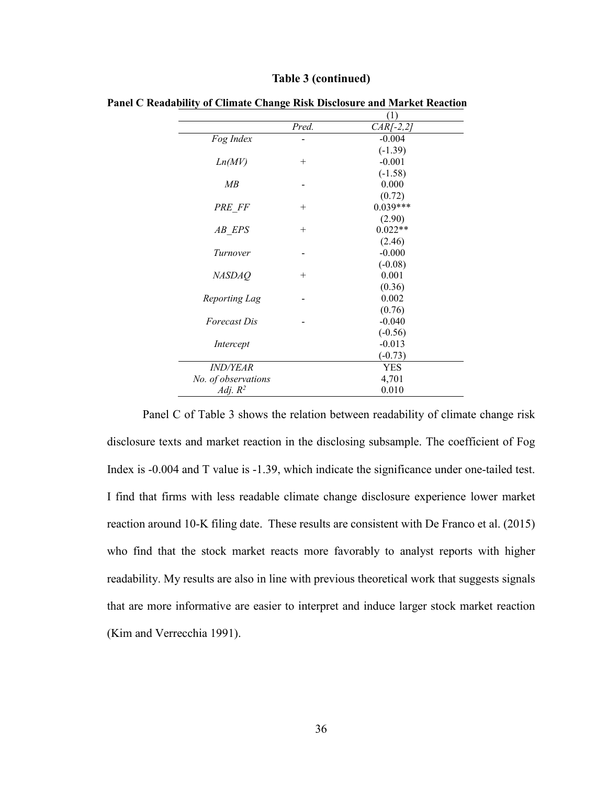|                     |        | $\left(1\right)$ |
|---------------------|--------|------------------|
|                     | Pred.  | $CAR[-2,2]$      |
| Fog Index           |        | $-0.004$         |
|                     |        | $(-1.39)$        |
| Ln(MV)              | $^{+}$ | $-0.001$         |
|                     |        | $(-1.58)$        |
| MB                  |        | 0.000            |
|                     |        | (0.72)           |
| PRE FF              | $^{+}$ | $0.039***$       |
|                     |        | (2.90)           |
| AB EPS              | $^{+}$ | $0.022**$        |
|                     |        | (2.46)           |
| Turnover            |        | $-0.000$         |
|                     |        | $(-0.08)$        |
| <b>NASDAQ</b>       | $^+$   | 0.001            |
|                     |        | (0.36)           |
| Reporting Lag       |        | 0.002            |
|                     |        | (0.76)           |
| <i>Forecast Dis</i> |        | $-0.040$         |
|                     |        | $(-0.56)$        |
| Intercept           |        | $-0.013$         |
|                     |        | $(-0.73)$        |
| <i>IND/YEAR</i>     |        | <b>YES</b>       |
| No. of observations |        | 4,701            |
| Adj. $R^2$          |        | 0.010            |

#### **Table 3 (continued)**

**Panel C Readability of Climate Change Risk Disclosure and Market Reaction**

Panel C of Table 3 shows the relation between readability of climate change risk disclosure texts and market reaction in the disclosing subsample. The coefficient of Fog Index is -0.004 and T value is -1.39, which indicate the significance under one-tailed test. I find that firms with less readable climate change disclosure experience lower market reaction around 10-K filing date. These results are consistent with De Franco et al. (2015) who find that the stock market reacts more favorably to analyst reports with higher readability. My results are also in line with previous theoretical work that suggests signals that are more informative are easier to interpret and induce larger stock market reaction (Kim and Verrecchia 1991).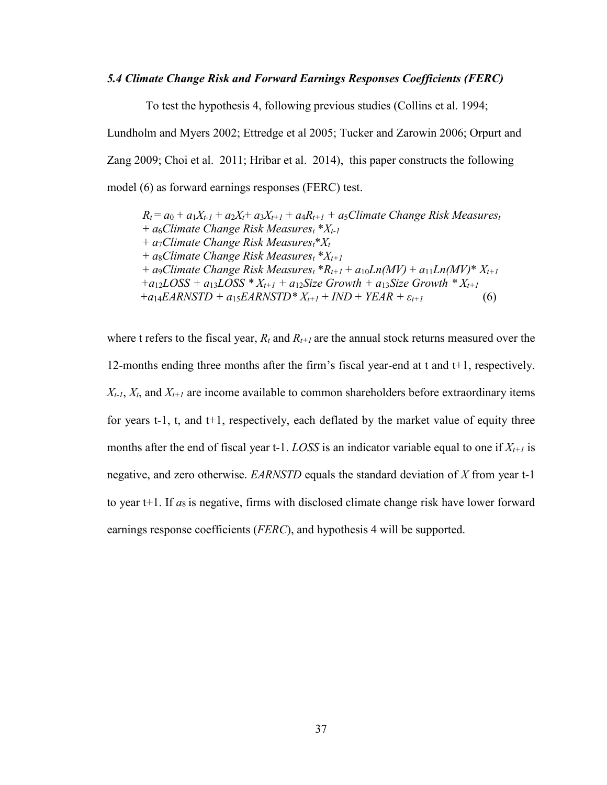#### *5.4 Climate Change Risk and Forward Earnings Responses Coefficients (FERC)*

To test the hypothesis 4, following previous studies (Collins et al. 1994;

Lundholm and Myers 2002; Ettredge et al 2005; Tucker and Zarowin 2006; Orpurt and Zang 2009; Choi et al. 2011; Hribar et al. 2014), this paper constructs the following model (6) as forward earnings responses (FERC) test.

 $R_t = a_0 + a_1X_{t-1} + a_2X_t + a_3X_{t+1} + a_4R_{t+1} + a_5C$ limate Change Risk Measurest + *a*6*Climate Change Risk Measurest* \**Xt-1* + *a*7*Climate Change Risk Measurest*\**Xt* + *a*8*Climate Change Risk Measurest* \**Xt+1*  $+$  *a*9*Climate Change Risk Measures<sub>t</sub></sub> \** $R_{t+1}$  *+*  $a_{10}Ln(MV)$  *+*  $a_{11}Ln(MV)$  *\**  $X_{t+1}$  $+a_{12}LOSS + a_{13}LOSS * X_{t+1} + a_{12}Size Growth + a_{13}Size Growth * X_{t+1}$  $+a_{14}EARNSTD + a_{15}EARNSTD^*X_{t+1} + IND + YEAR + \varepsilon_{t+1}$  (6)

where t refers to the fiscal year,  $R_t$  and  $R_{t+1}$  are the annual stock returns measured over the 12-months ending three months after the firm's fiscal year-end at t and t+1, respectively.  $X_{t-1}$ ,  $X_t$ , and  $X_{t+1}$  are income available to common shareholders before extraordinary items for years  $t-1$ ,  $t$ , and  $t+1$ , respectively, each deflated by the market value of equity three months after the end of fiscal year t-1. *LOSS* is an indicator variable equal to one if  $X_{t+1}$  is negative, and zero otherwise. *EARNSTD* equals the standard deviation of *X* from year t-1 to year  $t+1$ . If  $a_8$  is negative, firms with disclosed climate change risk have lower forward earnings response coefficients (*FERC*), and hypothesis 4 will be supported.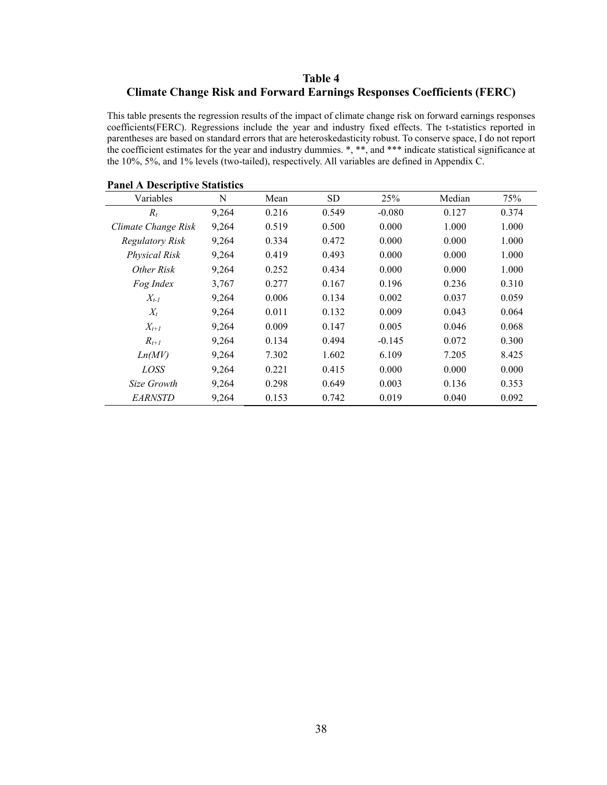# **Table 4 Climate Change Risk and Forward Earnings Responses Coefficients (FERC)**

This table presents the regression results of the impact of climate change risk on forward earnings responses coefficients(FERC). Regressions include the year and industry fixed effects. The t-statistics reported in parentheses are based on standard errors that are heteroskedasticity robust. To conserve space, I do not report the coefficient estimates for the year and industry dummies. \*, \*\*, and \*\*\* indicate statistical significance at the 10%, 5%, and 1% levels (two-tailed), respectively. All variables are defined in Appendix C.

| Variables              | N     | Mean  | SD    | 25%      | Median | 75%   |
|------------------------|-------|-------|-------|----------|--------|-------|
| $R_t$                  | 9,264 | 0.216 | 0.549 | $-0.080$ | 0.127  | 0.374 |
| Climate Change Risk    | 9,264 | 0.519 | 0.500 | 0.000    | 1.000  | 1.000 |
| <b>Regulatory Risk</b> | 9,264 | 0.334 | 0.472 | 0.000    | 0.000  | 1.000 |
| Physical Risk          | 9,264 | 0.419 | 0.493 | 0.000    | 0.000  | 1.000 |
| Other Risk             | 9,264 | 0.252 | 0.434 | 0.000    | 0.000  | 1.000 |
| Fog Index              | 3,767 | 0.277 | 0.167 | 0.196    | 0.236  | 0.310 |
| $X_{t-1}$              | 9,264 | 0.006 | 0.134 | 0.002    | 0.037  | 0.059 |
| $X_t$                  | 9,264 | 0.011 | 0.132 | 0.009    | 0.043  | 0.064 |
| $X_{t+1}$              | 9,264 | 0.009 | 0.147 | 0.005    | 0.046  | 0.068 |
| $R_{t+1}$              | 9,264 | 0.134 | 0.494 | $-0.145$ | 0.072  | 0.300 |
| Ln(MV)                 | 9,264 | 7.302 | 1.602 | 6.109    | 7.205  | 8.425 |
| <i>LOSS</i>            | 9,264 | 0.221 | 0.415 | 0.000    | 0.000  | 0.000 |
| Size Growth            | 9,264 | 0.298 | 0.649 | 0.003    | 0.136  | 0.353 |
| <i>EARNSTD</i>         | 9,264 | 0.153 | 0.742 | 0.019    | 0.040  | 0.092 |

#### **Panel A Descriptive Statistics**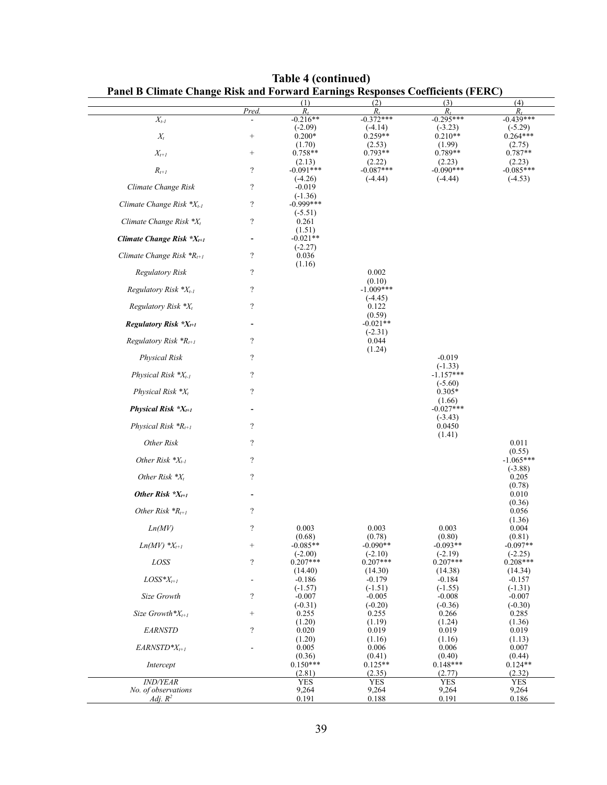| Panel B Climate Change Risk and Forward Earnings Responses Coefficients (FERC) |                          |                                |                               |                                |                               |
|--------------------------------------------------------------------------------|--------------------------|--------------------------------|-------------------------------|--------------------------------|-------------------------------|
|                                                                                | Pred.                    | $R_t$                          | (2)<br>$R_t$                  | (3)<br>$R_t$                   | (4)<br>$R_t$                  |
| $X_{t-1}$                                                                      | ÷,                       | $-0.216**$                     | $-0.372***$                   | $-0.295***$                    | $-0.439***$                   |
| $X_t$                                                                          | $^{+}$                   | $(-2.09)$<br>$0.200*$          | $(-4.14)$<br>$0.259**$        | $(-3.23)$<br>$0.210**$         | $(-5.29)$<br>$0.264***$       |
| $X_{t+1}$                                                                      | $\! + \!\!\!\!$          | (1.70)<br>$0.758**$            | (2.53)<br>$0.793**$           | (1.99)<br>$0.789**$            | (2.75)<br>$0.787**$           |
| $R_{t+1}$                                                                      | $\boldsymbol{?}$         | (2.13)<br>$-0.091***$          | (2.22)<br>$-0.087***$         | (2.23)<br>$-0.090***$          | (2.23)<br>$-0.085***$         |
| Climate Change Risk                                                            | $\boldsymbol{?}$         | $(-4.26)$<br>$-0.019$          | $(-4.44)$                     | $(-4.44)$                      | $(-4.53)$                     |
| Climate Change Risk *X <sub>t-1</sub>                                          | $\overline{\cdot}$       | $(-1.36)$<br>$-0.999***$       |                               |                                |                               |
| Climate Change Risk $*X_t$                                                     | $\boldsymbol{?}$         | $(-5.51)$<br>0.261             |                               |                                |                               |
| Climate Change Risk $X_{t+1}$                                                  | $\overline{\phantom{a}}$ | (1.51)<br>$-0.021**$           |                               |                                |                               |
| Climate Change Risk ${}^*R_{t+1}$                                              | $\boldsymbol{?}$         | $(-2.27)$<br>0.036<br>(1.16)   |                               |                                |                               |
| Regulatory Risk                                                                | $\boldsymbol{?}$         |                                | 0.002<br>(0.10)               |                                |                               |
| Regulatory Risk $*X_{t-1}$                                                     | $\overline{\cdot}$       |                                | $-1.009***$                   |                                |                               |
| Regulatory Risk *X <sub>t</sub>                                                | $\boldsymbol{?}$         |                                | $(-4.45)$<br>0.122<br>(0.59)  |                                |                               |
| Regulatory Risk *X <sub>t+1</sub>                                              |                          |                                | $-0.021**$                    |                                |                               |
| Regulatory Risk ${}^{\ast}R_{t+1}$                                             | $\overline{\cdot}$       |                                | $(-2.31)$<br>0.044            |                                |                               |
| Physical Risk                                                                  | $\boldsymbol{?}$         |                                | (1.24)                        | $-0.019$<br>$(-1.33)$          |                               |
| Physical Risk $*X_{t-1}$                                                       | $\boldsymbol{?}$         |                                |                               | $-1.157***$<br>$(-5.60)$       |                               |
| Physical Risk *X <sub>t</sub>                                                  | $\overline{\cdot}$       |                                |                               | $0.305*$                       |                               |
| Physical Risk $*X_{t+1}$                                                       | $\overline{\phantom{0}}$ |                                |                               | (1.66)<br>$-0.027***$          |                               |
| Physical Risk ${}^{\ast}R_{t+1}$                                               | $\overline{\cdot}$       |                                |                               | $(-3.43)$<br>0.0450<br>(1.41)  |                               |
| Other Risk                                                                     | $\overline{\cdot}$       |                                |                               |                                | 0.011                         |
| Other Risk $*X_{t-1}$                                                          | $\overline{\cdot}$       |                                |                               |                                | (0.55)<br>$-1.065***$         |
| Other Risk $*X_t$                                                              | $\overline{\mathcal{L}}$ |                                |                               |                                | $(-3.88)$<br>0.205            |
| Other Risk $X_{t+1}$                                                           | ٠                        |                                |                               |                                | (0.78)<br>0.010               |
| Other Risk ${}^{\ast}R_{t+1}$                                                  | $\boldsymbol{?}$         |                                |                               |                                | (0.36)<br>0.056               |
| Ln(MV)                                                                         | $\overline{\cdot}$       | 0.003                          | 0.003<br>(0.78)               | 0.003                          | (1.36)<br>0.004               |
| $Ln(MV)$ * $X_{t+1}$                                                           |                          | (0.68)<br>$-0.085**$           | $-0.090**$                    | (0.80)<br>$-0.093**$           | (0.81)<br>$-0.097**$          |
| LOSS                                                                           | $\overline{\mathcal{L}}$ | $(-2.00)$<br>$0.207***$        | $(-2.10)$<br>$0.207***$       | $(-2.19)$<br>$0.207***$        | $(-2.25)$<br>$0.208***$       |
| $LOSS^*X_{t+1}$                                                                | $\overline{a}$           | (14.40)<br>$-0.186$            | (14.30)<br>$-0.179$           | (14.38)<br>$-0.184$            | (14.34)<br>$-0.157$           |
| Size Growth                                                                    | $\boldsymbol{?}$         | $(-1.57)$<br>$-0.007$          | $(-1.51)$<br>$-0.005$         | $(-1.55)$<br>$-0.008$          | $(-1.31)$<br>$-0.007$         |
| Size Growth* $X_{t+1}$                                                         | $\! + \!\!\!\!$          | $(-0.31)$<br>0.255             | $(-0.20)$<br>0.255            | $(-0.36)$<br>0.266             | $(-0.30)$<br>0.285            |
| <b>EARNSTD</b>                                                                 | $\overline{\cdot}$       | (1.20)<br>0.020                | (1.19)<br>0.019<br>(1.16)     | (1.24)<br>0.019                | (1.36)<br>0.019               |
| $EARNSTD^*X_{t+1}$                                                             |                          | (1.20)<br>0.005                | 0.006                         | (1.16)<br>0.006                | (1.13)<br>0.007               |
| Intercept                                                                      |                          | (0.36)<br>$0.150***$<br>(2.81) | (0.41)<br>$0.125**$<br>(2.35) | (0.40)<br>$0.148***$<br>(2.77) | (0.44)<br>$0.124**$<br>(2.32) |
| <i><b>IND/YEAR</b></i>                                                         |                          | <b>YES</b>                     | <b>YES</b>                    | <b>YES</b>                     | <b>YES</b>                    |
| No. of observations<br>Adj. $R^2$                                              |                          | 9,264<br>0.191                 | 9,264<br>0.188                | 9,264<br>0.191                 | 9,264<br>0.186                |

**Table 4 (continued)**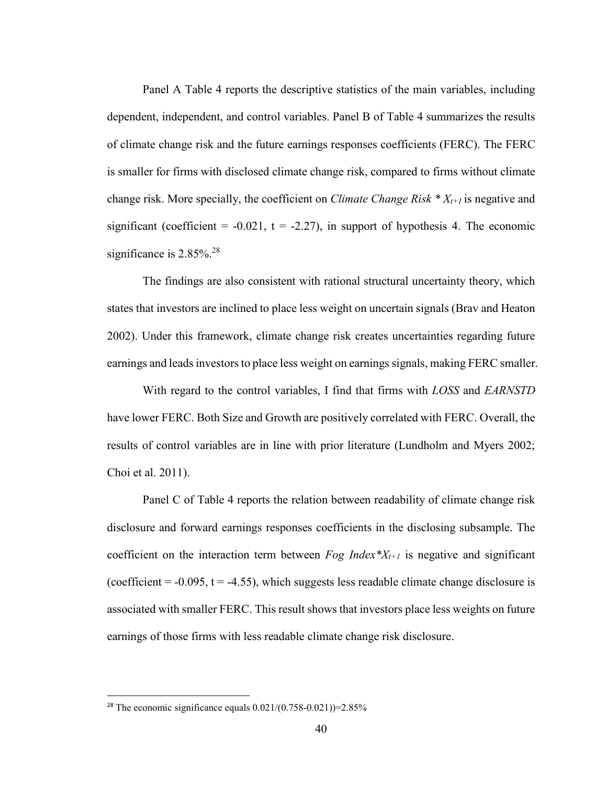Panel A Table 4 reports the descriptive statistics of the main variables, including dependent, independent, and control variables. Panel B of Table 4 summarizes the results of climate change risk and the future earnings responses coefficients (FERC). The FERC is smaller for firms with disclosed climate change risk, compared to firms without climate change risk. More specially, the coefficient on *Climate Change Risk \* Xt+1* is negative and significant (coefficient =  $-0.021$ , t =  $-2.27$ ), in support of hypothesis 4. The economic significance is 2.85%.<sup>28</sup>

The findings are also consistent with rational structural uncertainty theory, which states that investors are inclined to place less weight on uncertain signals (Brav and Heaton 2002). Under this framework, climate change risk creates uncertainties regarding future earnings and leads investors to place less weight on earnings signals, making FERC smaller.

With regard to the control variables, I find that firms with *LOSS* and *EARNSTD* have lower FERC. Both Size and Growth are positively correlated with FERC. Overall, the results of control variables are in line with prior literature (Lundholm and Myers 2002; Choi et al. 2011).

Panel C of Table 4 reports the relation between readability of climate change risk disclosure and forward earnings responses coefficients in the disclosing subsample. The coefficient on the interaction term between *Fog Index\** $X_{t+1}$  is negative and significant (coefficient =  $-0.095$ , t =  $-4.55$ ), which suggests less readable climate change disclosure is associated with smaller FERC. This result shows that investors place less weights on future earnings of those firms with less readable climate change risk disclosure.

<u>.</u>

<sup>&</sup>lt;sup>28</sup> The economic significance equals  $0.021/(0.758-0.021)$ )=2.85%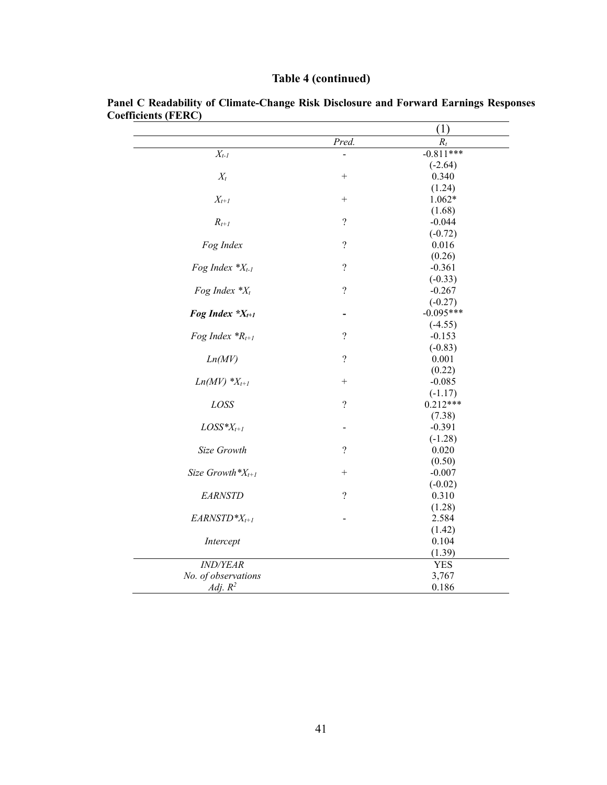| <b>Table 4 (continued)</b> |  |
|----------------------------|--|
|                            |  |

|                       |                          | (1)              |
|-----------------------|--------------------------|------------------|
|                       | Pred.                    | $\overline{R}_t$ |
| $X_{t-1}$             |                          | $-0.811***$      |
|                       |                          | $(-2.64)$        |
| $X_t$                 | $^{+}$                   | 0.340            |
|                       |                          | (1.24)           |
| $X_{t+1}$             | $\! + \!$                | $1.062*$         |
|                       |                          | (1.68)           |
| $R_{t+1}$             | $\overline{\mathcal{L}}$ | $-0.044$         |
|                       |                          | $(-0.72)$        |
| Fog Index             | $\overline{\mathcal{L}}$ | 0.016            |
|                       |                          | (0.26)           |
| Fog Index $*X_{t-1}$  | $\overline{\mathcal{L}}$ | $-0.361$         |
|                       |                          | $(-0.33)$        |
| Fog Index $*X_t$      | $\overline{\mathcal{L}}$ | $-0.267$         |
|                       |                          | $(-0.27)$        |
| Fog Index $X_{t+1}$   |                          | $-0.095***$      |
|                       |                          | $(-4.55)$        |
| Fog Index $^*R_{t+1}$ | $\overline{\mathcal{L}}$ | $-0.153$         |
|                       |                          | $(-0.83)$        |
| Ln(MV)                | $\overline{\mathcal{L}}$ | 0.001            |
|                       |                          | (0.22)           |
| $Ln(MV)$ * $X_{t+1}$  | $^{+}$                   | $-0.085$         |
|                       |                          | $(-1.17)$        |
| LOSS                  | $\overline{?}$           | $0.212***$       |
|                       |                          | (7.38)           |
| $LOS^*X_{t+1}$        |                          | $-0.391$         |
|                       |                          | $(-1.28)$        |
| Size Growth           | $\overline{\mathcal{L}}$ | 0.020            |
|                       |                          | (0.50)           |
| Size Growth $X_{t+1}$ | $\! + \!\!\!\!$          | $-0.007$         |
|                       |                          | $(-0.02)$        |
| <b>EARNSTD</b>        | $\overline{?}$           | 0.310            |
|                       |                          | (1.28)           |
| $EARNSTD^*X_{t+1}$    |                          | 2.584            |
|                       |                          | (1.42)           |
| Intercept             |                          | 0.104            |
|                       |                          | (1.39)           |
| <b>IND/YEAR</b>       |                          | <b>YES</b>       |
| No. of observations   |                          | 3,767            |
| Adj. $R^2$            |                          | 0.186            |

**Panel C Readability of Climate-Change Risk Disclosure and Forward Earnings Responses Coefficients (FERC)**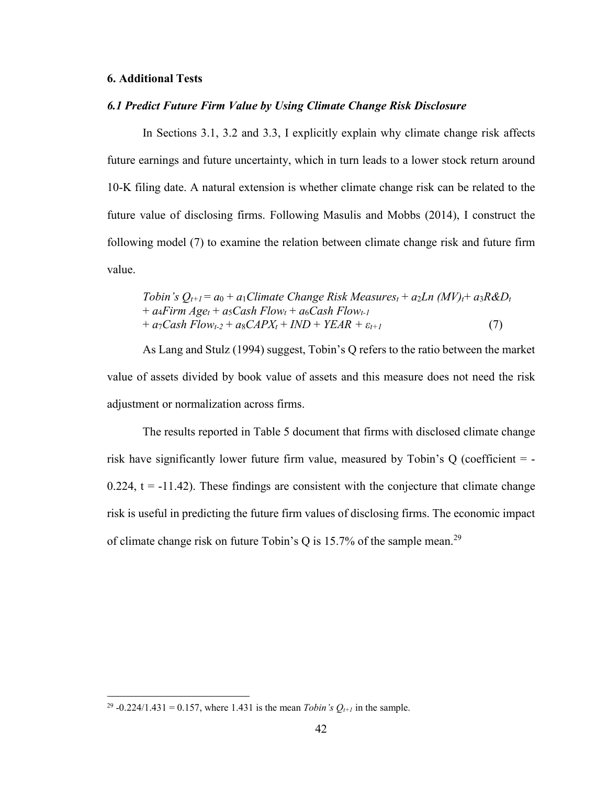#### **6. Additional Tests**

## *6.1 Predict Future Firm Value by Using Climate Change Risk Disclosure*

In Sections 3.1, 3.2 and 3.3, I explicitly explain why climate change risk affects future earnings and future uncertainty, which in turn leads to a lower stock return around 10-K filing date. A natural extension is whether climate change risk can be related to the future value of disclosing firms. Following Masulis and Mobbs (2014), I construct the following model (7) to examine the relation between climate change risk and future firm value.

Tobin's 
$$
Q_{t+1} = a_0 + a_1 \text{C} \text{limate Change Risk Measures}_t + a_2 \text{Ln } (MV)_t + a_3 \text{R} \& D_t + a_4 \text{F} \text{irm Age}_t + a_5 \text{Cash Flow}_t + a_6 \text{Cash Flow}_{t-1} + a_7 \text{Cash Flow}_{t-2} + a_8 \text{CAPX}_t + \text{IND} + \text{YEAR} + \varepsilon_{t+1}
$$
\n(7)

As Lang and Stulz (1994) suggest, Tobin's Q refers to the ratio between the market value of assets divided by book value of assets and this measure does not need the risk adjustment or normalization across firms.

The results reported in Table 5 document that firms with disclosed climate change risk have significantly lower future firm value, measured by Tobin's Q (coefficient  $= -1$ 0.224,  $t = -11.42$ ). These findings are consistent with the conjecture that climate change risk is useful in predicting the future firm values of disclosing firms. The economic impact of climate change risk on future Tobin's Q is 15.7% of the sample mean.<sup>29</sup>

<sup>&</sup>lt;sup>29</sup> -0.224/1.431 = 0.157, where 1.431 is the mean *Tobin's*  $Q_{t+1}$  in the sample.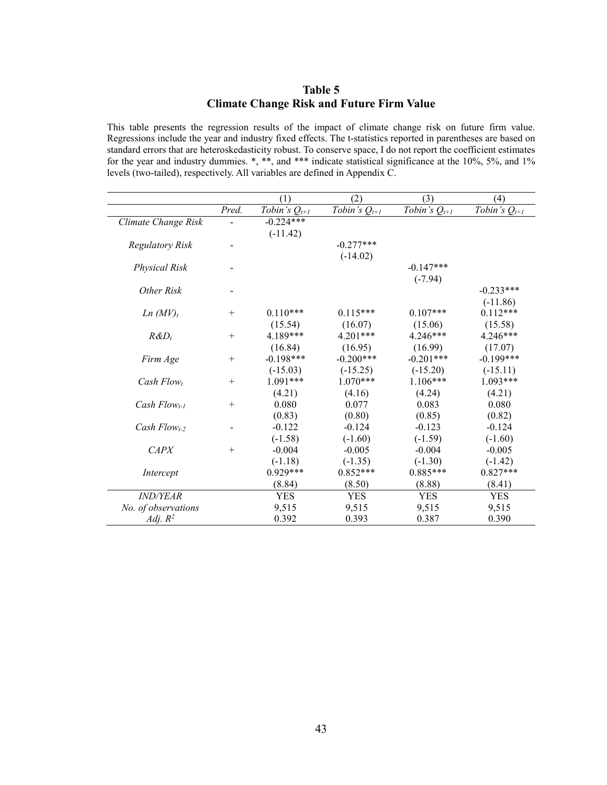## **Table 5 Climate Change Risk and Future Firm Value**

This table presents the regression results of the impact of climate change risk on future firm value. Regressions include the year and industry fixed effects. The t-statistics reported in parentheses are based on standard errors that are heteroskedasticity robust. To conserve space, I do not report the coefficient estimates for the year and industry dummies. \*, \*\*, and \*\*\* indicate statistical significance at the 10%, 5%, and 1% levels (two-tailed), respectively. All variables are defined in Appendix C.

|                      |        | (1)               | (2)               | (3)               | (4)               |
|----------------------|--------|-------------------|-------------------|-------------------|-------------------|
|                      | Pred.  | Tobin's $Q_{t+1}$ | Tobin's $Q_{t+1}$ | Tobin's $Q_{t+1}$ | Tobin's $Q_{t+1}$ |
| Climate Change Risk  |        | $-0.224***$       |                   |                   |                   |
|                      |        | $(-11.42)$        |                   |                   |                   |
| Regulatory Risk      |        |                   | $-0.277***$       |                   |                   |
|                      |        |                   | $(-14.02)$        |                   |                   |
| <b>Physical Risk</b> |        |                   |                   | $-0.147***$       |                   |
|                      |        |                   |                   | $(-7.94)$         |                   |
| Other Risk           |        |                   |                   |                   | $-0.233***$       |
|                      |        |                   |                   |                   | $(-11.86)$        |
| Ln (MV) <sub>t</sub> | $^{+}$ | $0.110***$        | $0.115***$        | $0.107***$        | $0.112***$        |
|                      |        | (15.54)           | (16.07)           | (15.06)           | (15.58)           |
| $R\&D_t$             | $^{+}$ | 4.189***          | 4.201***          | $4.246***$        | $4.246***$        |
|                      |        | (16.84)           | (16.95)           | (16.99)           | (17.07)           |
| Firm Age             | $^{+}$ | $-0.198***$       | $-0.200***$       | $-0.201***$       | $-0.199***$       |
|                      |        | $(-15.03)$        | $(-15.25)$        | $(-15.20)$        | $(-15.11)$        |
| Cash Flowt           | $^{+}$ | $1.091***$        | $1.070***$        | $1.106***$        | $1.093***$        |
|                      |        | (4.21)            | (4.16)            | (4.24)            | (4.21)            |
| Cash $Flow_{t-1}$    | $^{+}$ | 0.080             | 0.077             | 0.083             | 0.080             |
|                      |        | (0.83)            | (0.80)            | (0.85)            | (0.82)            |
| Cash $Flow_{t-2}$    |        | $-0.122$          | $-0.124$          | $-0.123$          | $-0.124$          |
|                      |        | $(-1.58)$         | $(-1.60)$         | $(-1.59)$         | $(-1.60)$         |
| CAPX                 | $^{+}$ | $-0.004$          | $-0.005$          | $-0.004$          | $-0.005$          |
|                      |        | $(-1.18)$         | $(-1.35)$         | $(-1.30)$         | $(-1.42)$         |
| Intercept            |        | $0.929***$        | $0.852***$        | $0.885***$        | $0.827***$        |
|                      |        | (8.84)            | (8.50)            | (8.88)            | (8.41)            |
| <b>IND/YEAR</b>      |        | <b>YES</b>        | <b>YES</b>        | <b>YES</b>        | <b>YES</b>        |
| No. of observations  |        | 9,515             | 9,515             | 9,515             | 9,515             |
| Adj. $R^2$           |        | 0.392             | 0.393             | 0.387             | 0.390             |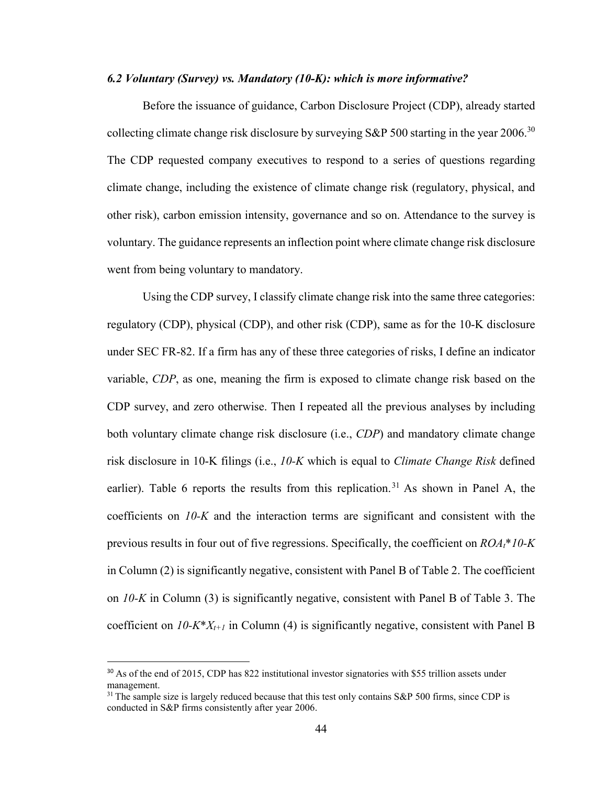## *6.2 Voluntary (Survey) vs. Mandatory (10-K): which is more informative?*

Before the issuance of guidance, Carbon Disclosure Project (CDP), already started collecting climate change risk disclosure by surveying S&P 500 starting in the year  $2006$ <sup>30</sup> The CDP requested company executives to respond to a series of questions regarding climate change, including the existence of climate change risk (regulatory, physical, and other risk), carbon emission intensity, governance and so on. Attendance to the survey is voluntary. The guidance represents an inflection point where climate change risk disclosure went from being voluntary to mandatory.

Using the CDP survey, I classify climate change risk into the same three categories: regulatory (CDP), physical (CDP), and other risk (CDP), same as for the 10-K disclosure under SEC FR-82. If a firm has any of these three categories of risks, I define an indicator variable, *CDP*, as one, meaning the firm is exposed to climate change risk based on the CDP survey, and zero otherwise. Then I repeated all the previous analyses by including both voluntary climate change risk disclosure (i.e., *CDP*) and mandatory climate change risk disclosure in 10-K filings (i.e., *10-K* which is equal to *Climate Change Risk* defined earlier). Table 6 reports the results from this replication.<sup>31</sup> As shown in Panel A, the coefficients on *10-K* and the interaction terms are significant and consistent with the previous results in four out of five regressions. Specifically, the coefficient on *ROAt*\**10-K* in Column (2) is significantly negative, consistent with Panel B of Table 2. The coefficient on *10-K* in Column (3) is significantly negative, consistent with Panel B of Table 3. The coefficient on  $10-K^*X_{t+1}$  in Column (4) is significantly negative, consistent with Panel B

-

<sup>&</sup>lt;sup>30</sup> As of the end of 2015, CDP has 822 institutional investor signatories with \$55 trillion assets under management.

 $31$  The sample size is largely reduced because that this test only contains S&P 500 firms, since CDP is conducted in S&P firms consistently after year 2006.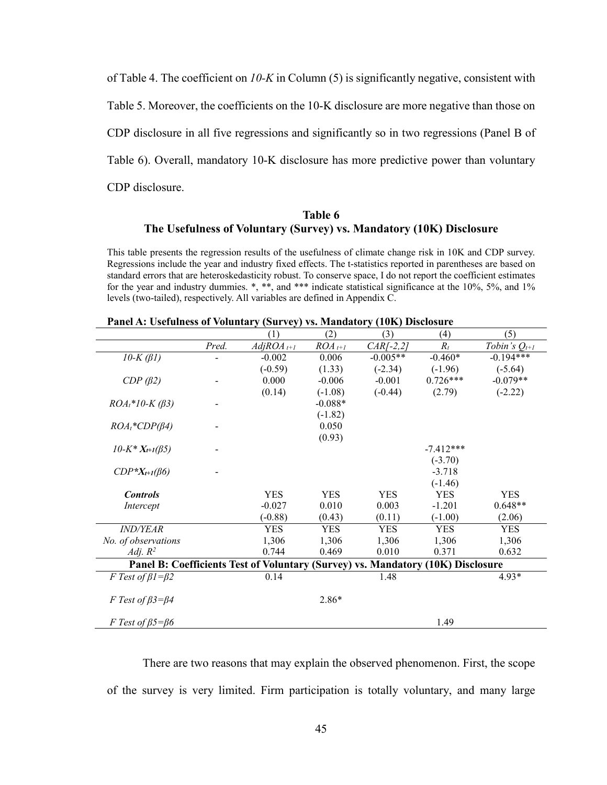of Table 4. The coefficient on *10-K* in Column (5) is significantly negative, consistent with Table 5. Moreover, the coefficients on the 10-K disclosure are more negative than those on CDP disclosure in all five regressions and significantly so in two regressions (Panel B of Table 6). Overall, mandatory 10-K disclosure has more predictive power than voluntary CDP disclosure.

## **Table 6 The Usefulness of Voluntary (Survey) vs. Mandatory (10K) Disclosure**

This table presents the regression results of the usefulness of climate change risk in 10K and CDP survey. Regressions include the year and industry fixed effects. The t-statistics reported in parentheses are based on standard errors that are heteroskedasticity robust. To conserve space, I do not report the coefficient estimates for the year and industry dummies. \*, \*\*, and \*\*\* indicate statistical significance at the 10%, 5%, and 1% levels (two-tailed), respectively. All variables are defined in Appendix C.

|                                       |       | (1)                                                                             | (2)         | (3)                     | (4)         | (5)               |
|---------------------------------------|-------|---------------------------------------------------------------------------------|-------------|-------------------------|-------------|-------------------|
|                                       | Pred. | $AdjROA_{t+1}$                                                                  | $ROA_{t+1}$ | $\overline{CAR}$ [-2,2] | $R_t$       | Tobin's $Q_{t+1}$ |
| $10-K$ ( $\beta$ 1)                   |       | $-0.002$                                                                        | 0.006       | $-0.005**$              | $-0.460*$   | $-0.194***$       |
|                                       |       | $(-0.59)$                                                                       | (1.33)      | $(-2.34)$               | $(-1.96)$   | $(-5.64)$         |
| CDP(B2)                               |       | 0.000                                                                           | $-0.006$    | $-0.001$                | $0.726***$  | $-0.079**$        |
|                                       |       | (0.14)                                                                          | $(-1.08)$   | $(-0.44)$               | (2.79)      | $(-2.22)$         |
| $ROA_t*10-K (\beta 3)$                |       |                                                                                 | $-0.088*$   |                         |             |                   |
|                                       |       |                                                                                 | $(-1.82)$   |                         |             |                   |
| $ROA_t$ *CDP( $\beta$ 4)              |       |                                                                                 | 0.050       |                         |             |                   |
|                                       |       |                                                                                 | (0.93)      |                         |             |                   |
| $10-K^*X_{t+1}(\beta 5)$              |       |                                                                                 |             |                         | $-7.412***$ |                   |
|                                       |       |                                                                                 |             |                         | $(-3.70)$   |                   |
| $CDP^*X_{t+1}(\beta6)$                |       |                                                                                 |             |                         | $-3.718$    |                   |
|                                       |       |                                                                                 |             |                         | $(-1.46)$   |                   |
| <b>Controls</b>                       |       | <b>YES</b>                                                                      | <b>YES</b>  | <b>YES</b>              | <b>YES</b>  | <b>YES</b>        |
| Intercept                             |       | $-0.027$                                                                        | 0.010       | 0.003                   | $-1.201$    | $0.648**$         |
|                                       |       | $(-0.88)$                                                                       | (0.43)      | (0.11)                  | $(-1.00)$   | (2.06)            |
| <i><b>IND/YEAR</b></i>                |       | <b>YES</b>                                                                      | <b>YES</b>  | <b>YES</b>              | <b>YES</b>  | <b>YES</b>        |
| No. of observations                   |       | 1,306                                                                           | 1,306       | 1,306                   | 1,306       | 1,306             |
| Adj. $R^2$                            |       | 0.744                                                                           | 0.469       | 0.010                   | 0.371       | 0.632             |
|                                       |       | Panel B: Coefficients Test of Voluntary (Survey) vs. Mandatory (10K) Disclosure |             |                         |             |                   |
| F Test of $\beta$ 1= $\beta$ 2        |       | 0.14                                                                            |             | 1.48                    |             | 4.93*             |
|                                       |       |                                                                                 |             |                         |             |                   |
| F Test of $\beta$ 3= $\beta$ 4        |       |                                                                                 | $2.86*$     |                         |             |                   |
|                                       |       |                                                                                 |             |                         |             |                   |
| <i>F</i> Test of $\beta$ 5= $\beta$ 6 |       |                                                                                 |             |                         | 1.49        |                   |

**Panel A: Usefulness of Voluntary (Survey) vs. Mandatory (10K) Disclosure**

There are two reasons that may explain the observed phenomenon. First, the scope of the survey is very limited. Firm participation is totally voluntary, and many large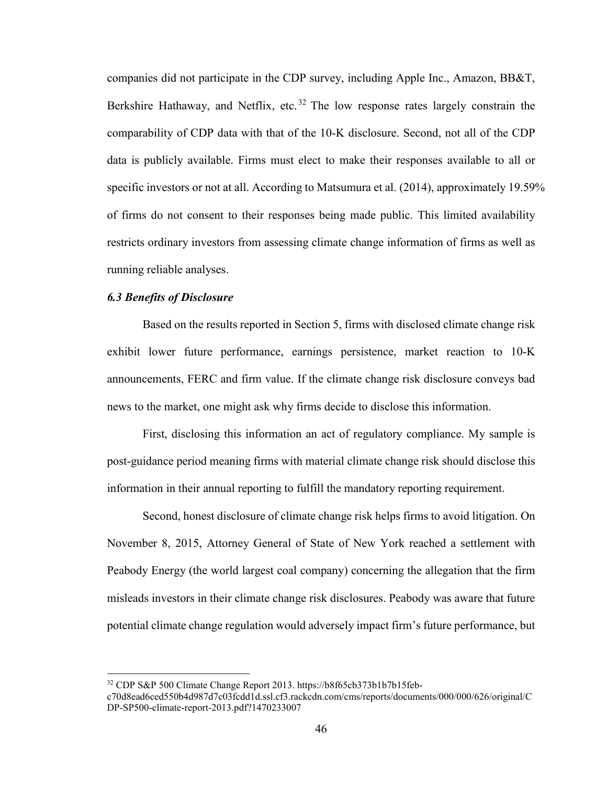companies did not participate in the CDP survey, including Apple Inc., Amazon, BB&T, Berkshire Hathaway, and Netflix, etc.<sup>32</sup> The low response rates largely constrain the comparability of CDP data with that of the 10-K disclosure. Second, not all of the CDP data is publicly available. Firms must elect to make their responses available to all or specific investors or not at all. According to Matsumura et al. (2014), approximately 19.59% of firms do not consent to their responses being made public. This limited availability restricts ordinary investors from assessing climate change information of firms as well as running reliable analyses.

## *6.3 Benefits of Disclosure*

Based on the results reported in Section 5, firms with disclosed climate change risk exhibit lower future performance, earnings persistence, market reaction to 10-K announcements, FERC and firm value. If the climate change risk disclosure conveys bad news to the market, one might ask why firms decide to disclose this information.

First, disclosing this information an act of regulatory compliance. My sample is post-guidance period meaning firms with material climate change risk should disclose this information in their annual reporting to fulfill the mandatory reporting requirement.

Second, honest disclosure of climate change risk helps firms to avoid litigation. On November 8, 2015, Attorney General of State of New York reached a settlement with Peabody Energy (the world largest coal company) concerning the allegation that the firm misleads investors in their climate change risk disclosures. Peabody was aware that future potential climate change regulation would adversely impact firm's future performance, but

 <sup>32</sup> CDP S&P 500 Climate Change Report 2013. https://b8f65cb373b1b7b15feb-

c70d8ead6ced550b4d987d7c03fcdd1d.ssl.cf3.rackcdn.com/cms/reports/documents/000/000/626/original/C DP-SP500-climate-report-2013.pdf?1470233007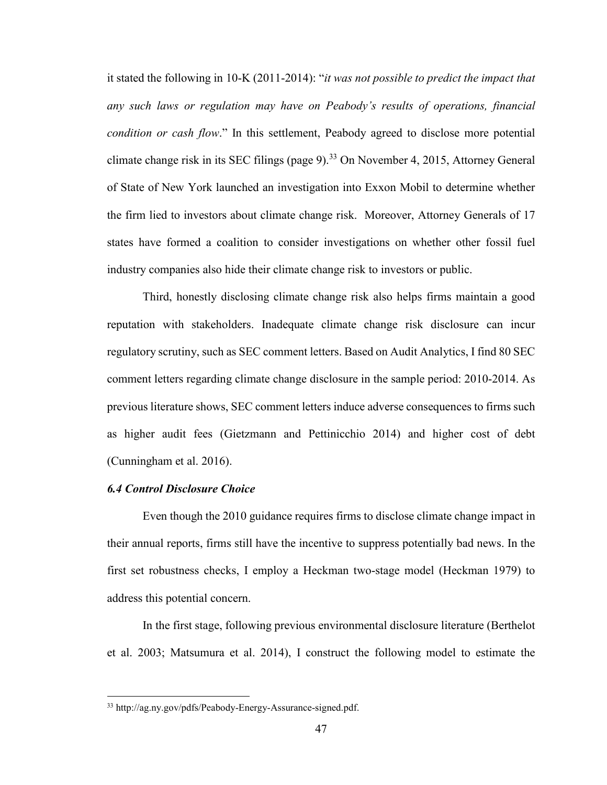it stated the following in 10-K (2011-2014): "*it was not possible to predict the impact that any such laws or regulation may have on Peabody's results of operations, financial condition or cash flow*." In this settlement, Peabody agreed to disclose more potential climate change risk in its SEC filings (page 9).<sup>33</sup> On November 4, 2015, Attorney General of State of New York launched an investigation into Exxon Mobil to determine whether the firm lied to investors about climate change risk. Moreover, Attorney Generals of 17 states have formed a coalition to consider investigations on whether other fossil fuel industry companies also hide their climate change risk to investors or public.

Third, honestly disclosing climate change risk also helps firms maintain a good reputation with stakeholders. Inadequate climate change risk disclosure can incur regulatory scrutiny, such as SEC comment letters. Based on Audit Analytics, I find 80 SEC comment letters regarding climate change disclosure in the sample period: 2010-2014. As previous literature shows, SEC comment letters induce adverse consequences to firms such as higher audit fees (Gietzmann and Pettinicchio 2014) and higher cost of debt (Cunningham et al. 2016).

### *6.4 Control Disclosure Choice*

Even though the 2010 guidance requires firms to disclose climate change impact in their annual reports, firms still have the incentive to suppress potentially bad news. In the first set robustness checks, I employ a Heckman two-stage model (Heckman 1979) to address this potential concern.

In the first stage, following previous environmental disclosure literature (Berthelot et al. 2003; Matsumura et al. 2014), I construct the following model to estimate the

 <sup>33</sup> http://ag.ny.gov/pdfs/Peabody-Energy-Assurance-signed.pdf.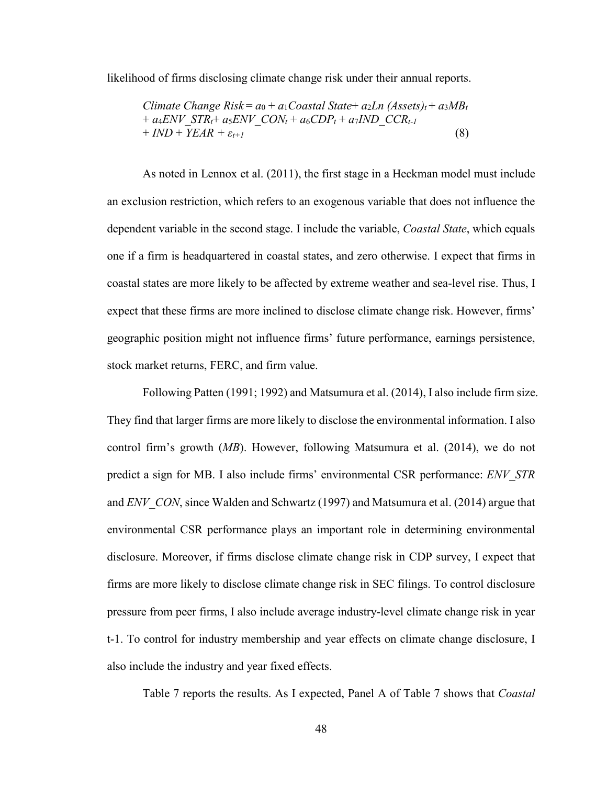likelihood of firms disclosing climate change risk under their annual reports.

$$
Climate Change Risk = a_0 + a_1Coastal State + a_2Ln (Assets)_t + a_3MB_t + a_4ENV_STR_t + a_5ENV_CON_t + a_6CDP_t + a_7IND_CCR_{t-1} + IND + YEAR + \varepsilon_{t+1}
$$
\n(8)

As noted in Lennox et al. (2011), the first stage in a Heckman model must include an exclusion restriction, which refers to an exogenous variable that does not influence the dependent variable in the second stage. I include the variable, *Coastal State*, which equals one if a firm is headquartered in coastal states, and zero otherwise. I expect that firms in coastal states are more likely to be affected by extreme weather and sea-level rise. Thus, I expect that these firms are more inclined to disclose climate change risk. However, firms' geographic position might not influence firms' future performance, earnings persistence, stock market returns, FERC, and firm value.

Following Patten (1991; 1992) and Matsumura et al. (2014), I also include firm size. They find that larger firms are more likely to disclose the environmental information. I also control firm's growth (*MB*). However, following Matsumura et al. (2014), we do not predict a sign for MB. I also include firms' environmental CSR performance: *ENV\_STR* and *ENV* CON, since Walden and Schwartz (1997) and Matsumura et al. (2014) argue that environmental CSR performance plays an important role in determining environmental disclosure. Moreover, if firms disclose climate change risk in CDP survey, I expect that firms are more likely to disclose climate change risk in SEC filings. To control disclosure pressure from peer firms, I also include average industry-level climate change risk in year t-1. To control for industry membership and year effects on climate change disclosure, I also include the industry and year fixed effects.

Table 7 reports the results. As I expected, Panel A of Table 7 shows that *Coastal*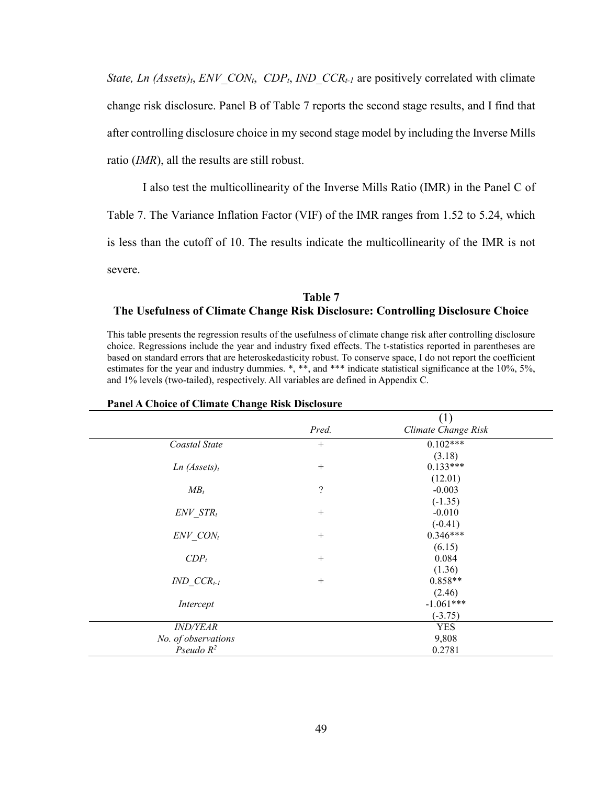*State, Ln (Assets)<sub>t</sub>*, *ENV CON<sub>t</sub>*, *CDP<sub>t</sub>*, *IND CCR<sub>t-1</sub>* are positively correlated with climate change risk disclosure. Panel B of Table 7 reports the second stage results, and I find that after controlling disclosure choice in my second stage model by including the Inverse Mills ratio (*IMR*), all the results are still robust.

I also test the multicollinearity of the Inverse Mills Ratio (IMR) in the Panel C of Table 7. The Variance Inflation Factor (VIF) of the IMR ranges from 1.52 to 5.24, which is less than the cutoff of 10. The results indicate the multicollinearity of the IMR is not severe.

# **Table 7 The Usefulness of Climate Change Risk Disclosure: Controlling Disclosure Choice**

This table presents the regression results of the usefulness of climate change risk after controlling disclosure choice. Regressions include the year and industry fixed effects. The t-statistics reported in parentheses are based on standard errors that are heteroskedasticity robust. To conserve space, I do not report the coefficient estimates for the year and industry dummies. \*, \*\*, and \*\*\* indicate statistical significance at the 10%, 5%, and 1% levels (two-tailed), respectively. All variables are defined in Appendix C.

|                          |            | (1)                 |  |
|--------------------------|------------|---------------------|--|
|                          | Pred.      | Climate Change Risk |  |
| Coastal State            | $^{+}$     | $0.102***$          |  |
|                          |            | (3.18)              |  |
| Ln (Assets) <sub>t</sub> | $^{+}$     | $0.133***$          |  |
|                          |            | (12.01)             |  |
| $MB_t$                   | $\ddot{?}$ | $-0.003$            |  |
|                          |            | $(-1.35)$           |  |
| $ENV$ $STR_t$            | $^{+}$     | $-0.010$            |  |
|                          |            | $(-0.41)$           |  |
| ENV CONt                 | $^{+}$     | $0.346***$          |  |
|                          |            | (6.15)              |  |
| $CDP_t$                  | $^{+}$     | 0.084               |  |
|                          |            | (1.36)              |  |
| $IND$ $CCR_{t-1}$        | $^{+}$     | $0.858**$           |  |
|                          |            | (2.46)              |  |
| Intercept                |            | $-1.061***$         |  |
|                          |            | $(-3.75)$           |  |
| <b>IND/YEAR</b>          |            | <b>YES</b>          |  |
| No. of observations      |            | 9,808               |  |
| Pseudo $R^2$             |            | 0.2781              |  |

#### **Panel A Choice of Climate Change Risk Disclosure**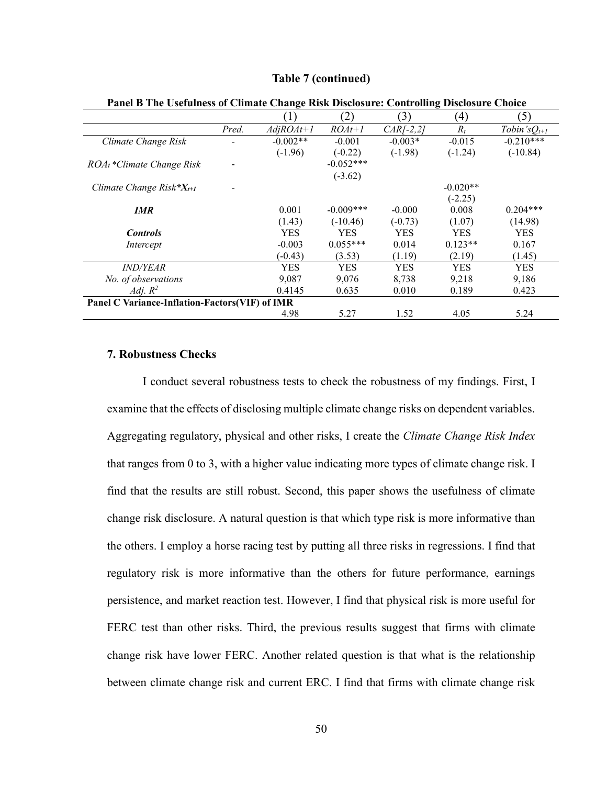| Panel B The Usefulness of Climate Change Risk Disclosure: Controlling Disclosure Choice |       |             |              |             |            |                   |
|-----------------------------------------------------------------------------------------|-------|-------------|--------------|-------------|------------|-------------------|
|                                                                                         |       | (1)         | (2)          | (3)         | (4)        | (5)               |
|                                                                                         | Pred. | $AdjROAt+1$ | $ROAt+1$     | $CAR[-2,2]$ | $R_t$      | Tobin's $Q_{t+1}$ |
| Climate Change Risk                                                                     |       | $-0.002**$  | $-0.001$     | $-0.003*$   | $-0.015$   | $-0.210***$       |
|                                                                                         |       | $(-1.96)$   | $(-0.22)$    | $(-1.98)$   | $(-1.24)$  | $(-10.84)$        |
| $ROA_t$ *Climate Change Risk                                                            |       |             | $-0.052***$  |             |            |                   |
|                                                                                         |       |             | $(-3.62)$    |             |            |                   |
| Climate Change Risk* $X_{t+1}$                                                          |       |             |              |             | $-0.020**$ |                   |
|                                                                                         |       |             |              |             | $(-2.25)$  |                   |
| <b>IMR</b>                                                                              |       | 0.001       | $-0.009$ *** | $-0.000$    | 0.008      | $0.204***$        |
|                                                                                         |       | (1.43)      | $(-10.46)$   | $(-0.73)$   | (1.07)     | (14.98)           |
| <b>Controls</b>                                                                         |       | <b>YES</b>  | <b>YES</b>   | <b>YES</b>  | YES        | <b>YES</b>        |
| Intercept                                                                               |       | $-0.003$    | $0.055***$   | 0.014       | $0.123**$  | 0.167             |
|                                                                                         |       | $(-0.43)$   | (3.53)       | (1.19)      | (2.19)     | (1.45)            |
| <i>IND/YEAR</i>                                                                         |       | YES         | <b>YES</b>   | <b>YES</b>  | <b>YES</b> | <b>YES</b>        |
| No. of observations                                                                     |       | 9,087       | 9,076        | 8,738       | 9,218      | 9,186             |
| Adj. $R^2$                                                                              |       | 0.4145      | 0.635        | 0.010       | 0.189      | 0.423             |
| Panel C Variance-Inflation-Factors(VIF) of IMR                                          |       |             |              |             |            |                   |
|                                                                                         |       | 4.98        | 5.27         | 1.52        | 4.05       | 5.24              |

#### **Table 7 (continued)**

# **7. Robustness Checks**

I conduct several robustness tests to check the robustness of my findings. First, I examine that the effects of disclosing multiple climate change risks on dependent variables. Aggregating regulatory, physical and other risks, I create the *Climate Change Risk Index* that ranges from 0 to 3, with a higher value indicating more types of climate change risk. I find that the results are still robust. Second, this paper shows the usefulness of climate change risk disclosure. A natural question is that which type risk is more informative than the others. I employ a horse racing test by putting all three risks in regressions. I find that regulatory risk is more informative than the others for future performance, earnings persistence, and market reaction test. However, I find that physical risk is more useful for FERC test than other risks. Third, the previous results suggest that firms with climate change risk have lower FERC. Another related question is that what is the relationship between climate change risk and current ERC. I find that firms with climate change risk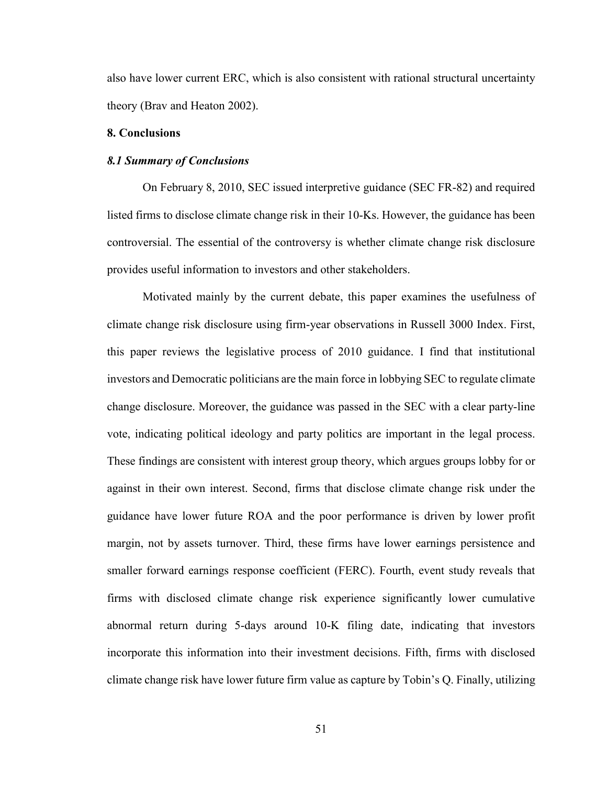also have lower current ERC, which is also consistent with rational structural uncertainty theory (Brav and Heaton 2002).

#### **8. Conclusions**

#### *8.1 Summary of Conclusions*

On February 8, 2010, SEC issued interpretive guidance (SEC FR-82) and required listed firms to disclose climate change risk in their 10-Ks. However, the guidance has been controversial. The essential of the controversy is whether climate change risk disclosure provides useful information to investors and other stakeholders.

Motivated mainly by the current debate, this paper examines the usefulness of climate change risk disclosure using firm-year observations in Russell 3000 Index. First, this paper reviews the legislative process of 2010 guidance. I find that institutional investors and Democratic politicians are the main force in lobbying SEC to regulate climate change disclosure. Moreover, the guidance was passed in the SEC with a clear party-line vote, indicating political ideology and party politics are important in the legal process. These findings are consistent with interest group theory, which argues groups lobby for or against in their own interest. Second, firms that disclose climate change risk under the guidance have lower future ROA and the poor performance is driven by lower profit margin, not by assets turnover. Third, these firms have lower earnings persistence and smaller forward earnings response coefficient (FERC). Fourth, event study reveals that firms with disclosed climate change risk experience significantly lower cumulative abnormal return during 5-days around 10-K filing date, indicating that investors incorporate this information into their investment decisions. Fifth, firms with disclosed climate change risk have lower future firm value as capture by Tobin's Q. Finally, utilizing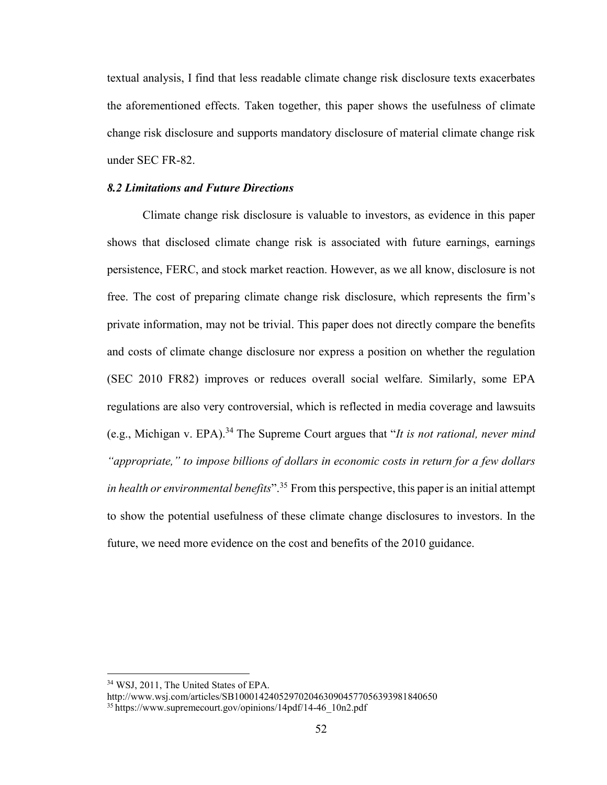textual analysis, I find that less readable climate change risk disclosure texts exacerbates the aforementioned effects. Taken together, this paper shows the usefulness of climate change risk disclosure and supports mandatory disclosure of material climate change risk under SEC FR-82.

#### *8.2 Limitations and Future Directions*

Climate change risk disclosure is valuable to investors, as evidence in this paper shows that disclosed climate change risk is associated with future earnings, earnings persistence, FERC, and stock market reaction. However, as we all know, disclosure is not free. The cost of preparing climate change risk disclosure, which represents the firm's private information, may not be trivial. This paper does not directly compare the benefits and costs of climate change disclosure nor express a position on whether the regulation (SEC 2010 FR82) improves or reduces overall social welfare. Similarly, some EPA regulations are also very controversial, which is reflected in media coverage and lawsuits (e.g., Michigan v. EPA).<sup>34</sup> The Supreme Court argues that "*It is not rational, never mind "appropriate," to impose billions of dollars in economic costs in return for a few dollars in health or environmental benefits*".<sup>35</sup> From this perspective, this paper is an initial attempt to show the potential usefulness of these climate change disclosures to investors. In the future, we need more evidence on the cost and benefits of the 2010 guidance.

 <sup>34</sup> WSJ, 2011, The United States of EPA.

http://www.wsj.com/articles/SB10001424052970204630904577056393981840650

<sup>35</sup> https://www.supremecourt.gov/opinions/14pdf/14-46\_10n2.pdf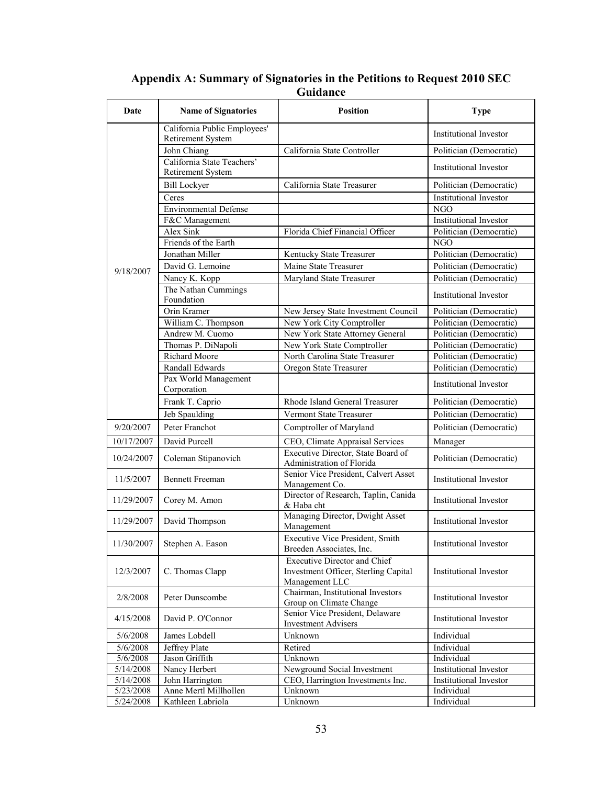| Date               | <b>Name of Signatories</b>                        | <b>Position</b>                                                                               | <b>Type</b>                   |
|--------------------|---------------------------------------------------|-----------------------------------------------------------------------------------------------|-------------------------------|
|                    | California Public Employees'<br>Retirement System |                                                                                               | <b>Institutional Investor</b> |
|                    | John Chiang                                       | California State Controller                                                                   | Politician (Democratic)       |
|                    | California State Teachers'<br>Retirement System   |                                                                                               | Institutional Investor        |
|                    | <b>Bill Lockyer</b>                               | California State Treasurer                                                                    | Politician (Democratic)       |
|                    | Ceres                                             |                                                                                               | <b>Institutional Investor</b> |
|                    | <b>Environmental Defense</b>                      |                                                                                               | <b>NGO</b>                    |
|                    | F&C Management                                    |                                                                                               | Institutional Investor        |
|                    | Alex Sink                                         | Florida Chief Financial Officer                                                               | Politician (Democratic)       |
|                    | Friends of the Earth                              |                                                                                               | <b>NGO</b>                    |
|                    | Jonathan Miller                                   | Kentucky State Treasurer                                                                      | Politician (Democratic)       |
|                    | David G. Lemoine                                  | Maine State Treasurer                                                                         | Politician (Democratic)       |
| 9/18/2007          | Nancy K. Kopp                                     | Maryland State Treasurer                                                                      | Politician (Democratic)       |
|                    | The Nathan Cummings                               |                                                                                               |                               |
|                    | Foundation                                        |                                                                                               | Institutional Investor        |
|                    | Orin Kramer                                       | New Jersey State Investment Council                                                           | Politician (Democratic)       |
|                    | William C. Thompson                               | New York City Comptroller                                                                     | Politician (Democratic)       |
|                    | Andrew M. Cuomo                                   | New York State Attorney General                                                               | Politician (Democratic)       |
|                    | Thomas P. DiNapoli                                | New York State Comptroller                                                                    | Politician (Democratic)       |
|                    | <b>Richard Moore</b>                              | North Carolina State Treasurer                                                                | Politician (Democratic)       |
|                    | Randall Edwards                                   | Oregon State Treasurer                                                                        | Politician (Democratic)       |
|                    | Pax World Management                              |                                                                                               |                               |
|                    | Corporation                                       |                                                                                               | <b>Institutional Investor</b> |
|                    | Frank T. Caprio                                   | Rhode Island General Treasurer                                                                | Politician (Democratic)       |
|                    | Jeb Spaulding                                     | Vermont State Treasurer                                                                       | Politician (Democratic)       |
| 9/20/2007          | Peter Franchot                                    | Comptroller of Maryland                                                                       | Politician (Democratic)       |
| 10/17/2007         | David Purcell                                     | CEO, Climate Appraisal Services                                                               | Manager                       |
| 10/24/2007         | Coleman Stipanovich                               | Executive Director, State Board of                                                            | Politician (Democratic)       |
|                    |                                                   | Administration of Florida                                                                     |                               |
| 11/5/2007          | <b>Bennett Freeman</b>                            | Senior Vice President, Calvert Asset<br>Management Co.                                        | Institutional Investor        |
| 11/29/2007         | Corey M. Amon                                     | Director of Research, Taplin, Canida<br>& Haba cht                                            | Institutional Investor        |
| 11/29/2007         | David Thompson                                    | Managing Director, Dwight Asset<br>Management                                                 | Institutional Investor        |
|                    | 11/30/2007 Stephen A. Eason                       | Executive Vice President, Smith<br>Breeden Associates, Inc.                                   | Institutional Investor        |
| 12/3/2007          | C. Thomas Clapp                                   | <b>Executive Director and Chief</b><br>Investment Officer, Sterling Capital<br>Management LLC | <b>Institutional Investor</b> |
| 2/8/2008           | Peter Dunscombe                                   | Chairman, Institutional Investors<br>Group on Climate Change                                  | Institutional Investor        |
| 4/15/2008          | David P. O'Connor                                 | Senior Vice President, Delaware<br><b>Investment Advisers</b>                                 | Institutional Investor        |
| 5/6/2008           | James Lobdell                                     | Unknown                                                                                       | Individual                    |
| 5/6/2008           | Jeffrey Plate                                     | Retired                                                                                       | Individual                    |
| 5/6/2008           | Jason Griffith                                    | Unknown                                                                                       | Individual                    |
| 5/14/2008          | Nancy Herbert                                     | Newground Social Investment                                                                   | Institutional Investor        |
| $\sqrt{5/14/2008}$ | John Harrington                                   | CEO, Harrington Investments Inc.                                                              | Institutional Investor        |
| 5/23/2008          | Anne Mertl Millhollen                             | Unknown                                                                                       | Individual                    |
| 5/24/2008          | Kathleen Labriola                                 | Unknown                                                                                       | Individual                    |

**Appendix A: Summary of Signatories in the Petitions to Request 2010 SEC Guidance**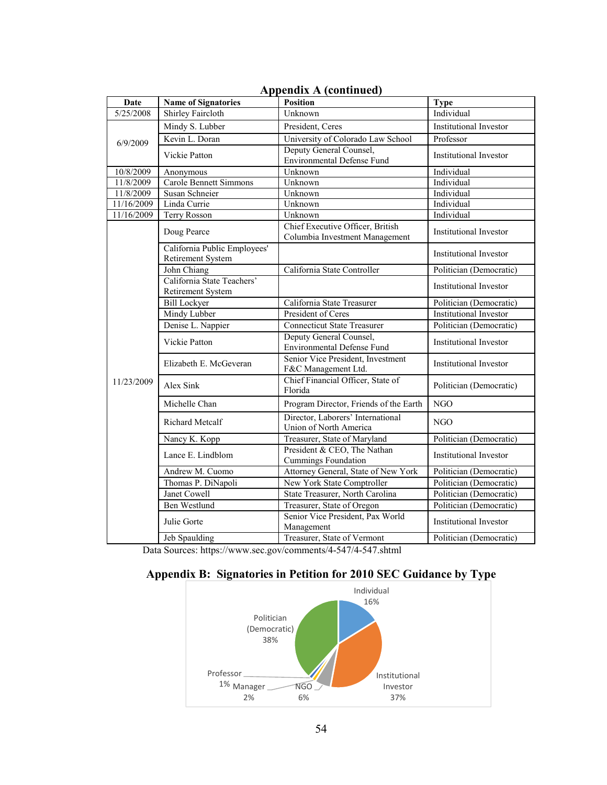|            |                                                   | $1$ , ppendix $1$ , continued                                      |                               |
|------------|---------------------------------------------------|--------------------------------------------------------------------|-------------------------------|
| Date       | <b>Name of Signatories</b>                        | <b>Position</b>                                                    | <b>Type</b>                   |
| 5/25/2008  | Shirley Faircloth                                 | Unknown                                                            | Individual                    |
|            | Mindy S. Lubber                                   | President, Ceres                                                   | Institutional Investor        |
| 6/9/2009   | Kevin L. Doran                                    | University of Colorado Law School                                  | Professor                     |
|            | Vickie Patton                                     | Deputy General Counsel,<br><b>Environmental Defense Fund</b>       | <b>Institutional Investor</b> |
| 10/8/2009  | Anonymous                                         | Unknown                                                            | Individual                    |
| 11/8/2009  | <b>Carole Bennett Simmons</b>                     | Unknown                                                            | Individual                    |
| 11/8/2009  | Susan Schneier                                    | Unknown                                                            | Individual                    |
| 11/16/2009 | Linda Currie                                      | Unknown                                                            | Individual                    |
| 11/16/2009 | Terry Rosson                                      | Unknown                                                            | Individual                    |
|            | Doug Pearce                                       | Chief Executive Officer, British<br>Columbia Investment Management | <b>Institutional Investor</b> |
|            | California Public Employees'<br>Retirement System |                                                                    | Institutional Investor        |
|            | John Chiang                                       | California State Controller                                        | Politician (Democratic)       |
|            | California State Teachers'<br>Retirement System   |                                                                    | <b>Institutional Investor</b> |
|            | <b>Bill Lockyer</b>                               | California State Treasurer                                         | Politician (Democratic)       |
|            | Mindy Lubber                                      | President of Ceres                                                 | <b>Institutional Investor</b> |
|            | Denise L. Nappier                                 | <b>Connecticut State Treasurer</b>                                 | Politician (Democratic)       |
|            | Vickie Patton                                     | Deputy General Counsel,<br><b>Environmental Defense Fund</b>       | <b>Institutional Investor</b> |
|            | Elizabeth E. McGeveran                            | Senior Vice President, Investment<br>F&C Management Ltd.           | Institutional Investor        |
| 11/23/2009 | Alex Sink                                         | Chief Financial Officer, State of<br>Florida                       | Politician (Democratic)       |
|            | Michelle Chan                                     | Program Director, Friends of the Earth                             | <b>NGO</b>                    |
|            | <b>Richard Metcalf</b>                            | Director, Laborers' International<br>Union of North America        | <b>NGO</b>                    |
|            | Nancy K. Kopp                                     | Treasurer, State of Maryland                                       | Politician (Democratic)       |
|            | Lance E. Lindblom                                 | President & CEO, The Nathan<br><b>Cummings Foundation</b>          | <b>Institutional Investor</b> |
|            | Andrew M. Cuomo                                   | Attorney General, State of New York                                | Politician (Democratic)       |
|            | Thomas P. DiNapoli                                | New York State Comptroller                                         | Politician (Democratic)       |
|            | Janet Cowell                                      | State Treasurer, North Carolina                                    | Politician (Democratic)       |
|            | <b>Ben Westlund</b>                               | Treasurer, State of Oregon                                         | Politician (Democratic)       |
|            | Julie Gorte                                       | Senior Vice President, Pax World<br>Management                     | Institutional Investor        |
|            | Jeb Spaulding                                     | Treasurer, State of Vermont                                        | Politician (Democratic)       |

# **Appendix A (continued)**

Data Sources: https://www.sec.gov/comments/4-547/4-547.shtml

# **Appendix B: Signatories in Petition for 2010 SEC Guidance by Type**

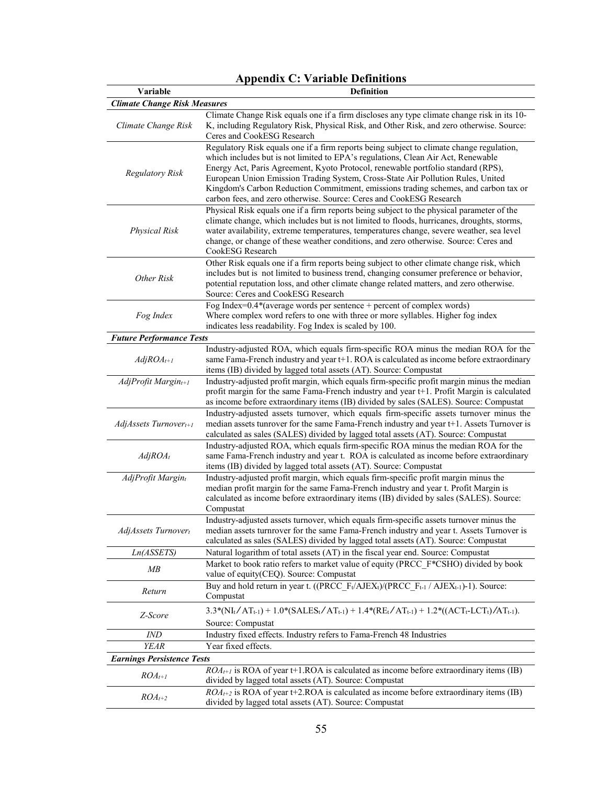| Variable                            | <b>Definition</b>                                                                                                                                                                                                                                                                                                                 |
|-------------------------------------|-----------------------------------------------------------------------------------------------------------------------------------------------------------------------------------------------------------------------------------------------------------------------------------------------------------------------------------|
| <b>Climate Change Risk Measures</b> |                                                                                                                                                                                                                                                                                                                                   |
|                                     | Climate Change Risk equals one if a firm discloses any type climate change risk in its 10-                                                                                                                                                                                                                                        |
| Climate Change Risk                 | K, including Regulatory Risk, Physical Risk, and Other Risk, and zero otherwise. Source:<br>Ceres and CookESG Research                                                                                                                                                                                                            |
|                                     | Regulatory Risk equals one if a firm reports being subject to climate change regulation,<br>which includes but is not limited to EPA's regulations, Clean Air Act, Renewable                                                                                                                                                      |
| <b>Regulatory Risk</b>              | Energy Act, Paris Agreement, Kyoto Protocol, renewable portfolio standard (RPS),<br>European Union Emission Trading System, Cross-State Air Pollution Rules, United<br>Kingdom's Carbon Reduction Commitment, emissions trading schemes, and carbon tax or<br>carbon fees, and zero otherwise. Source: Ceres and CookESG Research |
|                                     | Physical Risk equals one if a firm reports being subject to the physical parameter of the                                                                                                                                                                                                                                         |
| <b>Physical Risk</b>                | climate change, which includes but is not limited to floods, hurricanes, droughts, storms,<br>water availability, extreme temperatures, temperatures change, severe weather, sea level<br>change, or change of these weather conditions, and zero otherwise. Source: Ceres and<br>CookESG Research                                |
| Other Risk                          | Other Risk equals one if a firm reports being subject to other climate change risk, which<br>includes but is not limited to business trend, changing consumer preference or behavior,<br>potential reputation loss, and other climate change related matters, and zero otherwise.                                                 |
|                                     | Source: Ceres and CookESG Research                                                                                                                                                                                                                                                                                                |
| Fog Index                           | Fog Index= $0.4*$ (average words per sentence + percent of complex words)<br>Where complex word refers to one with three or more syllables. Higher fog index<br>indicates less readability. Fog Index is scaled by 100.                                                                                                           |
| <b>Future Performance Tests</b>     |                                                                                                                                                                                                                                                                                                                                   |
| $AdjROA_{t+1}$                      | Industry-adjusted ROA, which equals firm-specific ROA minus the median ROA for the<br>same Fama-French industry and year t+1. ROA is calculated as income before extraordinary<br>items (IB) divided by lagged total assets (AT). Source: Compustat                                                                               |
| $AdjProfit$ Margin $_{t+1}$         | Industry-adjusted profit margin, which equals firm-specific profit margin minus the median<br>profit margin for the same Fama-French industry and year t+1. Profit Margin is calculated<br>as income before extraordinary items (IB) divided by sales (SALES). Source: Compustat                                                  |
| AdjAssets Turnover <sub>t+1</sub>   | Industry-adjusted assets turnover, which equals firm-specific assets turnover minus the<br>median assets tunrover for the same Fama-French industry and year t+1. Assets Turnover is<br>calculated as sales (SALES) divided by lagged total assets (AT). Source: Compustat                                                        |
| $AdjROA_t$                          | Industry-adjusted ROA, which equals firm-specific ROA minus the median ROA for the<br>same Fama-French industry and year t. ROA is calculated as income before extraordinary<br>items (IB) divided by lagged total assets (AT). Source: Compustat                                                                                 |
| AdjProfit Margint                   | Industry-adjusted profit margin, which equals firm-specific profit margin minus the<br>median profit margin for the same Fama-French industry and year t. Profit Margin is<br>calculated as income before extraordinary items (IB) divided by sales (SALES). Source:<br>Compustat                                                 |
| AdjAssets Turnovert                 | Industry-adjusted assets turnover, which equals firm-specific assets turnover minus the<br>median assets turnrover for the same Fama-French industry and year t. Assets Turnover is<br>calculated as sales (SALES) divided by lagged total assets (AT). Source: Compustat                                                         |
| Ln(ASSETS)                          | Natural logarithm of total assets (AT) in the fiscal year end. Source: Compustat                                                                                                                                                                                                                                                  |
| MB                                  | Market to book ratio refers to market value of equity (PRCC F*CSHO) divided by book<br>value of equity(CEQ). Source: Compustat                                                                                                                                                                                                    |
| Return                              | Buy and hold return in year t. ((PRCC_F <sub>t</sub> /AJEX <sub>t</sub> )/(PRCC_F <sub>t-1</sub> /AJEX <sub>t-1</sub> )-1). Source:<br>Compustat                                                                                                                                                                                  |
| Z-Score                             | $3.3*(NI_t/AT_{t-1}) + 1.0*(SALES_t/AT_{t-1}) + 1.4*(RE_t/AT_{t-1}) + 1.2*((ACT_t-LCT_t)/AT_{t-1}).$<br>Source: Compustat                                                                                                                                                                                                         |
| <i>IND</i>                          | Industry fixed effects. Industry refers to Fama-French 48 Industries                                                                                                                                                                                                                                                              |
| <b>YEAR</b>                         | Year fixed effects.                                                                                                                                                                                                                                                                                                               |
| <b>Earnings Persistence Tests</b>   |                                                                                                                                                                                                                                                                                                                                   |
| $ROA_{t+1}$                         | $ROA_{t+1}$ is ROA of year t+1. ROA is calculated as income before extraordinary items (IB)<br>divided by lagged total assets (AT). Source: Compustat                                                                                                                                                                             |
| $ROA_{t+2}$                         | $ROA_{t+2}$ is ROA of year t+2.ROA is calculated as income before extraordinary items (IB)<br>divided by lagged total assets (AT). Source: Compustat                                                                                                                                                                              |

# **Appendix C: Variable Definitions**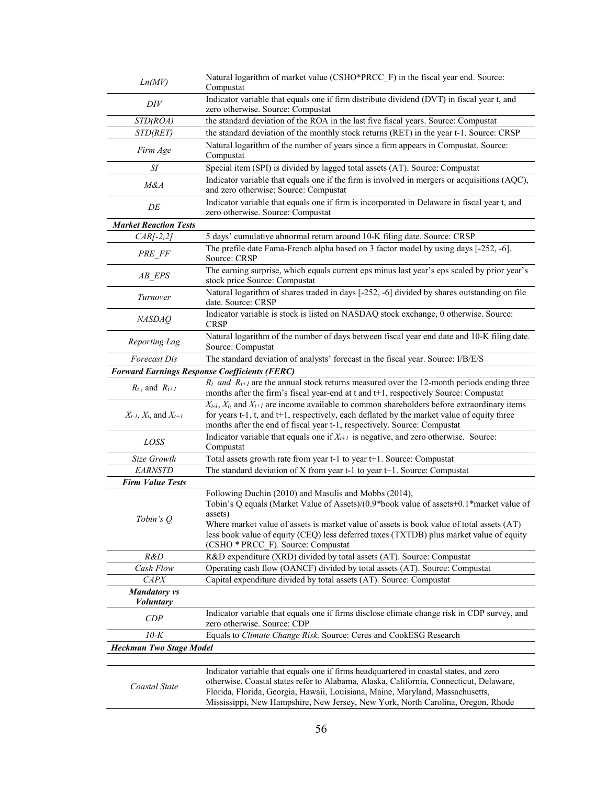| Ln(MV)                                  | Natural logarithm of market value (CSHO*PRCC F) in the fiscal year end. Source:<br>Compustat                                                                                                                                                                                                                                                                                              |
|-----------------------------------------|-------------------------------------------------------------------------------------------------------------------------------------------------------------------------------------------------------------------------------------------------------------------------------------------------------------------------------------------------------------------------------------------|
|                                         |                                                                                                                                                                                                                                                                                                                                                                                           |
| DIV                                     | Indicator variable that equals one if firm distribute dividend (DVT) in fiscal year t, and<br>zero otherwise. Source: Compustat                                                                                                                                                                                                                                                           |
| STD(ROA)                                | the standard deviation of the ROA in the last five fiscal years. Source: Compustat                                                                                                                                                                                                                                                                                                        |
| STD(RET)                                | the standard deviation of the monthly stock returns (RET) in the year t-1. Source: CRSP                                                                                                                                                                                                                                                                                                   |
| Firm Age                                | Natural logarithm of the number of years since a firm appears in Compustat. Source:<br>Compustat                                                                                                                                                                                                                                                                                          |
| SΙ                                      | Special item (SPI) is divided by lagged total assets (AT). Source: Compustat                                                                                                                                                                                                                                                                                                              |
| M&A                                     | Indicator variable that equals one if the firm is involved in mergers or acquisitions (AQC),<br>and zero otherwise; Source: Compustat                                                                                                                                                                                                                                                     |
| DE                                      | Indicator variable that equals one if firm is incorporated in Delaware in fiscal year t, and<br>zero otherwise. Source: Compustat                                                                                                                                                                                                                                                         |
| <b>Market Reaction Tests</b>            |                                                                                                                                                                                                                                                                                                                                                                                           |
| $CAR[-2,2]$                             | 5 days' cumulative abnormal return around 10-K filing date. Source: CRSP                                                                                                                                                                                                                                                                                                                  |
| PRE FF                                  | The prefile date Fama-French alpha based on 3 factor model by using days [-252, -6].<br>Source: CRSP                                                                                                                                                                                                                                                                                      |
| AB_EPS                                  | The earning surprise, which equals current eps minus last year's eps scaled by prior year's<br>stock price Source: Compustat                                                                                                                                                                                                                                                              |
| Turnover                                | Natural logarithm of shares traded in days [-252, -6] divided by shares outstanding on file<br>date. Source: CRSP                                                                                                                                                                                                                                                                         |
| <b>NASDAQ</b>                           | Indicator variable is stock is listed on NASDAQ stock exchange, 0 otherwise. Source:<br><b>CRSP</b>                                                                                                                                                                                                                                                                                       |
| Reporting Lag                           | Natural logarithm of the number of days between fiscal year end date and 10-K filing date.<br>Source: Compustat                                                                                                                                                                                                                                                                           |
| Forecast Dis                            | The standard deviation of analysts' forecast in the fiscal year. Source: I/B/E/S                                                                                                                                                                                                                                                                                                          |
|                                         | <b>Forward Earnings Response Coefficients (FERC)</b>                                                                                                                                                                                                                                                                                                                                      |
| $R_t$ , and $R_{t+1}$                   | $R_t$ and $R_{t+1}$ are the annual stock returns measured over the 12-month periods ending three<br>months after the firm's fiscal year-end at t and t+1, respectively Source: Compustat                                                                                                                                                                                                  |
| $X_{t-1}$ , $X_t$ , and $X_{t+1}$       | $X_{t-1}$ , $X_t$ , and $X_{t+1}$ are income available to common shareholders before extraordinary items<br>for years t-1, t, and t+1, respectively, each deflated by the market value of equity three<br>months after the end of fiscal year t-1, respectively. Source: Compustat                                                                                                        |
| LOSS                                    | Indicator variable that equals one if $X_{t+1}$ is negative, and zero otherwise. Source:<br>Compustat                                                                                                                                                                                                                                                                                     |
| Size Growth                             | Total assets growth rate from year t-1 to year t+1. Source: Compustat                                                                                                                                                                                                                                                                                                                     |
| <b>EARNSTD</b>                          | The standard deviation of X from year t-1 to year t+1. Source: Compustat                                                                                                                                                                                                                                                                                                                  |
| <b>Firm Value Tests</b>                 |                                                                                                                                                                                                                                                                                                                                                                                           |
| Tobin's Q                               | Following Duchin (2010) and Masulis and Mobbs (2014),<br>Tobin's Q equals (Market Value of Assets)/(0.9*book value of assets+0.1*market value of<br>assets)<br>Where market value of assets is market value of assets is book value of total assets (AT)<br>less book value of equity (CEQ) less deferred taxes (TXTDB) plus market value of equity<br>(CSHO * PRCC_F). Source: Compustat |
| R&D                                     | R&D expenditure (XRD) divided by total assets (AT). Source: Compustat                                                                                                                                                                                                                                                                                                                     |
| Cash Flow                               | Operating cash flow (OANCF) divided by total assets (AT). Source: Compustat                                                                                                                                                                                                                                                                                                               |
| <b>CAPX</b>                             | Capital expenditure divided by total assets (AT). Source: Compustat                                                                                                                                                                                                                                                                                                                       |
| <b>Mandatory</b> vs<br><i>Voluntary</i> |                                                                                                                                                                                                                                                                                                                                                                                           |
| CDP                                     | Indicator variable that equals one if firms disclose climate change risk in CDP survey, and<br>zero otherwise. Source: CDP                                                                                                                                                                                                                                                                |
| $10-K$                                  | Equals to Climate Change Risk. Source: Ceres and CookESG Research                                                                                                                                                                                                                                                                                                                         |
| <b>Heckman Two Stage Model</b>          |                                                                                                                                                                                                                                                                                                                                                                                           |
| Coastal State                           | Indicator variable that equals one if firms headquartered in coastal states, and zero<br>otherwise. Coastal states refer to Alabama, Alaska, California, Connecticut, Delaware,<br>Florida, Florida, Georgia, Hawaii, Louisiana, Maine, Maryland, Massachusetts,<br>Mississippi, New Hampshire, New Jersey, New York, North Carolina, Oregon, Rhode                                       |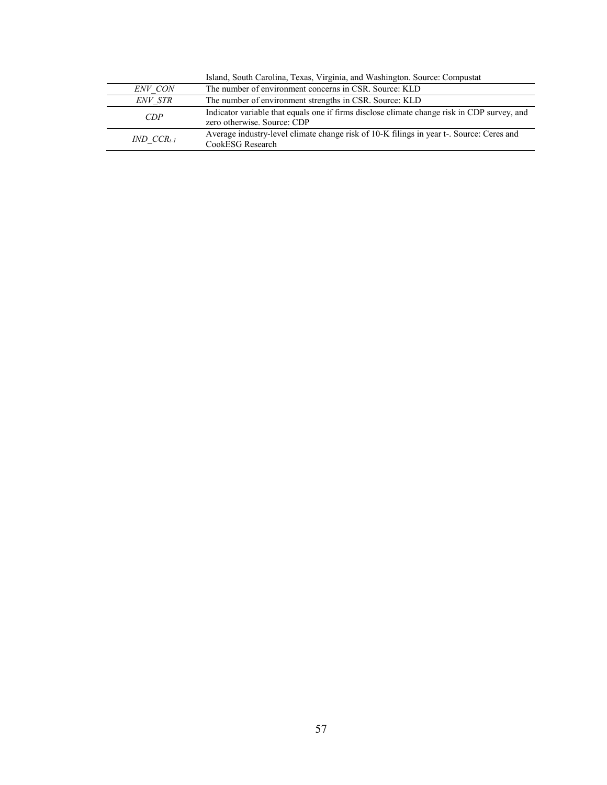|                   | Island, South Carolina, Texas, Virginia, and Washington. Source: Compustat                                                 |
|-------------------|----------------------------------------------------------------------------------------------------------------------------|
| ENV CON           | The number of environment concerns in CSR. Source: KLD                                                                     |
| <i>ENV STR</i>    | The number of environment strengths in CSR. Source: KLD                                                                    |
| CDP               | Indicator variable that equals one if firms disclose climate change risk in CDP survey, and<br>zero otherwise. Source: CDP |
| $IND$ $CCR_{t-1}$ | Average industry-level climate change risk of 10-K filings in year t-. Source: Ceres and<br>CookESG Research               |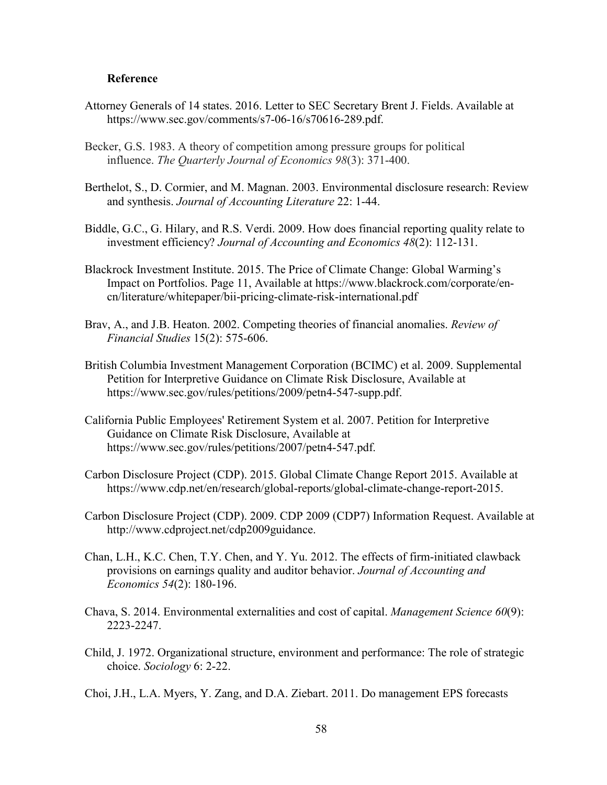#### **Reference**

- Attorney Generals of 14 states. 2016. Letter to SEC Secretary Brent J. Fields. Available at https://www.sec.gov/comments/s7-06-16/s70616-289.pdf.
- Becker, G.S. 1983. A theory of competition among pressure groups for political influence. *The Quarterly Journal of Economics 98*(3): 371-400.
- Berthelot, S., D. Cormier, and M. Magnan. 2003. Environmental disclosure research: Review and synthesis. *Journal of Accounting Literature* 22: 1-44.
- Biddle, G.C., G. Hilary, and R.S. Verdi. 2009. How does financial reporting quality relate to investment efficiency? *Journal of Accounting and Economics 48*(2): 112-131.
- Blackrock Investment Institute. 2015. The Price of Climate Change: Global Warming's Impact on Portfolios. Page 11, Available at https://www.blackrock.com/corporate/encn/literature/whitepaper/bii-pricing-climate-risk-international.pdf
- Brav, A., and J.B. Heaton. 2002. Competing theories of financial anomalies. *Review of Financial Studies* 15(2): 575-606.
- British Columbia Investment Management Corporation (BCIMC) et al. 2009. Supplemental Petition for Interpretive Guidance on Climate Risk Disclosure, Available at https://www.sec.gov/rules/petitions/2009/petn4-547-supp.pdf.
- California Public Employees' Retirement System et al. 2007. Petition for Interpretive Guidance on Climate Risk Disclosure, Available at https://www.sec.gov/rules/petitions/2007/petn4-547.pdf.
- Carbon Disclosure Project (CDP). 2015. Global Climate Change Report 2015. Available at https://www.cdp.net/en/research/global-reports/global-climate-change-report-2015.
- Carbon Disclosure Project (CDP). 2009. CDP 2009 (CDP7) Information Request. Available at http://www.cdproject.net/cdp2009guidance.
- Chan, L.H., K.C. Chen, T.Y. Chen, and Y. Yu. 2012. The effects of firm-initiated clawback provisions on earnings quality and auditor behavior. *Journal of Accounting and Economics 54*(2): 180-196.
- Chava, S. 2014. Environmental externalities and cost of capital. *Management Science 60*(9): 2223-2247.
- Child, J. 1972. Organizational structure, environment and performance: The role of strategic choice. *Sociology* 6: 2-22.
- Choi, J.H., L.A. Myers, Y. Zang, and D.A. Ziebart. 2011. Do management EPS forecasts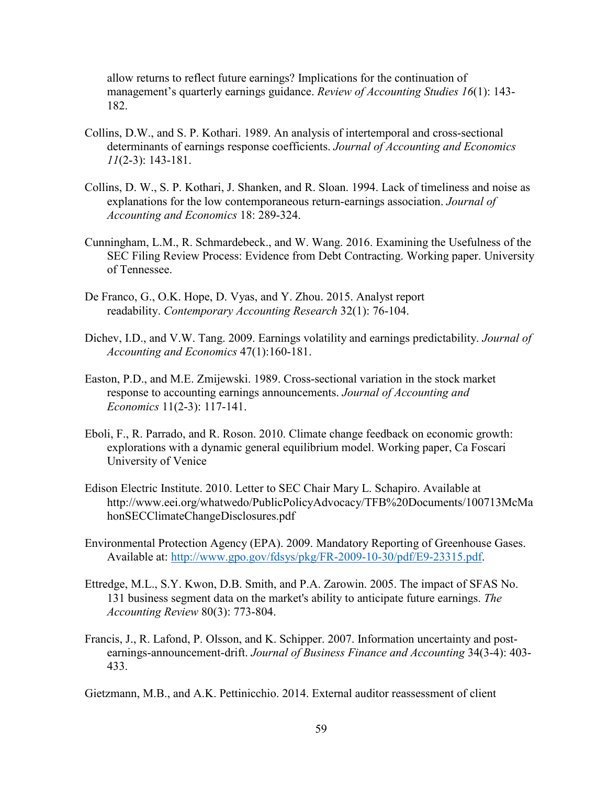allow returns to reflect future earnings? Implications for the continuation of management's quarterly earnings guidance. *Review of Accounting Studies 16*(1): 143- 182.

- Collins, D.W., and S. P. Kothari. 1989. An analysis of intertemporal and cross-sectional determinants of earnings response coefficients. *Journal of Accounting and Economics 11*(2-3): 143-181.
- Collins, D. W., S. P. Kothari, J. Shanken, and R. Sloan. 1994. Lack of timeliness and noise as explanations for the low contemporaneous return-earnings association. *Journal of Accounting and Economics* 18: 289-324.
- Cunningham, L.M., R. Schmardebeck., and W. Wang. 2016. Examining the Usefulness of the SEC Filing Review Process: Evidence from Debt Contracting. Working paper. University of Tennessee.
- De Franco, G., O.K. Hope, D. Vyas, and Y. Zhou. 2015. Analyst report readability. *Contemporary Accounting Research* 32(1): 76-104.
- Dichev, I.D., and V.W. Tang. 2009. Earnings volatility and earnings predictability. *Journal of Accounting and Economics* 47(1):160-181.
- Easton, P.D., and M.E. Zmijewski. 1989. Cross-sectional variation in the stock market response to accounting earnings announcements. *Journal of Accounting and Economics* 11(2-3): 117-141.
- Eboli, F., R. Parrado, and R. Roson. 2010. Climate change feedback on economic growth: explorations with a dynamic general equilibrium model. Working paper, Ca Foscari University of Venice
- Edison Electric Institute. 2010. Letter to SEC Chair Mary L. Schapiro. Available at http://www.eei.org/whatwedo/PublicPolicyAdvocacy/TFB%20Documents/100713McMa honSECClimateChangeDisclosures.pdf
- Environmental Protection Agency (EPA). 2009. Mandatory Reporting of Greenhouse Gases. Available at: http://www.gpo.gov/fdsys/pkg/FR-2009-10-30/pdf/E9-23315.pdf.
- Ettredge, M.L., S.Y. Kwon, D.B. Smith, and P.A. Zarowin. 2005. The impact of SFAS No. 131 business segment data on the market's ability to anticipate future earnings. *The Accounting Review* 80(3): 773-804.
- Francis, J., R. Lafond, P. Olsson, and K. Schipper. 2007. Information uncertainty and postearnings‐announcement‐drift. *Journal of Business Finance and Accounting* 34(3‐4): 403- 433.

Gietzmann, M.B., and A.K. Pettinicchio. 2014. External auditor reassessment of client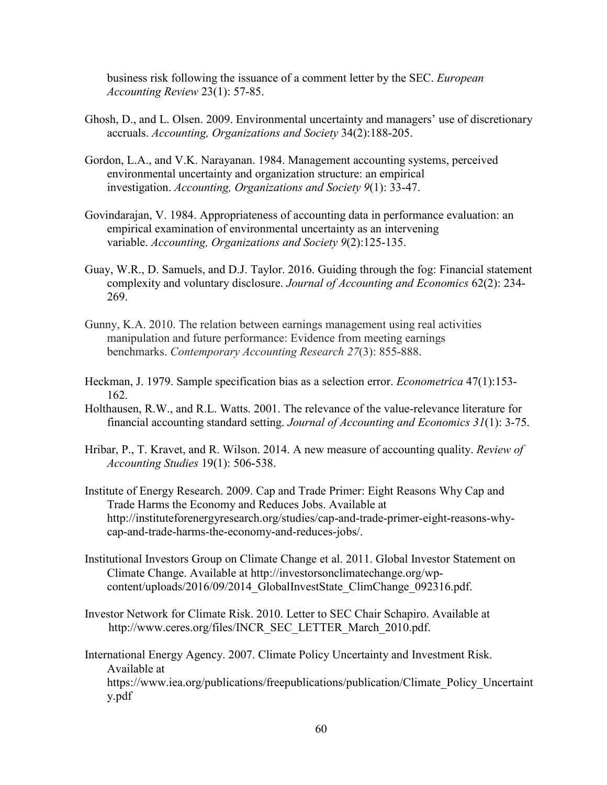business risk following the issuance of a comment letter by the SEC. *European Accounting Review* 23(1): 57-85.

- Ghosh, D., and L. Olsen. 2009. Environmental uncertainty and managers' use of discretionary accruals. *Accounting, Organizations and Society* 34(2):188-205.
- Gordon, L.A., and V.K. Narayanan. 1984. Management accounting systems, perceived environmental uncertainty and organization structure: an empirical investigation. *Accounting, Organizations and Society 9*(1): 33-47.
- Govindarajan, V. 1984. Appropriateness of accounting data in performance evaluation: an empirical examination of environmental uncertainty as an intervening variable. *Accounting, Organizations and Society 9*(2):125-135.
- Guay, W.R., D. Samuels, and D.J. Taylor. 2016. Guiding through the fog: Financial statement complexity and voluntary disclosure. *Journal of Accounting and Economics* 62(2): 234- 269.
- Gunny, K.A. 2010. The relation between earnings management using real activities manipulation and future performance: Evidence from meeting earnings benchmarks. *Contemporary Accounting Research 27*(3): 855-888.
- Heckman, J. 1979. Sample specification bias as a selection error. *Econometrica* 47(1):153- 162.
- Holthausen, R.W., and R.L. Watts. 2001. The relevance of the value-relevance literature for financial accounting standard setting. *Journal of Accounting and Economics 31*(1): 3-75.
- Hribar, P., T. Kravet, and R. Wilson. 2014. A new measure of accounting quality. *Review of Accounting Studies* 19(1): 506-538.
- Institute of Energy Research. 2009. Cap and Trade Primer: Eight Reasons Why Cap and Trade Harms the Economy and Reduces Jobs. Available at http://instituteforenergyresearch.org/studies/cap-and-trade-primer-eight-reasons-whycap-and-trade-harms-the-economy-and-reduces-jobs/.
- Institutional Investors Group on Climate Change et al. 2011. Global Investor Statement on Climate Change. Available at http://investorsonclimatechange.org/wpcontent/uploads/2016/09/2014 GlobalInvestState ClimChange 092316.pdf.
- Investor Network for Climate Risk. 2010. Letter to SEC Chair Schapiro. Available at http://www.ceres.org/files/INCR\_SEC\_LETTER\_March\_2010.pdf.
- International Energy Agency. 2007. Climate Policy Uncertainty and Investment Risk. Available at https://www.iea.org/publications/freepublications/publication/Climate\_Policy\_Uncertaint y.pdf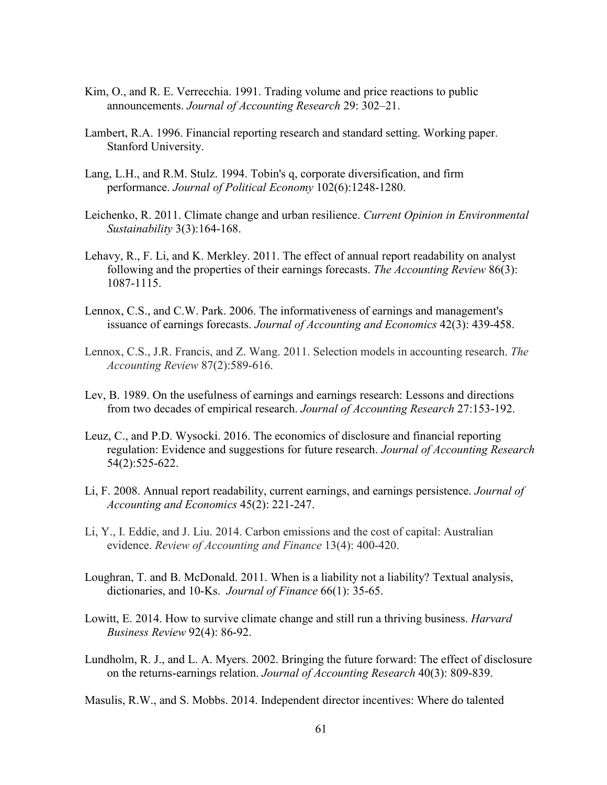- Kim, O., and R. E. Verrecchia. 1991. Trading volume and price reactions to public announcements. *Journal of Accounting Research* 29: 302–21.
- Lambert, R.A. 1996. Financial reporting research and standard setting. Working paper. Stanford University.
- Lang, L.H., and R.M. Stulz. 1994. Tobin's q, corporate diversification, and firm performance. *Journal of Political Economy* 102(6):1248-1280.
- Leichenko, R. 2011. Climate change and urban resilience. *Current Opinion in Environmental Sustainability* 3(3):164-168.
- Lehavy, R., F. Li, and K. Merkley. 2011. The effect of annual report readability on analyst following and the properties of their earnings forecasts. *The Accounting Review* 86(3): 1087-1115.
- Lennox, C.S., and C.W. Park. 2006. The informativeness of earnings and management's issuance of earnings forecasts. *Journal of Accounting and Economics* 42(3): 439-458.
- Lennox, C.S., J.R. Francis, and Z. Wang. 2011. Selection models in accounting research. *The Accounting Review* 87(2):589-616.
- Lev, B. 1989. On the usefulness of earnings and earnings research: Lessons and directions from two decades of empirical research. *Journal of Accounting Research* 27:153-192.
- Leuz, C., and P.D. Wysocki. 2016. The economics of disclosure and financial reporting regulation: Evidence and suggestions for future research. *Journal of Accounting Research* 54(2):525-622.
- Li, F. 2008. Annual report readability, current earnings, and earnings persistence. *Journal of Accounting and Economics* 45(2): 221-247.
- Li, Y., I. Eddie, and J. Liu. 2014. Carbon emissions and the cost of capital: Australian evidence. *Review of Accounting and Finance* 13(4): 400-420.
- Loughran, T. and B. McDonald. 2011. When is a liability not a liability? Textual analysis, dictionaries, and 10‐Ks. *Journal of Finance* 66(1): 35-65.
- Lowitt, E. 2014. How to survive climate change and still run a thriving business. *Harvard Business Review* 92(4): 86-92.
- Lundholm, R. J., and L. A. Myers. 2002. Bringing the future forward: The effect of disclosure on the returns-earnings relation. *Journal of Accounting Research* 40(3): 809-839.

Masulis, R.W., and S. Mobbs. 2014. Independent director incentives: Where do talented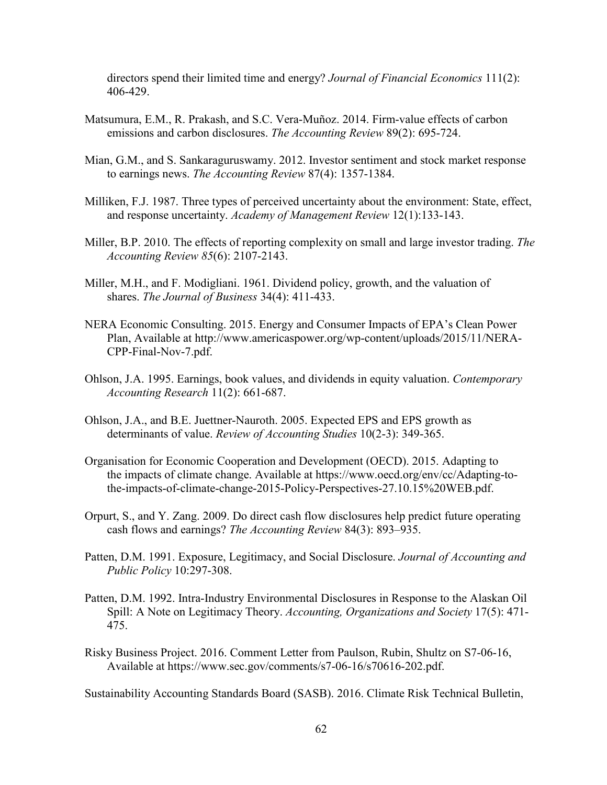directors spend their limited time and energy? *Journal of Financial Economics* 111(2): 406-429.

- Matsumura, E.M., R. Prakash, and S.C. Vera-Muñoz. 2014. Firm-value effects of carbon emissions and carbon disclosures. *The Accounting Review* 89(2): 695-724.
- Mian, G.M., and S. Sankaraguruswamy. 2012. Investor sentiment and stock market response to earnings news. *The Accounting Review* 87(4): 1357-1384.
- Milliken, F.J. 1987. Three types of perceived uncertainty about the environment: State, effect, and response uncertainty. *Academy of Management Review* 12(1):133-143.
- Miller, B.P. 2010. The effects of reporting complexity on small and large investor trading. *The Accounting Review 85*(6): 2107-2143.
- Miller, M.H., and F. Modigliani. 1961. Dividend policy, growth, and the valuation of shares. *The Journal of Business* 34(4): 411-433.
- NERA Economic Consulting. 2015. Energy and Consumer Impacts of EPA's Clean Power Plan, Available at http://www.americaspower.org/wp-content/uploads/2015/11/NERA-CPP-Final-Nov-7.pdf.
- Ohlson, J.A. 1995. Earnings, book values, and dividends in equity valuation. *Contemporary Accounting Research* 11(2): 661-687.
- Ohlson, J.A., and B.E. Juettner-Nauroth. 2005. Expected EPS and EPS growth as determinants of value. *Review of Accounting Studies* 10(2-3): 349-365.
- Organisation for Economic Cooperation and Development (OECD). 2015. Adapting to the impacts of climate change. Available at https://www.oecd.org/env/cc/Adapting-tothe-impacts-of-climate-change-2015-Policy-Perspectives-27.10.15%20WEB.pdf.
- Orpurt, S., and Y. Zang. 2009. Do direct cash flow disclosures help predict future operating cash flows and earnings? *The Accounting Review* 84(3): 893–935.
- Patten, D.M. 1991. Exposure, Legitimacy, and Social Disclosure. *Journal of Accounting and Public Policy* 10:297-308.
- Patten, D.M. 1992. Intra-Industry Environmental Disclosures in Response to the Alaskan Oil Spill: A Note on Legitimacy Theory. *Accounting, Organizations and Society* 17(5): 471- 475.
- Risky Business Project. 2016. Comment Letter from Paulson, Rubin, Shultz on S7-06-16, Available at https://www.sec.gov/comments/s7-06-16/s70616-202.pdf.

Sustainability Accounting Standards Board (SASB). 2016. Climate Risk Technical Bulletin,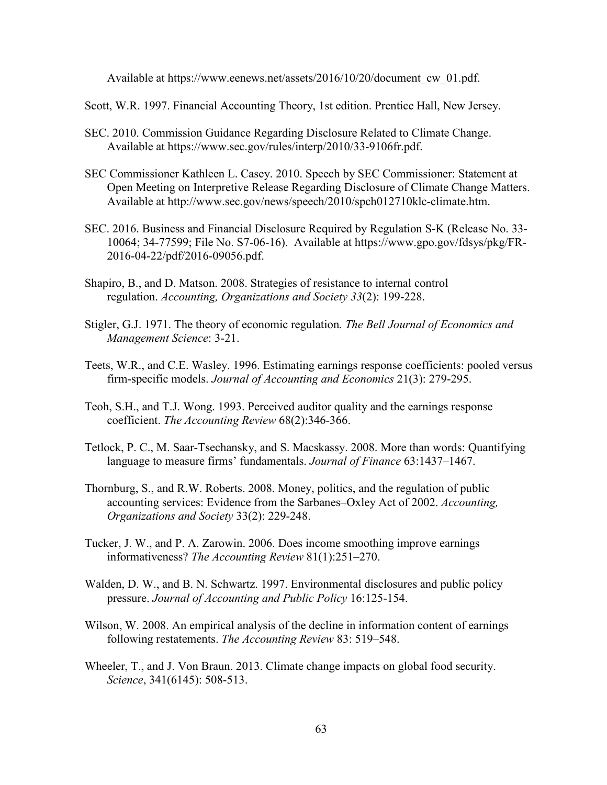Available at https://www.eenews.net/assets/2016/10/20/document\_cw\_01.pdf.

Scott, W.R. 1997. Financial Accounting Theory, 1st edition. Prentice Hall, New Jersey.

- SEC. 2010. Commission Guidance Regarding Disclosure Related to Climate Change. Available at https://www.sec.gov/rules/interp/2010/33-9106fr.pdf.
- SEC Commissioner Kathleen L. Casey. 2010. Speech by SEC Commissioner: Statement at Open Meeting on Interpretive Release Regarding Disclosure of Climate Change Matters. Available at http://www.sec.gov/news/speech/2010/spch012710klc-climate.htm.
- SEC. 2016. Business and Financial Disclosure Required by Regulation S-K (Release No. 33- 10064; 34-77599; File No. S7-06-16). Available at https://www.gpo.gov/fdsys/pkg/FR-2016-04-22/pdf/2016-09056.pdf.
- Shapiro, B., and D. Matson. 2008. Strategies of resistance to internal control regulation. *Accounting, Organizations and Society 33*(2): 199-228.
- Stigler, G.J. 1971. The theory of economic regulation*. The Bell Journal of Economics and Management Science*: 3-21.
- Teets, W.R., and C.E. Wasley. 1996. Estimating earnings response coefficients: pooled versus firm-specific models. *Journal of Accounting and Economics* 21(3): 279-295.
- Teoh, S.H., and T.J. Wong. 1993. Perceived auditor quality and the earnings response coefficient. *The Accounting Review* 68(2):346-366.
- Tetlock, P. C., M. Saar-Tsechansky, and S. Macskassy. 2008. More than words: Quantifying language to measure firms' fundamentals. *Journal of Finance* 63:1437–1467.
- Thornburg, S., and R.W. Roberts. 2008. Money, politics, and the regulation of public accounting services: Evidence from the Sarbanes–Oxley Act of 2002. *Accounting, Organizations and Society* 33(2): 229-248.
- Tucker, J. W., and P. A. Zarowin. 2006. Does income smoothing improve earnings informativeness? *The Accounting Review* 81(1):251–270.
- Walden, D. W., and B. N. Schwartz. 1997. Environmental disclosures and public policy pressure. *Journal of Accounting and Public Policy* 16:125-154.
- Wilson, W. 2008. An empirical analysis of the decline in information content of earnings following restatements. *The Accounting Review* 83: 519–548.
- Wheeler, T., and J. Von Braun. 2013. Climate change impacts on global food security. *Science*, 341(6145): 508-513.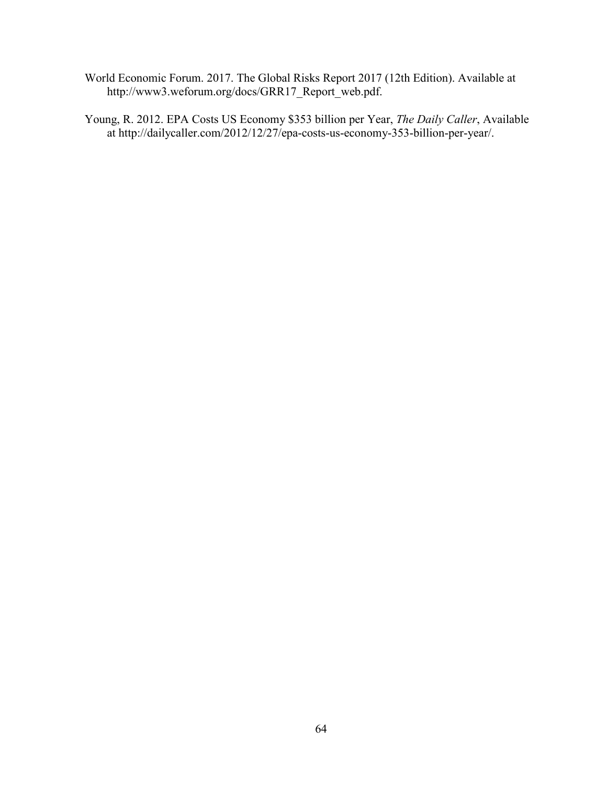- World Economic Forum. 2017. The Global Risks Report 2017 (12th Edition). Available at http://www3.weforum.org/docs/GRR17\_Report\_web.pdf.
- Young, R. 2012. EPA Costs US Economy \$353 billion per Year, *The Daily Caller*, Available at http://dailycaller.com/2012/12/27/epa-costs-us-economy-353-billion-per-year/.